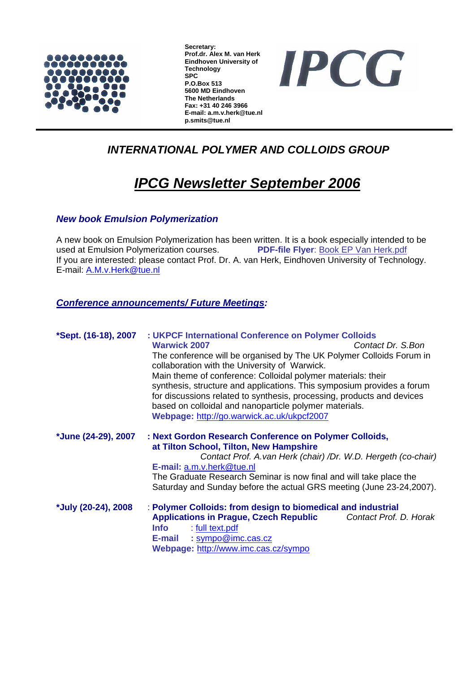

**Secretary: Prof.dr. Alex M. van Herk Eindhoven University of Technology SPC P.O.Box 513 5600 MD Eindhoven The Netherlands Fax: +31 40 246 3966 E-mail: a.m.v.herk@tue.nl p.smits@tue.nl** 



## *INTERNATIONAL POLYMER AND COLLOIDS GROUP*

# *IPCG Newsletter September 2006*

### *New book Emulsion Polymerization*

A new book on Emulsion Polymerization has been written. It is a book especially intended to be used at Emulsion Polymerization courses. **PDF-file Flyer**: Book EP Van Herk.pdf If you are interested: please contact Prof. Dr. A. van Herk, Eindhoven University of Technology. E-mail: A.M.v.Herk@tue.nl

### *Conference announcements/ Future Meetings:*

| *Sept. (16-18), 2007 | : UKPCF International Conference on Polymer Colloids<br><b>Warwick 2007</b><br>Contact Dr. S.Bon<br>The conference will be organised by The UK Polymer Colloids Forum in<br>collaboration with the University of Warwick.<br>Main theme of conference: Colloidal polymer materials: their<br>synthesis, structure and applications. This symposium provides a forum<br>for discussions related to synthesis, processing, products and devices<br>based on colloidal and nanoparticle polymer materials.<br>Webpage: http://go.warwick.ac.uk/ukpcf2007 |
|----------------------|-------------------------------------------------------------------------------------------------------------------------------------------------------------------------------------------------------------------------------------------------------------------------------------------------------------------------------------------------------------------------------------------------------------------------------------------------------------------------------------------------------------------------------------------------------|
| *June (24-29), 2007  | : Next Gordon Research Conference on Polymer Colloids,<br>at Tilton School, Tilton, New Hampshire<br>Contact Prof. A.van Herk (chair) /Dr. W.D. Hergeth (co-chair)<br>E-mail: a.m.v.herk@tue.nl<br>The Graduate Research Seminar is now final and will take place the<br>Saturday and Sunday before the actual GRS meeting (June 23-24, 2007).                                                                                                                                                                                                        |
| *July (20-24), 2008  | : Polymer Colloids: from design to biomedical and industrial<br><b>Applications in Prague, Czech Republic</b><br>Contact Prof. D. Horak<br><b>Info</b><br>: full text.pdf<br>: sympo@imc.cas.cz<br>E-mail<br>Webpage: http://www.imc.cas.cz/sympo                                                                                                                                                                                                                                                                                                     |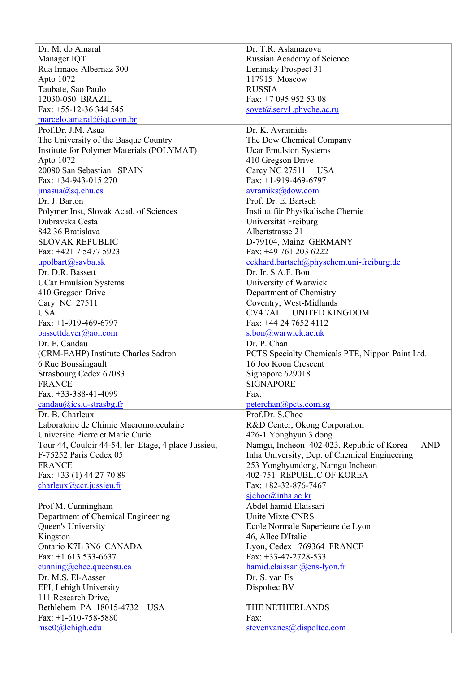| Dr. M. do Amaral                                    | Dr. T.R. Aslamazova                                     |  |
|-----------------------------------------------------|---------------------------------------------------------|--|
| Manager IQT                                         | Russian Academy of Science                              |  |
| Rua Irmaos Albernaz 300                             | Leninsky Prospect 31                                    |  |
| Apto 1072                                           | 117915 Moscow                                           |  |
| Taubate, Sao Paulo                                  | <b>RUSSIA</b>                                           |  |
| 12030-050 BRAZIL                                    | Fax: +7 095 952 53 08                                   |  |
| Fax: +55-12-36 344 545                              | $sovet(a)$ serv1.phyche.ac.ru                           |  |
| marcelo. amaral@iqt.com.br                          |                                                         |  |
| Prof.Dr. J.M. Asua                                  | Dr. K. Avramidis                                        |  |
| The University of the Basque Country                | The Dow Chemical Company                                |  |
| Institute for Polymer Materials (POLYMAT)           |                                                         |  |
| Apto 1072                                           | <b>Ucar Emulsion Systems</b>                            |  |
| 20080 San Sebastian SPAIN                           | 410 Gregson Drive                                       |  |
| Fax: +34-943-015 270                                | Carcy NC 27511 USA<br>Fax: $+1-919-469-6797$            |  |
|                                                     |                                                         |  |
| $j$ masua@sq.ehu.es                                 | avramiks@dow.com                                        |  |
| Dr. J. Barton                                       | Prof. Dr. E. Bartsch                                    |  |
| Polymer Inst, Slovak Acad. of Sciences              | Institut für Physikalische Chemie                       |  |
| Dubravska Cesta                                     | Universität Freiburg                                    |  |
| 842 36 Bratislava                                   | Albertstrasse 21                                        |  |
| <b>SLOVAK REPUBLIC</b>                              | D-79104, Mainz GERMANY                                  |  |
| Fax: +421 7 5477 5923                               | Fax: +49 761 203 6222                                   |  |
| upolbart@savba.sk                                   | eckhard.bartsch@physchem.uni-freiburg.de                |  |
| Dr. D.R. Bassett                                    | Dr. Ir. S.A.F. Bon                                      |  |
| <b>UCar Emulsion Systems</b>                        | University of Warwick                                   |  |
| 410 Gregson Drive                                   | Department of Chemistry                                 |  |
| Cary NC 27511                                       | Coventry, West-Midlands                                 |  |
| <b>USA</b>                                          | CV4 7AL UNITED KINGDOM                                  |  |
| Fax: $+1-919-469-6797$                              | Fax: +44 24 7652 4112                                   |  |
| bassettdaver@aol.com                                | s.bon@warwick.ac.uk                                     |  |
| Dr. F. Candau                                       | Dr. P. Chan                                             |  |
| (CRM-EAHP) Institute Charles Sadron                 | PCTS Specialty Chemicals PTE, Nippon Paint Ltd.         |  |
| 6 Rue Boussingault                                  | 16 Joo Koon Crescent                                    |  |
| Strasbourg Cedex 67083                              | Signapore 629018                                        |  |
| <b>FRANCE</b>                                       | <b>SIGNAPORE</b>                                        |  |
| Fax: $+33-388-41-4099$                              | Fax:                                                    |  |
| $candau@ics.u-strasbg.fr$                           | peterchan@pcts.com.sg                                   |  |
| Dr. B. Charleux                                     | Prof.Dr. S.Choe                                         |  |
| Laboratoire de Chimie Macromoleculaire              | R&D Center, Okong Corporation                           |  |
| Universite Pierre et Marie Curie                    | 426-1 Yonghyun 3 dong                                   |  |
| Tour 44, Couloir 44-54, ler Etage, 4 place Jussieu, | Namgu, Incheon 402-023, Republic of Korea<br><b>AND</b> |  |
| F-75252 Paris Cedex 05                              | Inha University, Dep. of Chemical Engineering           |  |
| <b>FRANCE</b>                                       | 253 Yonghyundong, Namgu Incheon                         |  |
| Fax: $+33$ (1) 44 27 70 89                          | 402-751 REPUBLIC OF KOREA                               |  |
| charleux@ccr.jussieu.fr                             | Fax: +82-32-876-7467                                    |  |
|                                                     | $siche(a)$ inha.ac.kr                                   |  |
| Prof M. Cunningham                                  | Abdel hamid Elaissari                                   |  |
| Department of Chemical Engineering                  | <b>Unite Mixte CNRS</b>                                 |  |
| Queen's University                                  | Ecole Normale Superieure de Lyon                        |  |
| Kingston                                            | 46, Allee D'Italie                                      |  |
| Ontario K7L 3N6 CANADA                              | Lyon, Cedex 769364 FRANCE                               |  |
| Fax: $+1$ 613 533-6637                              | Fax: $+33-47-2728-533$                                  |  |
| $\frac{\text{cumning}(a)$ chee.queensu.ca           |                                                         |  |
| Dr. M.S. El-Aasser                                  |                                                         |  |
|                                                     | hamid.elaissari@ens-lyon.fr<br>Dr. S. van Es            |  |
|                                                     |                                                         |  |
| EPI, Lehigh University                              | Dispoltec BV                                            |  |
| 111 Research Drive,<br>Bethlehem PA 18015-4732 USA  | THE NETHERLANDS                                         |  |
| Fax: $+1-610-758-5880$                              | Fax:                                                    |  |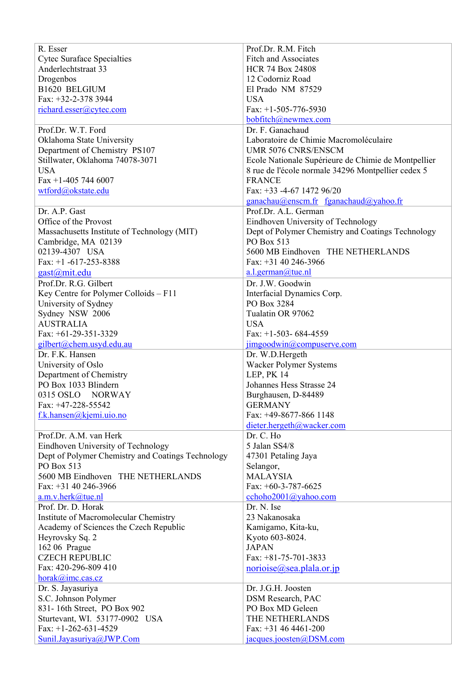| R. Esser                                          | Prof.Dr. R.M. Fitch                                 |  |
|---------------------------------------------------|-----------------------------------------------------|--|
| <b>Cytec Suraface Specialties</b>                 | <b>Fitch and Associates</b>                         |  |
| Anderlechtstraat 33                               | <b>HCR 74 Box 24808</b>                             |  |
| Drogenbos                                         | 12 Codorniz Road                                    |  |
| B1620 BELGIUM                                     | El Prado NM 87529                                   |  |
| Fax: +32-2-378 3944                               | <b>USA</b>                                          |  |
| richard.esser@cytec.com                           | Fax: $+1-505-776-5930$                              |  |
|                                                   | bobfitch@newmex.com                                 |  |
| Prof.Dr. W.T. Ford                                | Dr. F. Ganachaud                                    |  |
| Oklahoma State University                         |                                                     |  |
|                                                   | Laboratoire de Chimie Macromoléculaire              |  |
| Department of Chemistry PS107                     | UMR 5076 CNRS/ENSCM                                 |  |
| Stillwater, Oklahoma 74078-3071                   | Ecole Nationale Supérieure de Chimie de Montpellier |  |
| <b>USA</b>                                        | 8 rue de l'école normale 34296 Montpellier cedex 5  |  |
| Fax +1-405 744 6007                               | <b>FRANCE</b>                                       |  |
| wtford@okstate.edu                                | Fax: +33 -4-67 1472 96/20                           |  |
|                                                   | $ganachau@enscm.fr$ fganachaud@yahoo.fr             |  |
| Dr. A.P. Gast                                     | Prof.Dr. A.L. German                                |  |
| Office of the Provost                             | Eindhoven University of Technology                  |  |
| Massachusetts Institute of Technology (MIT)       | Dept of Polymer Chemistry and Coatings Technology   |  |
| Cambridge, MA 02139                               | PO Box 513                                          |  |
| 02139-4307 USA                                    | 5600 MB Eindhoven THE NETHERLANDS                   |  |
| Fax: $+1$ -617-253-8388                           | Fax: +31 40 246-3966                                |  |
| gast@mit.edu                                      | a.l. german@true.nl                                 |  |
| Prof.Dr. R.G. Gilbert                             | Dr. J.W. Goodwin                                    |  |
| Key Centre for Polymer Colloids - F11             | Interfacial Dynamics Corp.                          |  |
| University of Sydney                              | PO Box 3284                                         |  |
| Sydney NSW 2006                                   | Tualatin OR 97062                                   |  |
| <b>AUSTRALIA</b>                                  | <b>USA</b>                                          |  |
| Fax: $+61-29-351-3329$                            | Fax: $+1-503-684-4559$                              |  |
| gilbert@chem.usyd.edu.au                          | jimgoodwin@compuserve.com                           |  |
| Dr. F.K. Hansen                                   | Dr. W.D.Hergeth                                     |  |
| University of Oslo                                | Wacker Polymer Systems                              |  |
|                                                   | LEP, PK 14                                          |  |
| Department of Chemistry<br>PO Box 1033 Blindern   | Johannes Hess Strasse 24                            |  |
| 0315 OSLO NORWAY                                  |                                                     |  |
|                                                   | Burghausen, D-84489                                 |  |
| Fax: +47-228-55542                                | <b>GERMANY</b>                                      |  |
| f.k.hansen@kjemi.uio.no                           | Fax: +49-8677-866 1148                              |  |
|                                                   | dieter.hergeth@wacker.com                           |  |
| Prof.Dr. A.M. van Herk                            | Dr. C. Ho                                           |  |
| Eindhoven University of Technology                | 5 Jalan SS4/8                                       |  |
| Dept of Polymer Chemistry and Coatings Technology | 47301 Petaling Jaya                                 |  |
| PO Box 513                                        | Selangor,                                           |  |
| 5600 MB Eindhoven THE NETHERLANDS                 | <b>MALAYSIA</b>                                     |  |
| Fax: $+31$ 40 246-3966                            | Fax: $+60-3-787-6625$                               |  |
| a.m.v.herk@tue.nl                                 | $\c{echoho2001}\x{Qyahoo.com}$                      |  |
| Prof. Dr. D. Horak                                | Dr. N. Ise                                          |  |
| Institute of Macromolecular Chemistry             | 23 Nakanosaka                                       |  |
| Academy of Sciences the Czech Republic            | Kamigamo, Kita-ku,                                  |  |
| Heyrovsky Sq. 2                                   | Kyoto 603-8024.                                     |  |
| 162 06 Prague                                     | <b>JAPAN</b>                                        |  |
| <b>CZECH REPUBLIC</b>                             | Fax: $+81-75-701-3833$                              |  |
| Fax: 420-296-809 410                              | norioise@sea.plala.or.jp                            |  |
| horak@ime.cas.cz                                  |                                                     |  |
| Dr. S. Jayasuriya                                 | Dr. J.G.H. Joosten                                  |  |
| S.C. Johnson Polymer                              | <b>DSM Research, PAC</b>                            |  |
| 831-16th Street, PO Box 902                       | PO Box MD Geleen                                    |  |
| Sturtevant, WI. 53177-0902 USA                    | THE NETHERLANDS                                     |  |
| Fax: $+1-262-631-4529$                            | Fax: $+31464461-200$                                |  |
| Sunil.Jayasuriya@JWP.Com                          | jacques.joosten@DSM.com                             |  |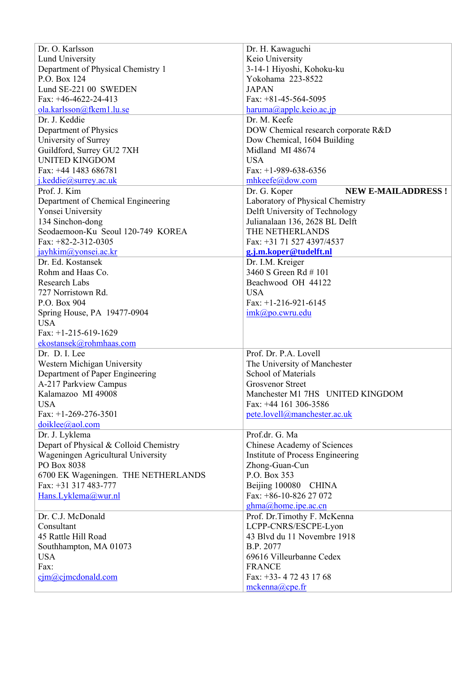| Dr. O. Karlsson                        | Dr. H. Kawaguchi                          |  |
|----------------------------------------|-------------------------------------------|--|
| <b>Lund University</b>                 | Keio University                           |  |
| Department of Physical Chemistry 1     | 3-14-1 Hiyoshi, Kohoku-ku                 |  |
| P.O. Box 124                           | Yokohama 223-8522                         |  |
| Lund SE-221 00 SWEDEN                  | <b>JAPAN</b>                              |  |
| Fax: $+46-4622-24-413$                 | Fax: $+81-45-564-5095$                    |  |
| ola.karlsson@fkem1.lu.se               | $haruma(\partial_\iota)applekeio.ac.jp$   |  |
| Dr. J. Keddie                          | Dr. M. Keefe                              |  |
| Department of Physics                  | DOW Chemical research corporate R&D       |  |
| University of Surrey                   | Dow Chemical, 1604 Building               |  |
| Guildford, Surrey GU2 7XH              | Midland MI 48674                          |  |
| <b>UNITED KINGDOM</b>                  | <b>USA</b>                                |  |
| Fax: +44 1483 686781                   | Fax: $+1-989-638-6356$                    |  |
| j.keddie@surrey.ac.uk                  | mhkeefe@dow.com                           |  |
| Prof. J. Kim                           | Dr. G. Koper<br><b>NEW E-MAILADDRESS!</b> |  |
|                                        |                                           |  |
| Department of Chemical Engineering     | Laboratory of Physical Chemistry          |  |
| Yonsei University                      | Delft University of Technology            |  |
| 134 Sinchon-dong                       | Julianalaan 136, 2628 BL Delft            |  |
| Seodaemoon-Ku Seoul 120-749 KOREA      | THE NETHERLANDS                           |  |
| Fax: $+82-2-312-0305$                  | Fax: +31 71 527 4397/4537                 |  |
| jayhkim@yonsei.ac.kr                   | g.j.m.koper@tudelft.nl                    |  |
| Dr. Ed. Kostansek                      | Dr. I.M. Kreiger                          |  |
| Rohm and Haas Co.                      | 3460 S Green Rd #101                      |  |
| <b>Research Labs</b>                   | Beachwood OH 44122                        |  |
| 727 Norristown Rd.                     | <b>USA</b>                                |  |
| P.O. Box 904                           | Fax: $+1-216-921-6145$                    |  |
| Spring House, PA 19477-0904            | imk@po.cwru.edu                           |  |
| <b>USA</b>                             |                                           |  |
| Fax: $+1-215-619-1629$                 |                                           |  |
| ekostansek@rohmhaas.com                |                                           |  |
| Dr. D. I. Lee                          | Prof. Dr. P.A. Lovell                     |  |
| Western Michigan University            | The University of Manchester              |  |
| Department of Paper Engineering        | <b>School of Materials</b>                |  |
| A-217 Parkview Campus                  | <b>Grosvenor Street</b>                   |  |
| Kalamazoo MI 49008                     | Manchester M1 7HS UNITED KINGDOM          |  |
| <b>USA</b>                             | Fax: +44 161 306-3586                     |  |
| Fax: $+1-269-276-3501$                 | pete.lovell@manchester.ac.uk              |  |
| doiklee@aol.com                        |                                           |  |
| Dr. J. Lyklema                         | Prof.dr. G. Ma                            |  |
| Depart of Physical & Colloid Chemistry | Chinese Academy of Sciences               |  |
| Wageningen Agricultural University     | Institute of Process Engineering          |  |
| PO Box 8038                            | Zhong-Guan-Cun                            |  |
| 6700 EK Wageningen. THE NETHERLANDS    | P.O. Box 353                              |  |
| Fax: +31 317 483-777                   | Beijing 100080 CHINA                      |  |
| Hans.Lyklema@wur.nl                    | Fax: +86-10-826 27 072                    |  |
|                                        |                                           |  |
|                                        | ghma@home.ipe.ac.cn                       |  |
| Dr. C.J. McDonald                      | Prof. Dr.Timothy F. McKenna               |  |
| Consultant                             | LCPP-CNRS/ESCPE-Lyon                      |  |
| 45 Rattle Hill Road                    | 43 Blvd du 11 Novembre 1918               |  |
| Southhampton, MA 01073                 | B.P. 2077                                 |  |
| <b>USA</b>                             | 69616 Villeurbanne Cedex                  |  |
| Fax:                                   | <b>FRANCE</b>                             |  |
| $\text{c}$ jm@cjmcdonald.com           | Fax: +33- 472 43 17 68                    |  |
|                                        | $mekenna$ ( $a$ ) cpe.fr                  |  |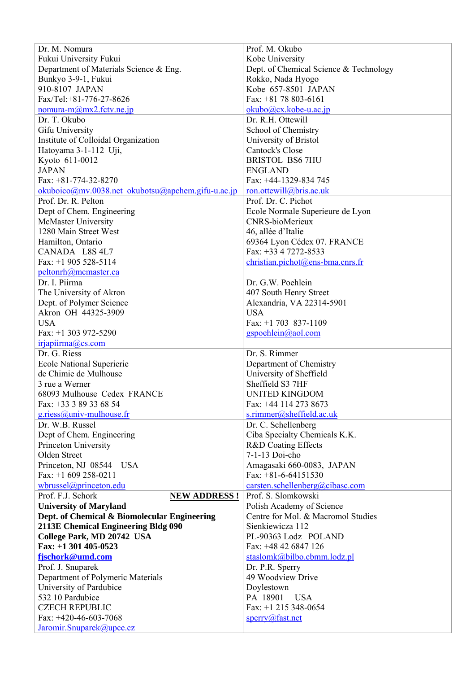| Dr. M. Nomura                                       | Prof. M. Okubo                         |  |
|-----------------------------------------------------|----------------------------------------|--|
| Fukui University Fukui                              | Kobe University                        |  |
| Department of Materials Science & Eng.              | Dept. of Chemical Science & Technology |  |
| Bunkyo 3-9-1, Fukui                                 | Rokko, Nada Hyogo                      |  |
| 910-8107 JAPAN                                      | Kobe 657-8501 JAPAN                    |  |
| Fax/Tel:+81-776-27-8626                             | Fax: $+81$ 78 803-6161                 |  |
| $nomura-m@mx2.$ fctv.ne.jp                          | $okubo@cx.kobe-u.ac.jp$                |  |
| Dr. T. Okubo                                        | Dr. R.H. Ottewill                      |  |
| Gifu University                                     | School of Chemistry                    |  |
| Institute of Colloidal Organization                 | University of Bristol                  |  |
| Hatoyama 3-1-112 Uji,                               | Cantock's Close                        |  |
| Kyoto 611-0012                                      | <b>BRISTOL BS6 7HU</b>                 |  |
| <b>JAPAN</b>                                        | <b>ENGLAND</b>                         |  |
| Fax: $+81-774-32-8270$                              | Fax: +44-1329-834 745                  |  |
| $okuboico@mv.0038.net$ okubotsu@apchem.gifu-u.ac.jp | ron.ottewill@bris.ac.uk                |  |
| Prof. Dr. R. Pelton                                 | Prof. Dr. C. Pichot                    |  |
| Dept of Chem. Engineering                           | Ecole Normale Superieure de Lyon       |  |
| <b>McMaster University</b>                          | <b>CNRS-bioMerieux</b>                 |  |
| 1280 Main Street West                               | 46, allée d'Italie                     |  |
| Hamilton, Ontario                                   | 69364 Lyon Cédex 07. FRANCE            |  |
| CANADA L8S 4L7                                      | Fax: +33 4 7272-8533                   |  |
| Fax: $+1$ 905 528-5114                              | $christian.pichot@ens-bma.cnrs.fr$     |  |
| peltonrh@mcmaster.ca                                |                                        |  |
| Dr. I. Piirma                                       | Dr. G.W. Poehlein                      |  |
| The University of Akron                             | 407 South Henry Street                 |  |
| Dept. of Polymer Science                            | Alexandria, VA 22314-5901              |  |
| Akron OH 44325-3909                                 | <b>USA</b>                             |  |
| <b>USA</b>                                          | Fax: $+1$ 703 837-1109                 |  |
| Fax: $+1$ 303 972-5290                              | gspoehlein@aol.com                     |  |
| $iri$ apiirma@cs.com                                |                                        |  |
| Dr. G. Riess                                        | Dr. S. Rimmer                          |  |
| <b>Ecole National Superierie</b>                    | Department of Chemistry                |  |
| de Chimie de Mulhouse                               | University of Sheffield                |  |
| 3 rue a Werner                                      | Sheffield S3 7HF                       |  |
| 68093 Mulhouse Cedex FRANCE                         | <b>UNITED KINGDOM</b>                  |  |
| Fax: +33 3 89 33 68 54                              | Fax: +44 114 273 8673                  |  |
| g.riess@univ-mulhouse.fr                            | s.rimmer@sheffield.ac.uk               |  |
| Dr. W.B. Russel                                     | Dr. C. Schellenberg                    |  |
| Dept of Chem. Engineering                           | Ciba Specialty Chemicals K.K.          |  |
| Princeton University                                | <b>R&amp;D Coating Effects</b>         |  |
| Olden Street                                        | 7-1-13 Doi-cho                         |  |
| Princeton, NJ 08544 USA                             | Amagasaki 660-0083, JAPAN              |  |
| Fax: +1 609 258-0211                                | Fax: $+81-6-64151530$                  |  |
| wbrussel@princeton.edu                              | carsten.schellenberg@cibasc.com        |  |
| Prof. F.J. Schork<br><b>NEW ADDRESS!</b>            | Prof. S. Slomkowski                    |  |
| <b>University of Maryland</b>                       | Polish Academy of Science              |  |
| Dept. of Chemical & Biomolecular Engineering        | Centre for Mol. & Macromol Studies     |  |
| 2113E Chemical Engineering Bldg 090                 | Sienkiewicza 112                       |  |
| College Park, MD 20742 USA                          | PL-90363 Lodz POLAND                   |  |
| Fax: +1 301 405-0523                                | Fax: +48 42 6847 126                   |  |
| fjschork@umd.com                                    | staslomk@bilbo.cbmm.lodz.pl            |  |
|                                                     |                                        |  |
| Prof. J. Snuparek                                   | Dr. P.R. Sperry                        |  |
| Department of Polymeric Materials                   | 49 Woodview Drive                      |  |
| University of Pardubice                             | Doylestown                             |  |
| 532 10 Pardubice                                    | PA 18901 USA                           |  |
| <b>CZECH REPUBLIC</b>                               | Fax: $+1$ 215 348-0654                 |  |
| Fax: $+420-46-603-7068$                             | sperry@fast.net                        |  |
| Jaromir.Snuparek@upce.cz                            |                                        |  |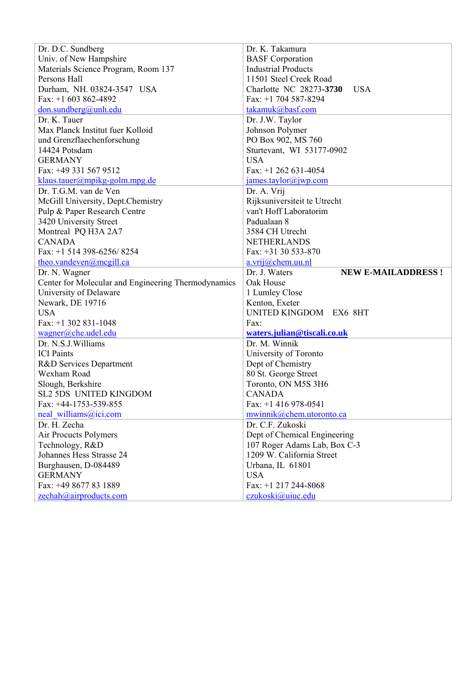| Dr. D.C. Sundberg                                   | Dr. K. Takamura                                           |  |
|-----------------------------------------------------|-----------------------------------------------------------|--|
| Univ. of New Hampshire                              | <b>BASF</b> Corporation                                   |  |
| Materials Science Program, Room 137                 | <b>Industrial Products</b>                                |  |
| Persons Hall                                        | 11501 Steel Creek Road                                    |  |
| Durham, NH. 03824-3547 USA                          | Charlotte NC 28273-3730<br><b>USA</b>                     |  |
| Fax: $+1$ 603 862-4892                              | Fax: $+1$ 704 587-8294                                    |  |
| don. sundberg@unh.edu                               | takamuk@basf.com                                          |  |
| Dr. K. Tauer                                        | Dr. J.W. Taylor                                           |  |
| Max Planck Institut fuer Kolloid                    | Johnson Polymer                                           |  |
| und Grenzflaechenforschung                          | PO Box 902, MS 760                                        |  |
| 14424 Potsdam                                       | Sturtevant, WI 53177-0902                                 |  |
| <b>GERMANY</b>                                      | <b>USA</b>                                                |  |
| Fax: +49 331 567 9512                               | Fax: $+1$ 262 631-4054                                    |  |
| klaus.tauer@mpikg-golm.mpg.de                       | james.taylor@jwp.com                                      |  |
| Dr. T.G.M. van de Ven                               | Dr. A. Vrij                                               |  |
| McGill University, Dept.Chemistry                   | Rijksuniversiteit te Utrecht                              |  |
| Pulp & Paper Research Centre                        | van't Hoff Laboratorim                                    |  |
| 3420 University Street                              | Padualaan 8                                               |  |
| Montreal PQ H3A 2A7                                 | 3584 CH Utrecht                                           |  |
| <b>CANADA</b>                                       | <b>NETHERLANDS</b>                                        |  |
| Fax: $+1$ 514 398-6256/8254                         | Fax: $+31$ 30 533-870                                     |  |
| theo.vandeven@mcgill.ca                             | a.vrij@chem.uu.nl                                         |  |
| Dr. N. Wagner                                       | Dr. J. Waters<br><b>NEW E-MAILADDRESS!</b>                |  |
| Center for Molecular and Engineering Thermodynamics | Oak House                                                 |  |
| University of Delaware                              | 1 Lumley Close                                            |  |
| Newark, DE 19716                                    | Kenton, Exeter                                            |  |
| <b>USA</b>                                          | UNITED KINGDOM EX6 8HT                                    |  |
| Fax: $+1$ 302 831-1048                              | Fax:                                                      |  |
| wagner@che.udel.edu                                 | waters.julian@tiscali.co.uk                               |  |
| Dr. N.S.J. Williams                                 | Dr. M. Winnik                                             |  |
| <b>ICI</b> Paints                                   | University of Toronto                                     |  |
| R&D Services Department                             | Dept of Chemistry                                         |  |
| Wexham Road                                         | 80 St. George Street                                      |  |
| Slough, Berkshire                                   | Toronto, ON M5S 3H6                                       |  |
| SL2 5DS UNITED KINGDOM                              | CANADA                                                    |  |
|                                                     |                                                           |  |
| Fax: +44-1753-539-855                               | Fax: $+1$ 416 978-0541                                    |  |
| neal williams@ici.com                               |                                                           |  |
| Dr. H. Zecha                                        | mwinnik@chem.utoronto.ca<br>Dr. C.F. Zukoski              |  |
|                                                     |                                                           |  |
| Air Procucts Polymers                               | Dept of Chemical Engineering                              |  |
| Technology, R&D<br>Johannes Hess Strasse 24         | 107 Roger Adams Lab, Box C-3<br>1209 W. California Street |  |
|                                                     |                                                           |  |
| Burghausen, D-084489<br><b>GERMANY</b>              | Urbana, IL 61801                                          |  |
| Fax: +49 8677 83 1889                               | <b>USA</b><br>Fax: +1 217 244-8068                        |  |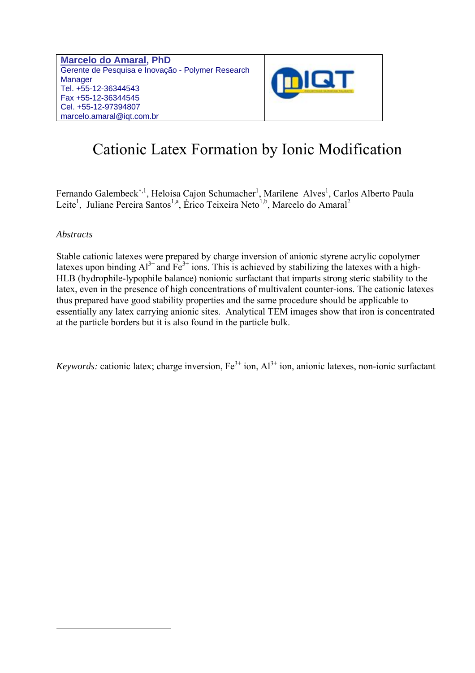**Marcelo do Amaral, PhD**  Gerente de Pesquisa e Inovação - Polymer Research **Manager** Tel. +55-12-36344543 Fax +55-12-36344545 Cel. +55-12-97394807 marcelo.amaral@iqt.com.br



# Cationic Latex Formation by Ionic Modification

Fernando Galembeck<sup>\*, 1</sup>, Heloisa Cajon Schumacher<sup>1</sup>, Marilene Alves<sup>1</sup>, Carlos Alberto Paula Leite<sup>1</sup>, Juliane Pereira Santos<sup>1,a</sup>, Érico Teixeira Neto<sup>1,b</sup>, Marcelo do Amaral<sup>2</sup>

### *Abstracts*

 $\overline{a}$ 

Stable cationic latexes were prepared by charge inversion of anionic styrene acrylic copolymer latexes upon binding  $Al^{3+}$  and  $Fe^{3+}$  ions. This is achieved by stabilizing the latexes with a high-HLB (hydrophile-lypophile balance) nonionic surfactant that imparts strong steric stability to the latex, even in the presence of high concentrations of multivalent counter-ions. The cationic latexes thus prepared have good stability properties and the same procedure should be applicable to essentially any latex carrying anionic sites. Analytical TEM images show that iron is concentrated at the particle borders but it is also found in the particle bulk.

*Keywords:* cationic latex; charge inversion,  $Fe^{3+}$  ion,  $Al^{3+}$  ion, anionic latexes, non-ionic surfactant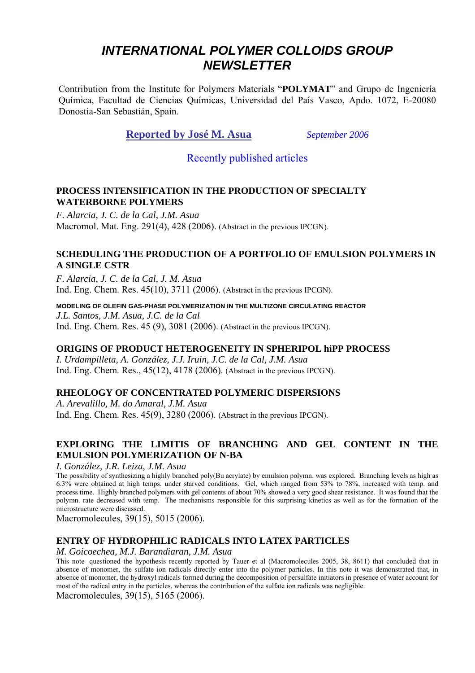## *INTERNATIONAL POLYMER COLLOIDS GROUP NEWSLETTER*

Contribution from the Institute for Polymers Materials "**POLYMAT**" and Grupo de Ingeniería Química, Facultad de Ciencias Químicas, Universidad del País Vasco, Apdo. 1072, E-20080 Donostia-San Sebastián, Spain.

### **Reported by José M. Asua** *September 2006*

### Recently published articles

### **PROCESS INTENSIFICATION IN THE PRODUCTION OF SPECIALTY WATERBORNE POLYMERS**

*F. Alarcia, J. C. de la Cal, J.M. Asua*  Macromol. Mat. Eng. 291(4), 428 (2006). (Abstract in the previous IPCGN).

### **SCHEDULING THE PRODUCTION OF A PORTFOLIO OF EMULSION POLYMERS IN A SINGLE CSTR**

*F. Alarcia, J. C. de la Cal, J. M. Asua*  Ind. Eng. Chem. Res. 45(10), 3711 (2006). (Abstract in the previous IPCGN).

**MODELING OF OLEFIN GAS-PHASE POLYMERIZATION IN THE MULTIZONE CIRCULATING REACTOR**  *J.L. Santos, J.M. Asua, J.C. de la Cal*  Ind. Eng. Chem. Res. 45 (9), 3081 (2006). (Abstract in the previous IPCGN).

### **ORIGINS OF PRODUCT HETEROGENEITY IN SPHERIPOL hiPP PROCESS**

*I. Urdampilleta, A. González, J.J. Iruin, J.C. de la Cal, J.M. Asua*  Ind. Eng. Chem. Res., 45(12), 4178 (2006). (Abstract in the previous IPCGN).

### **RHEOLOGY OF CONCENTRATED POLYMERIC DISPERSIONS**

*A. Arevalillo, M. do Amaral, J.M. Asua* Ind. Eng. Chem. Res. 45(9), 3280 (2006). (Abstract in the previous IPCGN).

### **EXPLORING THE LIMITIS OF BRANCHING AND GEL CONTENT IN THE EMULSION POLYMERIZATION OF N-BA**

*I. González, J.R. Leiza, J.M. Asua* 

The possibility of synthesizing a highly branched poly(Bu acrylate) by emulsion polymn. was explored. Branching levels as high as 6.3% were obtained at high temps. under starved conditions. Gel, which ranged from 53% to 78%, increased with temp. and process time. Highly branched polymers with gel contents of about 70% showed a very good shear resistance. It was found that the polymn. rate decreased with temp. The mechanisms responsible for this surprising kinetics as well as for the formation of the microstructure were discussed.

Macromolecules, 39(15), 5015 (2006).

### **ENTRY OF HYDROPHILIC RADICALS INTO LATEX PARTICLES**

### *M. Goicoechea, M.J. Barandiaran, J.M. Asua*

This note questioned the hypothesis recently reported by Tauer et al (Macromolecules 2005, 38, 8611) that concluded that in absence of monomer, the sulfate ion radicals directly enter into the polymer particles. In this note it was demonstrated that, in absence of monomer, the hydroxyl radicals formed during the decomposition of persulfate initiators in presence of water account for most of the radical entry in the particles, whereas the contribution of the sulfate ion radicals was negligible.

Macromolecules, 39(15), 5165 (2006).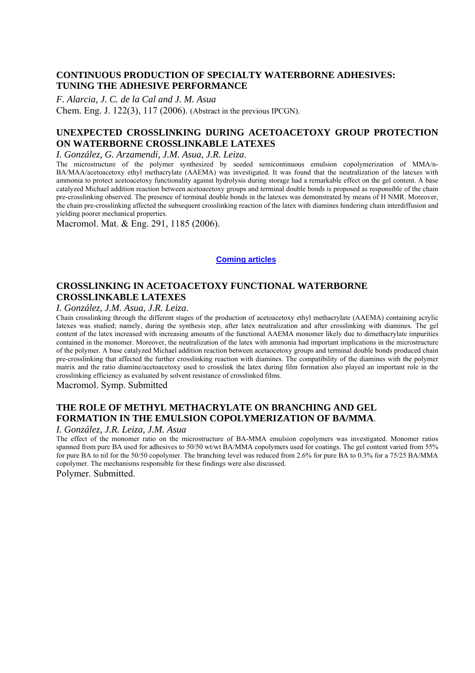### **CONTINUOUS PRODUCTION OF SPECIALTY WATERBORNE ADHESIVES: TUNING THE ADHESIVE PERFORMANCE**

*F. Alarcia, J. C. de la Cal and J. M. Asua* 

Chem. Eng. J. 122(3), 117 (2006). (Abstract in the previous IPCGN).

### **UNEXPECTED CROSSLINKING DURING ACETOACETOXY GROUP PROTECTION ON WATERBORNE CROSSLINKABLE LATEXES**

*I. González, G. Arzamendi, J.M. Asua, J.R. Leiza.* The microstructure of the polymerization of MMA/n-<br>The microstructure of the polymer synthesized by seeded semicontinuous emulsion copolymerization of MMA/n-BA/MAA/acetoacetoxy ethyl methacrylate (AAEMA) was investigated. It was found that the neutralization of the latexes with ammonia to protect acetoacetoxy functionality against hydrolysis during storage had a remarkable effect on the gel content. A base catalyzed Michael addition reaction between acetoacetoxy groups and terminal double bonds is proposed as responsible of the chain pre-crosslinking observed. The presence of terminal double bonds in the latexes was demonstrated by means of H NMR. Moreover, the chain pre-crosslinking affected the subsequent crosslinking reaction of the latex with diamines hindering chain interdiffusion and yielding poorer mechanical properties.

Macromol. Mat. & Eng. 291, 1185 (2006).

### **Coming articles**

### **CROSSLINKING IN ACETOACETOXY FUNCTIONAL WATERBORNE CROSSLINKABLE LATEXES**

*I. González, J.M. Asua, J.R. Leiza.*<br>Chain crosslinking through the different stages of the production of acetoacetoxy ethyl methacrylate (AAEMA) containing acrylic latexes was studied; namely, during the synthesis step, after latex neutralization and after crosslinking with diamines. The gel content of the latex increased with increasing amounts of the functional AAEMA monomer likely due to dimethacrylate impurities contained in the monomer. Moreover, the neutralization of the latex with ammonia had important implications in the microstructure of the polymer. A base catalyzed Michael addition reaction between acetaocetoxy groups and terminal double bonds produced chain pre-crosslinking that affected the further crosslinking reaction with diamines. The compatibility of the diamines with the polymer matrix and the ratio diamine/acetoacetoxy used to crosslink the latex during film formation also played an important role in the crosslinking efficiency as evaluated by solvent resistance of crosslinked films.

Macromol. Symp. Submitted

### **THE ROLE OF METHYL METHACRYLATE ON BRANCHING AND GEL FORMATION IN THE EMULSION COPOLYMERIZATION OF BA/MMA**.

### *I. González, J.R. Leiza, J.M. Asua*

The effect of the monomer ratio on the microstructure of BA-MMA emulsion copolymers was investigated. Monomer ratios spanned from pure BA used for adhesives to 50/50 wt/wt BA/MMA copolymers used for coatings. The gel content varied from 55% for pure BA to nil for the 50/50 copolymer. The branching level was reduced from 2.6% for pure BA to 0.3% for a 75/25 BA/MMA copolymer. The mechanisms responsible for these findings were also discussed.

Polymer. Submitted.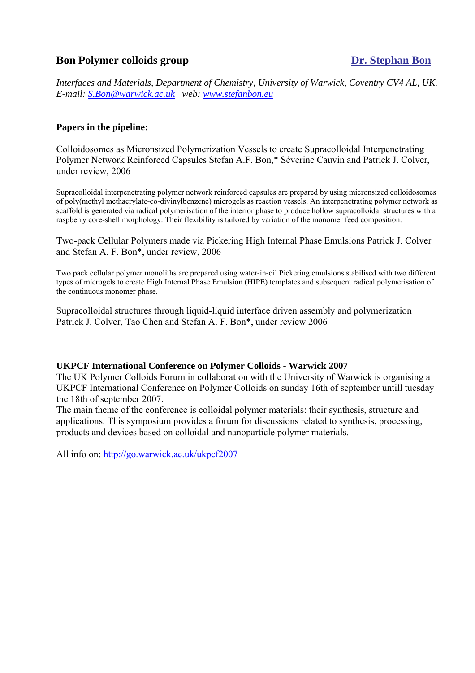### **Bon Polymer colloids group Dr. Stephan Bon**

*Interfaces and Materials, Department of Chemistry, University of Warwick, Coventry CV4 AL, UK. E-mail: S.Bon@warwick.ac.uk web: www.stefanbon.eu*

### **Papers in the pipeline:**

Colloidosomes as Micronsized Polymerization Vessels to create Supracolloidal Interpenetrating Polymer Network Reinforced Capsules Stefan A.F. Bon,\* Séverine Cauvin and Patrick J. Colver, under review, 2006

Supracolloidal interpenetrating polymer network reinforced capsules are prepared by using micronsized colloidosomes of poly(methyl methacrylate-co-divinylbenzene) microgels as reaction vessels. An interpenetrating polymer network as scaffold is generated via radical polymerisation of the interior phase to produce hollow supracolloidal structures with a raspberry core-shell morphology. Their flexibility is tailored by variation of the monomer feed composition.

Two-pack Cellular Polymers made via Pickering High Internal Phase Emulsions Patrick J. Colver and Stefan A. F. Bon\*, under review, 2006

Two pack cellular polymer monoliths are prepared using water-in-oil Pickering emulsions stabilised with two different types of microgels to create High Internal Phase Emulsion (HIPE) templates and subsequent radical polymerisation of the continuous monomer phase.

Supracolloidal structures through liquid-liquid interface driven assembly and polymerization Patrick J. Colver, Tao Chen and Stefan A. F. Bon\*, under review 2006

### **UKPCF International Conference on Polymer Colloids - Warwick 2007**

The UK Polymer Colloids Forum in collaboration with the University of Warwick is organising a UKPCF International Conference on Polymer Colloids on sunday 16th of september untill tuesday the 18th of september 2007.

The main theme of the conference is colloidal polymer materials: their synthesis, structure and applications. This symposium provides a forum for discussions related to synthesis, processing, products and devices based on colloidal and nanoparticle polymer materials.

All info on: http://go.warwick.ac.uk/ukpcf2007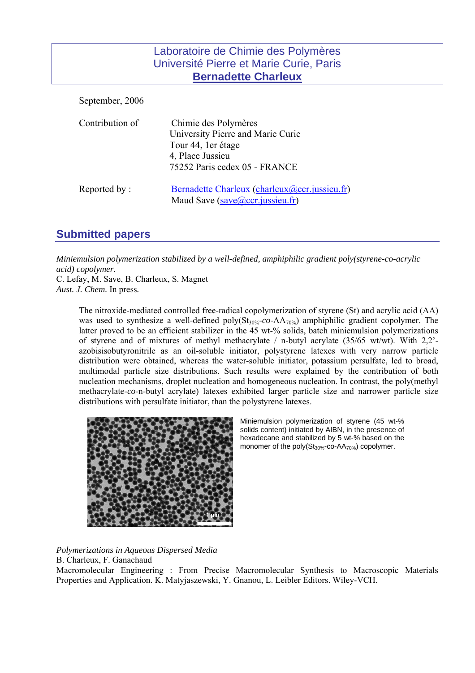### Laboratoire de Chimie des Polymères Université Pierre et Marie Curie, Paris **Bernadette Charleux**

September, 2006 Contribution of Chimie des Polymères University Pierre and Marie Curie Tour 44, 1er étage 4, Place Jussieu 75252 Paris cedex 05 - FRANCE Reported by : Bernadette Charleux (charleux *(a)* cor. jussieu.fr) Maud Save (save@ccr.jussieu.fr)

### **Submitted papers**

*Miniemulsion polymerization stabilized by a well-defined, amphiphilic gradient poly(styrene-co-acrylic acid) copolymer.* 

C. Lefay, M. Save, B. Charleux, S. Magnet *Aust. J. Chem.* In press*.* 

> The nitroxide-mediated controlled free-radical copolymerization of styrene (St) and acrylic acid (AA) was used to synthesize a well-defined poly $(St_{30\%} - co - AA_{70\%})$  amphiphilic gradient copolymer. The latter proved to be an efficient stabilizer in the 45 wt-% solids, batch miniemulsion polymerizations of styrene and of mixtures of methyl methacrylate / n-butyl acrylate (35/65 wt/wt). With 2,2' azobisisobutyronitrile as an oil-soluble initiator, polystyrene latexes with very narrow particle distribution were obtained, whereas the water-soluble initiator, potassium persulfate, led to broad, multimodal particle size distributions. Such results were explained by the contribution of both nucleation mechanisms, droplet nucleation and homogeneous nucleation. In contrast, the poly(methyl methacrylate-*co*-n-butyl acrylate) latexes exhibited larger particle size and narrower particle size distributions with persulfate initiator, than the polystyrene latexes.



Miniemulsion polymerization of styrene (45 wt-% solids content) initiated by AIBN, in the presence of hexadecane and stabilized by 5 wt-% based on the monomer of the poly(St<sub>30%</sub>-co-AA<sub>70%</sub>) copolymer.

*Polymerizations in Aqueous Dispersed Media*  B. Charleux, F. Ganachaud

Macromolecular Engineering : From Precise Macromolecular Synthesis to Macroscopic Materials Properties and Application. K. Matyjaszewski, Y. Gnanou, L. Leibler Editors. Wiley-VCH.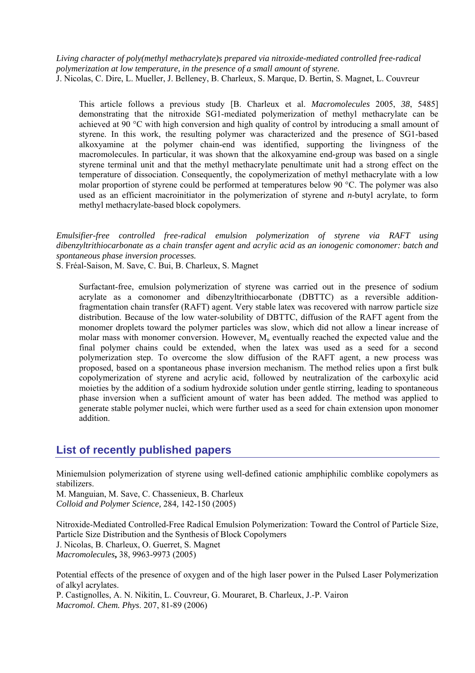*Living character of poly(methyl methacrylate)s prepared via nitroxide-mediated controlled free-radical polymerization at low temperature, in the presence of a small amount of styrene.*  J. Nicolas, C. Dire, L. Mueller, J. Belleney, B. Charleux, S. Marque, D. Bertin, S. Magnet, L. Couvreur

This article follows a previous study [B. Charleux et al. *Macromolecules* 2005, *38*, 5485] demonstrating that the nitroxide SG1-mediated polymerization of methyl methacrylate can be achieved at 90 °C with high conversion and high quality of control by introducing a small amount of styrene. In this work, the resulting polymer was characterized and the presence of SG1-based alkoxyamine at the polymer chain-end was identified, supporting the livingness of the macromolecules. In particular, it was shown that the alkoxyamine end-group was based on a single styrene terminal unit and that the methyl methacrylate penultimate unit had a strong effect on the temperature of dissociation. Consequently, the copolymerization of methyl methacrylate with a low molar proportion of styrene could be performed at temperatures below 90 °C. The polymer was also used as an efficient macroinitiator in the polymerization of styrene and *n*-butyl acrylate, to form methyl methacrylate-based block copolymers.

*Emulsifier-free controlled free-radical emulsion polymerization of styrene via RAFT using dibenzyltrithiocarbonate as a chain transfer agent and acrylic acid as an ionogenic comonomer: batch and spontaneous phase inversion processes.* 

S. Fréal-Saison, M. Save, C. Bui, B. Charleux, S. Magnet

Surfactant-free, emulsion polymerization of styrene was carried out in the presence of sodium acrylate as a comonomer and dibenzyltrithiocarbonate (DBTTC) as a reversible additionfragmentation chain transfer (RAFT) agent. Very stable latex was recovered with narrow particle size distribution. Because of the low water-solubility of DBTTC, diffusion of the RAFT agent from the monomer droplets toward the polymer particles was slow, which did not allow a linear increase of molar mass with monomer conversion. However,  $M<sub>n</sub>$  eventually reached the expected value and the final polymer chains could be extended, when the latex was used as a seed for a second polymerization step. To overcome the slow diffusion of the RAFT agent, a new process was proposed, based on a spontaneous phase inversion mechanism. The method relies upon a first bulk copolymerization of styrene and acrylic acid, followed by neutralization of the carboxylic acid moieties by the addition of a sodium hydroxide solution under gentle stirring, leading to spontaneous phase inversion when a sufficient amount of water has been added. The method was applied to generate stable polymer nuclei, which were further used as a seed for chain extension upon monomer addition.

### **List of recently published papers**

Miniemulsion polymerization of styrene using well-defined cationic amphiphilic comblike copolymers as stabilizers.

M. Manguian, M. Save, C. Chassenieux, B. Charleux *Colloid and Polymer Science,* 284*,* 142-150 (2005)

Nitroxide-Mediated Controlled-Free Radical Emulsion Polymerization: Toward the Control of Particle Size, Particle Size Distribution and the Synthesis of Block Copolymers J. Nicolas, B. Charleux, O. Guerret, S. Magnet *Macromolecules***,** 38, 9963-9973 (2005)

Potential effects of the presence of oxygen and of the high laser power in the Pulsed Laser Polymerization of alkyl acrylates.

P. Castignolles, A. N. Nikitin, L. Couvreur, G. Mouraret, B. Charleux, J.-P. Vairon *Macromol. Chem. Phys*. 207, 81-89 (2006)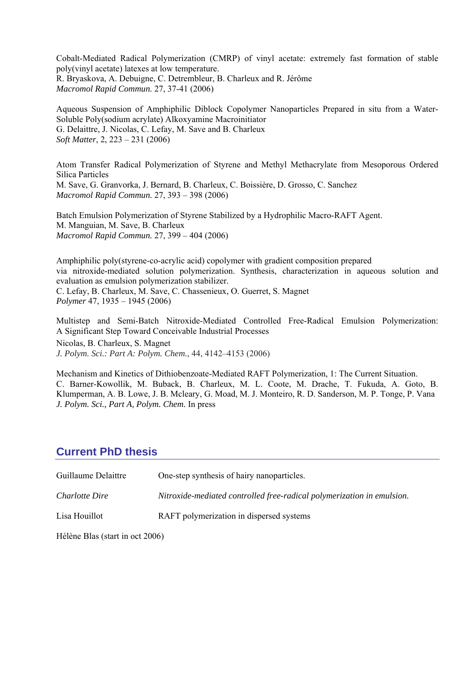Cobalt-Mediated Radical Polymerization (CMRP) of vinyl acetate: extremely fast formation of stable poly(vinyl acetate) latexes at low temperature. R. Bryaskova, A. Debuigne, C. Detrembleur, B. Charleux and R. Jérôme *Macromol Rapid Commun.* 27, 37-41 (2006)

Aqueous Suspension of Amphiphilic Diblock Copolymer Nanoparticles Prepared in situ from a Water-Soluble Poly(sodium acrylate) Alkoxyamine Macroinitiator G. Delaittre, J. Nicolas, C. Lefay, M. Save and B. Charleux *Soft Matter*, 2, 223 – 231 (2006)

Atom Transfer Radical Polymerization of Styrene and Methyl Methacrylate from Mesoporous Ordered Silica Particles M. Save, G. Granvorka, J. Bernard, B. Charleux, C. Boissière, D. Grosso, C. Sanchez *Macromol Rapid Commun.* 27, 393 – 398 (2006)

Batch Emulsion Polymerization of Styrene Stabilized by a Hydrophilic Macro-RAFT Agent. M. Manguian, M. Save, B. Charleux *Macromol Rapid Commun.* 27, 399 – 404 (2006)

Amphiphilic poly(styrene-co-acrylic acid) copolymer with gradient composition prepared via nitroxide-mediated solution polymerization. Synthesis, characterization in aqueous solution and evaluation as emulsion polymerization stabilizer. C. Lefay, B. Charleux, M. Save, C. Chassenieux, O. Guerret, S. Magnet *Polymer* 47, 1935 – 1945 (2006)

Multistep and Semi-Batch Nitroxide-Mediated Controlled Free-Radical Emulsion Polymerization: A Significant Step Toward Conceivable Industrial Processes Nicolas, B. Charleux, S. Magnet *J. Polym. Sci.: Part A: Polym. Chem.*, 44, 4142–4153 (2006)

Mechanism and Kinetics of Dithiobenzoate-Mediated RAFT Polymerization, 1: The Current Situation. C. Barner-Kowollik, M. Buback, B. Charleux, M. L. Coote, M. Drache, T. Fukuda, A. Goto, B. Klumperman, A. B. Lowe, J. B. Mcleary, G. Moad, M. J. Monteiro, R. D. Sanderson, M. P. Tonge, P. Vana *J. Polym. Sci., Part A, Polym. Chem.* In press

### **Current PhD thesis**

| Guillaume Delaittre          | One-step synthesis of hairy nanoparticles.                             |
|------------------------------|------------------------------------------------------------------------|
| Charlotte Dire               | Nitroxide-mediated controlled free-radical polymerization in emulsion. |
| Lisa Houillot                | RAFT polymerization in dispersed systems                               |
| $TT/12 \quad T1$ (i) $T2000$ |                                                                        |

Hélène Blas (start in oct 2006)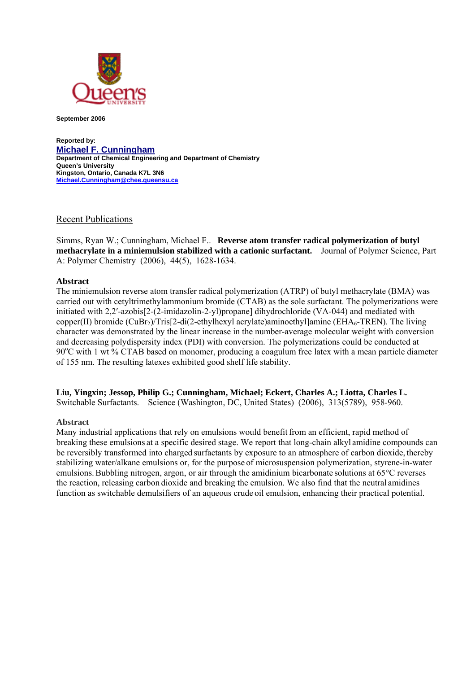

**September 2006** 

**Reported by: Michael F. Cunningham Department of Chemical Engineering and Department of Chemistry Queen's University Kingston, Ontario, Canada K7L 3N6 Michael.Cunningham@chee.queensu.ca**

### **Recent Publications**

Simms, Ryan W.; Cunningham, Michael F.. **Reverse atom transfer radical polymerization of butyl methacrylate in a miniemulsion stabilized with a cationic surfactant.** Journal of Polymer Science, Part A: Polymer Chemistry (2006), 44(5), 1628-1634.

### **Abstract**

The miniemulsion reverse atom transfer radical polymerization (ATRP) of butyl methacrylate (BMA) was carried out with cetyltrimethylammonium bromide (CTAB) as the sole surfactant. The polymerizations were initiated with 2,2′-azobis[2-(2-imidazolin-2-yl)propane] dihydrochloride (VA-044) and mediated with copper(II) bromide  $(CuBr_2)/Tris[2-di(2-ethylhexyl acrylate)aminoethyl]amine (EHA<sub>6</sub>-TREN)$ . The living character was demonstrated by the linear increase in the number-average molecular weight with conversion and decreasing polydispersity index (PDI) with conversion. The polymerizations could be conducted at 90°C with 1 wt % CTAB based on monomer, producing a coagulum free latex with a mean particle diameter of 155 nm. The resulting latexes exhibited good shelf life stability.

**Liu, Yingxin; Jessop, Philip G.; Cunningham, Michael; Eckert, Charles A.; Liotta, Charles L.**  Switchable Surfactants.Science (Washington, DC, United States) (2006), 313(5789), 958-960.

### **Abstract**

Many industrial applications that rely on emulsions would benefit from an efficient, rapid method of breaking these emulsions at a specific desired stage. We report that long-chain alkyl amidine compounds can be reversibly transformed into charged surfactants by exposure to an atmosphere of carbon dioxide, thereby stabilizing water/alkane emulsions or, for the purpose of microsuspension polymerization, styrene-in-water emulsions.Bubbling nitrogen, argon, or air through the amidinium bicarbonate solutions at 65°C reverses the reaction, releasing carbon dioxide and breaking the emulsion. We also find that the neutral amidines function as switchable demulsifiers of an aqueous crude oil emulsion, enhancing their practical potential.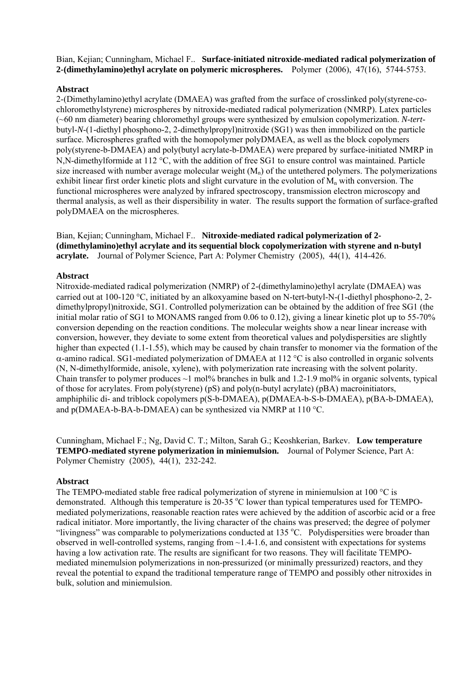Bian, Kejian; Cunningham, Michael F.. **Surface-initiated nitroxide-mediated radical polymerization of 2-(dimethylamino)ethyl acrylate on polymeric microspheres.** Polymer (2006), 47(16), 5744-5753.

### **Abstract**

2-(Dimethylamino)ethyl acrylate (DMAEA) was grafted from the surface of crosslinked poly(styrene-cochloromethylstyrene) microspheres by nitroxide-mediated radical polymerization (NMRP). Latex particles (~60 nm diameter) bearing chloromethyl groups were synthesized by emulsion copolymerization. *N*-*tert*butyl-*N*-(1-diethyl phosphono-2, 2-dimethylpropyl)nitroxide (SG1) was then immobilized on the particle surface. Microspheres grafted with the homopolymer polyDMAEA, as well as the block copolymers poly(styrene-b-DMAEA) and poly(butyl acrylate-b-DMAEA) were prepared by surface-initiated NMRP in N,N-dimethylformide at 112 °C, with the addition of free SG1 to ensure control was maintained. Particle size increased with number average molecular weight  $(M_n)$  of the untethered polymers. The polymerizations exhibit linear first order kinetic plots and slight curvature in the evolution of  $M_n$  with conversion. The functional microspheres were analyzed by infrared spectroscopy, transmission electron microscopy and thermal analysis, as well as their dispersibility in water. The results support the formation of surface-grafted polyDMAEA on the microspheres.

Bian, Kejian; Cunningham, Michael F.. **Nitroxide-mediated radical polymerization of 2- (dimethylamino)ethyl acrylate and its sequential block copolymerization with styrene and n-butyl acrylate.** Journal of Polymer Science, Part A: Polymer Chemistry (2005), 44(1), 414-426.

### **Abstract**

Nitroxide-mediated radical polymerization (NMRP) of 2-(dimethylamino)ethyl acrylate (DMAEA) was carried out at 100-120 °C, initiated by an alkoxyamine based on N-tert-butyl-N-(1-diethyl phosphono-2, 2 dimethylpropyl)nitroxide, SG1. Controlled polymerization can be obtained by the addition of free SG1 (the initial molar ratio of SG1 to MONAMS ranged from 0.06 to 0.12), giving a linear kinetic plot up to 55-70% conversion depending on the reaction conditions. The molecular weights show a near linear increase with conversion, however, they deviate to some extent from theoretical values and polydispersities are slightly higher than expected (1.1-1.55), which may be caused by chain transfer to monomer via the formation of the α-amino radical. SG1-mediated polymerization of DMAEA at 112 °C is also controlled in organic solvents (N, N-dimethylformide, anisole, xylene), with polymerization rate increasing with the solvent polarity. Chain transfer to polymer produces  $\sim$ 1 mol% branches in bulk and 1.2-1.9 mol% in organic solvents, typical of those for acrylates. From poly(styrene) (pS) and poly(n-butyl acrylate) (pBA) macroinitiators, amphiphilic di- and triblock copolymers p(S-b-DMAEA), p(DMAEA-b-S-b-DMAEA), p(BA-b-DMAEA), and p(DMAEA-b-BA-b-DMAEA) can be synthesized via NMRP at 110 °C.

Cunningham, Michael F.; Ng, David C. T.; Milton, Sarah G.; Keoshkerian, Barkev. **Low temperature TEMPO-mediated styrene polymerization in miniemulsion.** Journal of Polymer Science, Part A: Polymer Chemistry (2005), 44(1), 232-242.

### **Abstract**

The TEMPO-mediated stable free radical polymerization of styrene in miniemulsion at 100 °C is demonstrated. Although this temperature is 20-35 °C lower than typical temperatures used for TEMPOmediated polymerizations, reasonable reaction rates were achieved by the addition of ascorbic acid or a free radical initiator. More importantly, the living character of the chains was preserved; the degree of polymer "livingness" was comparable to polymerizations conducted at 135 °C. Polydispersities were broader than observed in well-controlled systems, ranging from  $\sim$  1.4-1.6, and consistent with expectations for systems having a low activation rate. The results are significant for two reasons. They will facilitate TEMPOmediated minemulsion polymerizations in non-pressurized (or minimally pressurized) reactors, and they reveal the potential to expand the traditional temperature range of TEMPO and possibly other nitroxides in bulk, solution and miniemulsion.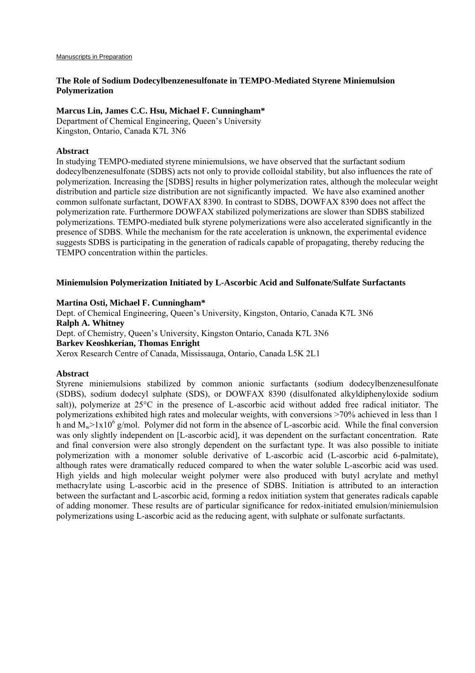### **The Role of Sodium Dodecylbenzenesulfonate in TEMPO-Mediated Styrene Miniemulsion Polymerization**

### **Marcus Lin, James C.C. Hsu, Michael F. Cunningham\***

Department of Chemical Engineering, Queen's University Kingston, Ontario, Canada K7L 3N6

### **Abstract**

In studying TEMPO-mediated styrene miniemulsions, we have observed that the surfactant sodium dodecylbenzenesulfonate (SDBS) acts not only to provide colloidal stability, but also influences the rate of polymerization. Increasing the [SDBS] results in higher polymerization rates, although the molecular weight distribution and particle size distribution are not significantly impacted. We have also examined another common sulfonate surfactant, DOWFAX 8390. In contrast to SDBS, DOWFAX 8390 does not affect the polymerization rate. Furthermore DOWFAX stabilized polymerizations are slower than SDBS stabilized polymerizations. TEMPO-mediated bulk styrene polymerizations were also accelerated significantly in the presence of SDBS. While the mechanism for the rate acceleration is unknown, the experimental evidence suggests SDBS is participating in the generation of radicals capable of propagating, thereby reducing the TEMPO concentration within the particles.

#### **Miniemulsion Polymerization Initiated by L-Ascorbic Acid and Sulfonate/Sulfate Surfactants**

#### **Martina Osti, Michael F. Cunningham\***

Dept. of Chemical Engineering, Queen's University, Kingston, Ontario, Canada K7L 3N6 **Ralph A. Whitney**  Dept. of Chemistry, Queen's University, Kingston Ontario, Canada K7L 3N6 **Barkev Keoshkerian, Thomas Enright**  Xerox Research Centre of Canada, Mississauga, Ontario, Canada L5K 2L1

#### **Abstract**

Styrene miniemulsions stabilized by common anionic surfactants (sodium dodecylbenzenesulfonate (SDBS), sodium dodecyl sulphate (SDS), or DOWFAX 8390 (disulfonated alkyldiphenyloxide sodium salt)), polymerize at 25°C in the presence of L-ascorbic acid without added free radical initiator. The polymerizations exhibited high rates and molecular weights, with conversions >70% achieved in less than 1 h and  $M_w > 1x10^6$  g/mol. Polymer did not form in the absence of L-ascorbic acid. While the final conversion was only slightly independent on [L-ascorbic acid], it was dependent on the surfactant concentration. Rate and final conversion were also strongly dependent on the surfactant type. It was also possible to initiate polymerization with a monomer soluble derivative of L-ascorbic acid (L-ascorbic acid 6-palmitate), although rates were dramatically reduced compared to when the water soluble L-ascorbic acid was used. High yields and high molecular weight polymer were also produced with butyl acrylate and methyl methacrylate using L-ascorbic acid in the presence of SDBS. Initiation is attributed to an interaction between the surfactant and L-ascorbic acid, forming a redox initiation system that generates radicals capable of adding monomer. These results are of particular significance for redox-initiated emulsion/miniemulsion polymerizations using L-ascorbic acid as the reducing agent, with sulphate or sulfonate surfactants.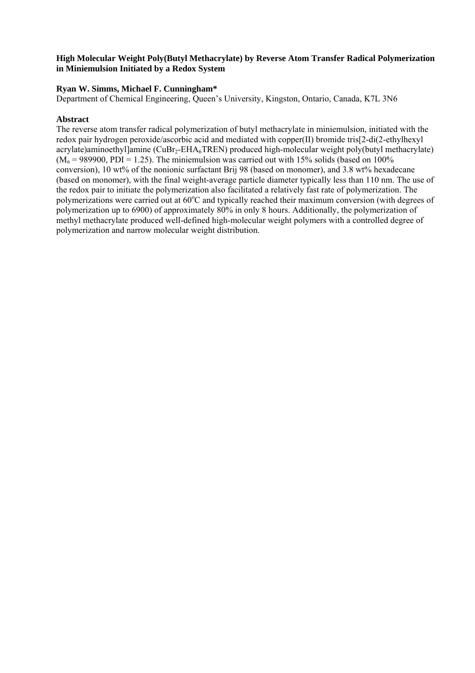### **High Molecular Weight Poly(Butyl Methacrylate) by Reverse Atom Transfer Radical Polymerization in Miniemulsion Initiated by a Redox System**

### **Ryan W. Simms, Michael F. Cunningham\***

Department of Chemical Engineering, Queen's University, Kingston, Ontario, Canada, K7L 3N6

### **Abstract**

The reverse atom transfer radical polymerization of butyl methacrylate in miniemulsion, initiated with the redox pair hydrogen peroxide/ascorbic acid and mediated with copper(II) bromide tris[2-di(2-ethylhexyl acrylate)aminoethyl]amine ( $\text{CuBr}_2\text{-EHA}_6\text{TREN}$ ) produced high-molecular weight poly(butyl methacrylate)  $(M_n = 989900, PDI = 1.25)$ . The miniemulsion was carried out with 15% solids (based on 100%) conversion), 10 wt% of the nonionic surfactant Brij 98 (based on monomer), and 3.8 wt% hexadecane (based on monomer), with the final weight-average particle diameter typically less than 110 nm. The use of the redox pair to initiate the polymerization also facilitated a relatively fast rate of polymerization. The polymerizations were carried out at 60°C and typically reached their maximum conversion (with degrees of polymerization up to 6900) of approximately 80% in only 8 hours. Additionally, the polymerization of methyl methacrylate produced well-defined high-molecular weight polymers with a controlled degree of polymerization and narrow molecular weight distribution.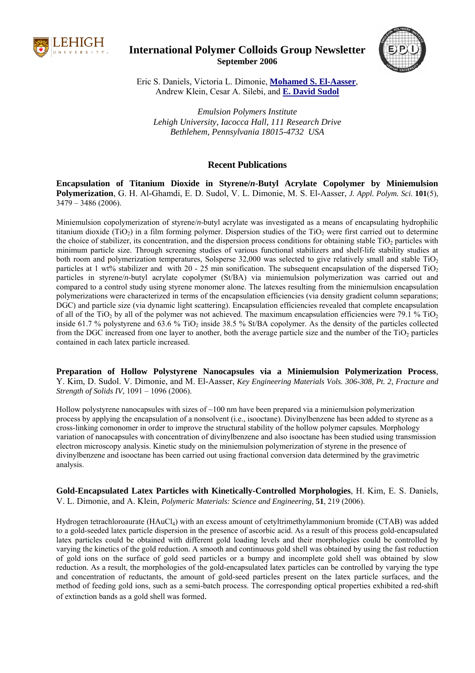

**International Polymer Colloids Group Newsletter September 2006** 



Eric S. Daniels, Victoria L. Dimonie, **Mohamed S. El-Aasser**, Andrew Klein, Cesar A. Silebi, and **E. David Sudol**

*Emulsion Polymers Institute Lehigh University, Iacocca Hall, 111 Research Drive Bethlehem, Pennsylvania 18015-4732 USA*

### **Recent Publications**

**Encapsulation of Titanium Dioxide in Styrene/***n***-Butyl Acrylate Copolymer by Miniemulsion Polymerization**, G. H. Al-Ghamdi, E. D. Sudol, V. L. Dimonie, M. S. El-Aasser, *J. Appl. Polym. Sci.* **101**(5),  $3479 - 3486(2006)$ .

Miniemulsion copolymerization of styrene/*n*-butyl acrylate was investigated as a means of encapsulating hydrophilic titanium dioxide (TiO<sub>2</sub>) in a film forming polymer. Dispersion studies of the TiO<sub>2</sub> were first carried out to determine the choice of stabilizer, its concentration, and the dispersion process conditions for obtaining stable  $TiO<sub>2</sub>$  particles with minimum particle size. Through screening studies of various functional stabilizers and shelf-life stability studies at both room and polymerization temperatures, Solsperse  $32,000$  was selected to give relatively small and stable TiO<sub>2</sub> particles at 1 wt% stabilizer and with 20 - 25 min sonification. The subsequent encapsulation of the dispersed TiO<sub>2</sub> particles in styrene/*n*-butyl acrylate copolymer (St/BA) via miniemulsion polymerization was carried out and compared to a control study using styrene monomer alone. The latexes resulting from the miniemulsion encapsulation polymerizations were characterized in terms of the encapsulation efficiencies (via density gradient column separations; DGC) and particle size (via dynamic light scattering). Encapsulation efficiencies revealed that complete encapsulation of all of the TiO<sub>2</sub> by all of the polymer was not achieved. The maximum encapsulation efficiencies were 79.1 % TiO<sub>2</sub> inside 61.7 % polystyrene and 63.6 %  $TiO<sub>2</sub>$  inside 38.5 % St/BA copolymer. As the density of the particles collected from the DGC increased from one layer to another, both the average particle size and the number of the TiO<sub>2</sub> particles contained in each latex particle increased.

**Preparation of Hollow Polystyrene Nanocapsules via a Miniemulsion Polymerization Process**, Y. Kim, D. Sudol. V. Dimonie, and M. El-Aasser, *Key Engineering Materials Vols. 306-308, Pt. 2, Fracture and Strength of Solids IV*, 1091 – 1096 (2006).

Hollow polystyrene nanocapsules with sizes of  $\sim$ 100 nm have been prepared via a miniemulsion polymerization process by applying the encapsulation of a nonsolvent (i.e., isooctane). Divinylbenzene has been added to styrene as a cross-linking comonomer in order to improve the structural stability of the hollow polymer capsules. Morphology variation of nanocapsules with concentration of divinylbenzene and also isooctane has been studied using transmission electron microscopy analysis. Kinetic study on the miniemulsion polymerization of styrene in the presence of divinylbenzene and isooctane has been carried out using fractional conversion data determined by the gravimetric analysis.

**Gold-Encapsulated Latex Particles with Kinetically-Controlled Morphologies**, H. Kim, E. S. Daniels, V. L. Dimonie, and A. Klein, *Polymeric Materials: Science and Engineering,* **51**, 219 (2006).

Hydrogen tetrachloroaurate (HAuCl4) with an excess amount of cetyltrimethylammonium bromide (CTAB) was added to a gold-seeded latex particle dispersion in the presence of ascorbic acid. As a result of this process gold-encapsulated latex particles could be obtained with different gold loading levels and their morphologies could be controlled by varying the kinetics of the gold reduction. A smooth and continuous gold shell was obtained by using the fast reduction of gold ions on the surface of gold seed particles or a bumpy and incomplete gold shell was obtained by slow reduction. As a result, the morphologies of the gold-encapsulated latex particles can be controlled by varying the type and concentration of reductants, the amount of gold-seed particles present on the latex particle surfaces, and the method of feeding gold ions, such as a semi-batch process. The corresponding optical properties exhibited a red-shift of extinction bands as a gold shell was formed.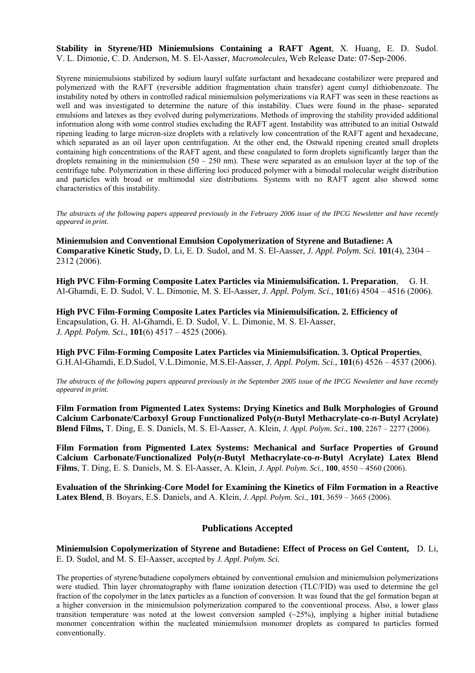**Stability in Styrene/HD Miniemulsions Containing a RAFT Agent**, X. Huang, E. D. Sudol. V. L. Dimonie, C. D. Anderson, M. S. El-Aasser, *Macromolecules,* Web Release Date: 07-Sep-2006.

Styrene miniemulsions stabilized by sodium lauryl sulfate surfactant and hexadecane costabilizer were prepared and polymerized with the RAFT (reversible addition fragmentation chain transfer) agent cumyl dithiobenzoate. The instability noted by others in controlled radical miniemulsion polymerizations via RAFT was seen in these reactions as well and was investigated to determine the nature of this instability. Clues were found in the phase- separated emulsions and latexes as they evolved during polymerizations. Methods of improving the stability provided additional information along with some control studies excluding the RAFT agent. Instability was attributed to an initial Ostwald ripening leading to large micron-size droplets with a relatively low concentration of the RAFT agent and hexadecane, which separated as an oil layer upon centrifugation. At the other end, the Ostwald ripening created small droplets containing high concentrations of the RAFT agent, and these coagulated to form droplets significantly larger than the droplets remaining in the miniemulsion  $(50 - 250 \text{ nm})$ . These were separated as an emulsion layer at the top of the centrifuge tube. Polymerization in these differing loci produced polymer with a bimodal molecular weight distribution and particles with broad or multimodal size distributions. Systems with no RAFT agent also showed some characteristics of this instability.

*The abstracts of the following papers appeared previously in the February 2006 issue of the IPCG Newsletter and have recently appeared in print.* 

**Miniemulsion and Conventional Emulsion Copolymerization of Styrene and Butadiene: A Comparative Kinetic Study,** D. Li, E. D. Sudol, and M. S. El-Aasser, *J. Appl. Polym. Sci.* **101**(4), 2304 – 2312 (2006).

**High PVC Film-Forming Composite Latex Particles via Miniemulsification. 1. Preparation**, G. H. Al-Ghamdi, E. D. Sudol, V. L. Dimonie, M. S. El-Aasser, *J. Appl. Polym. Sci.,* **101**(6) 4504 – 4516 (2006).

**High PVC Film-Forming Composite Latex Particles via Miniemulsification. 2. Efficiency of**  Encapsulation, G. H. Al-Ghamdi, E. D. Sudol, V. L. Dimonie, M. S. El-Aasser, *J. Appl. Polym. Sci.,* **101**(6) 4517 – 4525 (2006).

**High PVC Film-Forming Composite Latex Particles via Miniemulsification. 3. Optical Properties**, G.H.Al-Ghamdi, E.D.Sudol, V.L.Dimonie, M.S.El-Aasser, *J. Appl. Polym. Sci.,* **101**(6) 4526 – 4537 (2006).

*The abstracts of the following papers appeared previously in the September 2005 issue of the IPCG Newsletter and have recently appeared in print.* 

**Film Formation from Pigmented Latex Systems: Drying Kinetics and Bulk Morphologies of Ground Calcium Carbonate/Carboxyl Group Functionalized Poly(***n***-Butyl Methacrylate-co-***n***-Butyl Acrylate) Blend Films,** T. Ding, E. S. Daniels, M. S. El-Aasser, A. Klein, *J. Appl. Polym. Sci*., **100**, 2267 – 2277 (2006).

**Film Formation from Pigmented Latex Systems: Mechanical and Surface Properties of Ground Calcium Carbonate/Functionalized Poly(***n***-Butyl Methacrylate-co-***n***-Butyl Acrylate) Latex Blend Films**, T. Ding, E. S. Daniels, M. S. El-Aasser, A. Klein, *J. Appl. Polym. Sci*., **100**, 4550 – 4560 (2006).

**Evaluation of the Shrinking-Core Model for Examining the Kinetics of Film Formation in a Reactive Latex Blend**, B. Boyars, E.S. Daniels, and A. Klein, *J. Appl. Polym. Sci.,* **101**, 3659 – 3665 (2006).

### **Publications Accepted**

**Miniemulsion Copolymerization of Styrene and Butadiene: Effect of Process on Gel Content,** D. Li, E. D. Sudol, and M. S. El-Aasser, accepted by *J. Appl. Polym. Sci.* 

The properties of styrene/butadiene copolymers obtained by conventional emulsion and miniemulsion polymerizations were studied. Thin layer chromatography with flame ionization detection (TLC/FID) was used to determine the gel fraction of the copolymer in the latex particles as a function of conversion. It was found that the gel formation began at a higher conversion in the miniemulsion polymerization compared to the conventional process. Also, a lower glass transition temperature was noted at the lowest conversion sampled  $(-25%)$ , implying a higher initial butadiene monomer concentration within the nucleated miniemulsion monomer droplets as compared to particles formed conventionally.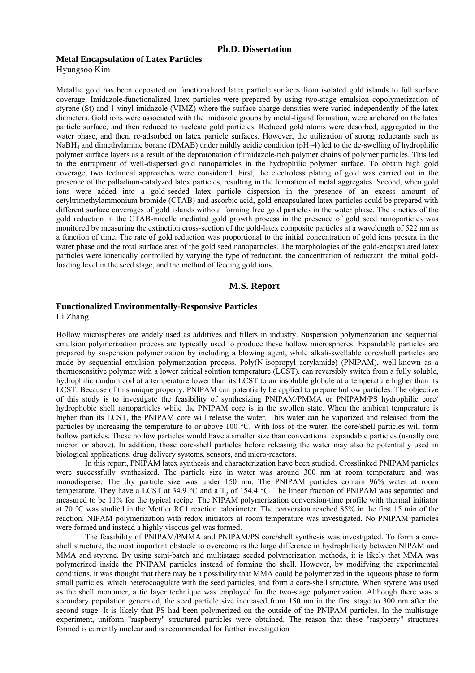#### **Ph.D. Dissertation**

#### **Metal Encapsulation of Latex Particles**

Hyungsoo Kim

Metallic gold has been deposited on functionalized latex particle surfaces from isolated gold islands to full surface coverage. Imidazole-functionalized latex particles were prepared by using two-stage emulsion copolymerization of styrene (St) and 1-vinyl imidazole (VIMZ) where the surface-charge densities were varied independently of the latex diameters. Gold ions were associated with the imidazole groups by metal-ligand formation, were anchored on the latex particle surface, and then reduced to nucleate gold particles. Reduced gold atoms were desorbed, aggregated in the water phase, and then, re-adsorbed on latex particle surfaces. However, the utilization of strong reductants such as NaBH<sub>4</sub> and dimethylamine borane (DMAB) under mildly acidic condition (pH~4) led to the de-swelling of hydrophilic polymer surface layers as a result of the deprotonation of imidazole-rich polymer chains of polymer particles. This led to the entrapment of well-dispersed gold nanoparticles in the hydrophilic polymer surface. To obtain high gold coverage, two technical approaches were considered. First, the electroless plating of gold was carried out in the presence of the palladium-catalyzed latex particles, resulting in the formation of metal aggregates. Second, when gold ions were added into a gold-seeded latex particle dispersion in the presence of an excess amount of cetyltrimethylammonium bromide (CTAB) and ascorbic acid, gold-encapsulated latex particles could be prepared with different surface coverages of gold islands without forming free gold particles in the water phase. The kinetics of the gold reduction in the CTAB-micelle mediated gold growth process in the presence of gold seed nanoparticles was monitored by measuring the extinction cross-section of the gold-latex composite particles at a wavelength of 522 nm as a function of time. The rate of gold reduction was proportional to the initial concentration of gold ions present in the water phase and the total surface area of the gold seed nanoparticles. The morphologies of the gold-encapsulated latex particles were kinetically controlled by varying the type of reductant, the concentration of reductant, the initial goldloading level in the seed stage, and the method of feeding gold ions.

#### **M.S. Report**

### **Functionalized Environmentally-Responsive Particles**

Li Zhang

Hollow microspheres are widely used as additives and fillers in industry. Suspension polymerization and sequential emulsion polymerization process are typically used to produce these hollow microspheres. Expandable particles are prepared by suspension polymerization by including a blowing agent, while alkali-swellable core/shell particles are made by sequential emulsion polymerization process. Poly(N-isopropyl acrylamide) (PNIPAM), well-known as a thermosensitive polymer with a lower critical solution temperature (LCST), can reversibly switch from a fully soluble, hydrophilic random coil at a temperature lower than its LCST to an insoluble globule at a temperature higher than its LCST. Because of this unique property, PNIPAM can potentially be applied to prepare hollow particles. The objective of this study is to investigate the feasibility of synthesizing PNIPAM/PMMA or PNIPAM/PS hydrophilic core/ hydrophobic shell nanoparticles while the PNIPAM core is in the swollen state. When the ambient temperature is higher than its LCST, the PNIPAM core will release the water. This water can be vaporized and released from the particles by increasing the temperature to or above 100 °C. With loss of the water, the core/shell particles will form hollow particles. These hollow particles would have a smaller size than conventional expandable particles (usually one micron or above). In addition, those core-shell particles before releasing the water may also be potentially used in biological applications, drug delivery systems, sensors, and micro-reactors.

 In this report, PNIPAM latex synthesis and characterization have been studied. Crosslinked PNIPAM particles were successfully synthesized. The particle size in water was around 300 nm at room temperature and was monodisperse. The dry particle size was under 150 nm. The PNIPAM particles contain 96% water at room temperature. They have a LCST at 34.9 °C and a  $T_g$  of 154.4 °C. The linear fraction of PNIPAM was separated and measured to be 11% for the typical recipe. The NIPAM polymerization conversion-time profile with thermal initiator at 70 °C was studied in the Mettler RC1 reaction calorimeter. The conversion reached 85% in the first 15 min of the reaction. NIPAM polymerization with redox initiators at room temperature was investigated. No PNIPAM particles were formed and instead a highly viscous gel was formed.

 The feasibility of PNIPAM/PMMA and PNIPAM/PS core/shell synthesis was investigated. To form a coreshell structure, the most important obstacle to overcome is the large difference in hydrophilicity between NIPAM and MMA and styrene. By using semi-batch and multistage seeded polymerization methods, it is likely that MMA was polymerized inside the PNIPAM particles instead of forming the shell. However, by modifying the experimental conditions, it was thought that there may be a possibility that MMA could be polymerized in the aqueous phase to form small particles, which heterocoagulate with the seed particles, and form a core-shell structure. When styrene was used as the shell monomer, a tie layer technique was employed for the two-stage polymerization. Although there was a secondary population generated, the seed particle size increased from 150 nm in the first stage to 300 nm after the second stage. It is likely that PS had been polymerized on the outside of the PNIPAM particles. In the multistage experiment, uniform "raspberry" structured particles were obtained. The reason that these "raspberry" structures formed is currently unclear and is recommended for further investigation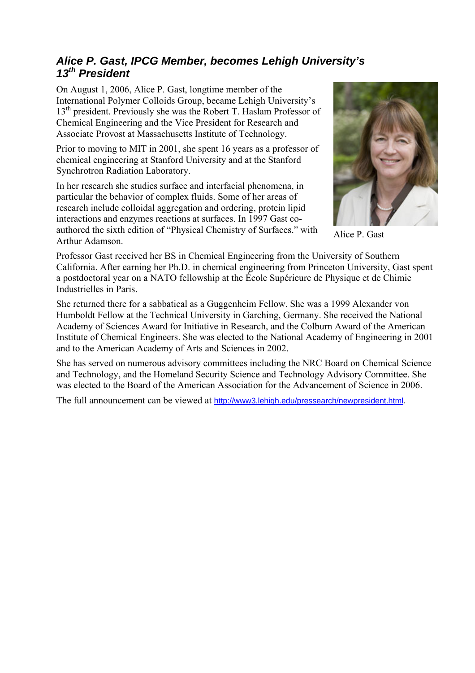### *Alice P. Gast, IPCG Member, becomes Lehigh University's 13th President*

On August 1, 2006, Alice P. Gast, longtime member of the International Polymer Colloids Group, became Lehigh University's 13<sup>th</sup> president. Previously she was the Robert T. Haslam Professor of Chemical Engineering and the Vice President for Research and Associate Provost at Massachusetts Institute of Technology.

Prior to moving to MIT in 2001, she spent 16 years as a professor of chemical engineering at Stanford University and at the Stanford Synchrotron Radiation Laboratory.

In her research she studies surface and interfacial phenomena, in particular the behavior of complex fluids. Some of her areas of research include colloidal aggregation and ordering, protein lipid interactions and enzymes reactions at surfaces. In 1997 Gast coauthored the sixth edition of "Physical Chemistry of Surfaces." with Arthur Adamson.



Alice P. Gast

Professor Gast received her BS in Chemical Engineering from the University of Southern California. After earning her Ph.D. in chemical engineering from Princeton University, Gast spent a postdoctoral year on a NATO fellowship at the École Supérieure de Physique et de Chimie Industrielles in Paris.

She returned there for a sabbatical as a Guggenheim Fellow. She was a 1999 Alexander von Humboldt Fellow at the Technical University in Garching, Germany. She received the National Academy of Sciences Award for Initiative in Research, and the Colburn Award of the American Institute of Chemical Engineers. She was elected to the National Academy of Engineering in 2001 and to the American Academy of Arts and Sciences in 2002.

She has served on numerous advisory committees including the NRC Board on Chemical Science and Technology, and the Homeland Security Science and Technology Advisory Committee. She was elected to the Board of the American Association for the Advancement of Science in 2006.

The full announcement can be viewed at http://www3.lehigh.edu/pressearch/newpresident.html.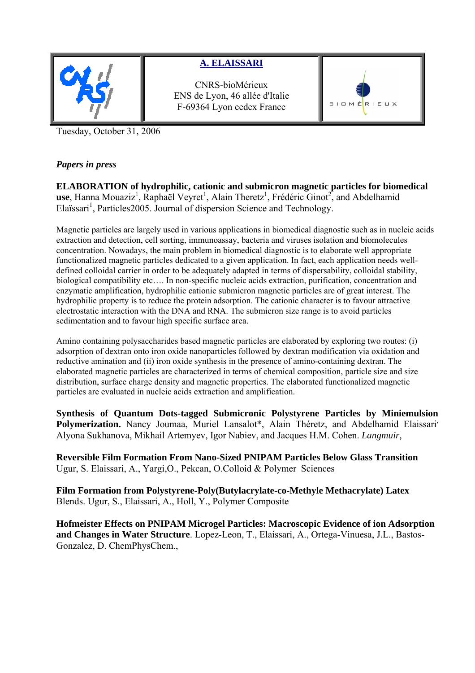

### **A. ELAISSARI**

CNRS-bioMérieux ENS de Lyon, 46 allée d'Italie F-69364 Lyon cedex France



Tuesday, October 31, 2006

### *Papers in press*

**ELABORATION of hydrophilic, cationic and submicron magnetic particles for biomedical**  use, Hanna Mouaziz<sup>1</sup>, Raphaël Veyret<sup>1</sup>, Alain Theretz<sup>1</sup>, Frédéric Ginot<sup>2</sup>, and Abdelhamid Elaïssari<sup>1</sup>, Particles2005. Journal of dispersion Science and Technology.

Magnetic particles are largely used in various applications in biomedical diagnostic such as in nucleic acids extraction and detection, cell sorting, immunoassay, bacteria and viruses isolation and biomolecules concentration. Nowadays, the main problem in biomedical diagnostic is to elaborate well appropriate functionalized magnetic particles dedicated to a given application. In fact, each application needs welldefined colloidal carrier in order to be adequately adapted in terms of dispersability, colloidal stability, biological compatibility etc…. In non-specific nucleic acids extraction, purification, concentration and enzymatic amplification, hydrophilic cationic submicron magnetic particles are of great interest. The hydrophilic property is to reduce the protein adsorption. The cationic character is to favour attractive electrostatic interaction with the DNA and RNA. The submicron size range is to avoid particles sedimentation and to favour high specific surface area.

Amino containing polysaccharides based magnetic particles are elaborated by exploring two routes: (i) adsorption of dextran onto iron oxide nanoparticles followed by dextran modification via oxidation and reductive amination and (ii) iron oxide synthesis in the presence of amino-containing dextran. The elaborated magnetic particles are characterized in terms of chemical composition, particle size and size distribution, surface charge density and magnetic properties. The elaborated functionalized magnetic particles are evaluated in nucleic acids extraction and amplification.

**Synthesis of Quantum Dots-tagged Submicronic Polystyrene Particles by Miniemulsion**  Polymerization. Nancy Joumaa, Muriel Lansalot\*, Alain Théretz, and Abdelhamid Elaissari<sup>,</sup> Alyona Sukhanova, Mikhail Artemyev, Igor Nabiev, and Jacques H.M. Cohen. *Langmuir,* 

**Reversible Film Formation From Nano-Sized PNIPAM Particles Below Glass Transition** Ugur, S. Elaissari, A., Yargi,O., Pekcan, O.Colloid & Polymer Sciences

**Film Formation from Polystyrene-Poly(Butylacrylate-co-Methyle Methacrylate) Latex** Blends. Ugur, S., Elaissari, A., Holl, Y., Polymer Composite

**Hofmeister Effects on PNIPAM Microgel Particles: Macroscopic Evidence of ion Adsorption and Changes in Water Structure**. Lopez-Leon, T., Elaissari, A., Ortega-Vinuesa, J.L., Bastos-Gonzalez, D. ChemPhysChem.,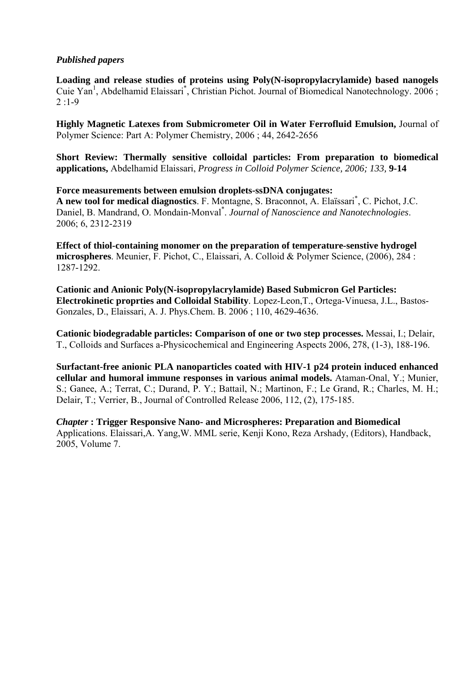### *Published papers*

**Loading and release studies of proteins using Poly(N-isopropylacrylamide) based nanogels** Cuie Yan<sup>1</sup>, Abdelhamid Elaissari<sup>\*</sup>, Christian Pichot. Journal of Biomedical Nanotechnology. 2006;  $2:1-9$ 

**Highly Magnetic Latexes from Submicrometer Oil in Water Ferrofluid Emulsion,** Journal of Polymer Science: Part A: Polymer Chemistry, 2006 ; 44, 2642-2656

**Short Review: Thermally sensitive colloidal particles: From preparation to biomedical applications,** Abdelhamid Elaissari, *Progress in Colloid Polymer Science, 2006; 133,* **9-14** 

**Force measurements between emulsion droplets-ssDNA conjugates: A new tool for medical diagnostics**. F. Montagne, S. Braconnot, A. Elaïssari\* , C. Pichot, J.C. Daniel, B. Mandrand, O. Mondain-Monval\* . *Journal of Nanoscience and Nanotechnologies*. 2006; 6, 2312-2319

**Effect of thiol-containing monomer on the preparation of temperature-senstive hydrogel microspheres**. Meunier, F. Pichot, C., Elaissari, A. Colloid & Polymer Science, (2006), 284 : 1287-1292.

**Cationic and Anionic Poly(N-isopropylacrylamide) Based Submicron Gel Particles: Electrokinetic proprties and Colloidal Stability**. Lopez-Leon,T., Ortega-Vinuesa, J.L., Bastos-Gonzales, D., Elaissari, A. J. Phys.Chem. B. 2006 ; 110, 4629-4636.

**Cationic biodegradable particles: Comparison of one or two step processes.** Messai, I.; Delair, T., Colloids and Surfaces a-Physicochemical and Engineering Aspects 2006, 278, (1-3), 188-196.

**Surfactant-free anionic PLA nanoparticles coated with HIV-1 p24 protein induced enhanced cellular and humoral immune responses in various animal models.** Ataman-Onal, Y.; Munier, S.; Ganee, A.; Terrat, C.; Durand, P. Y.; Battail, N.; Martinon, F.; Le Grand, R.; Charles, M. H.; Delair, T.; Verrier, B., Journal of Controlled Release 2006, 112, (2), 175-185.

*Chapter* **: Trigger Responsive Nano- and Microspheres: Preparation and Biomedical** Applications. Elaissari,A. Yang,W. MML serie, Kenji Kono, Reza Arshady, (Editors), Handback, 2005, Volume 7.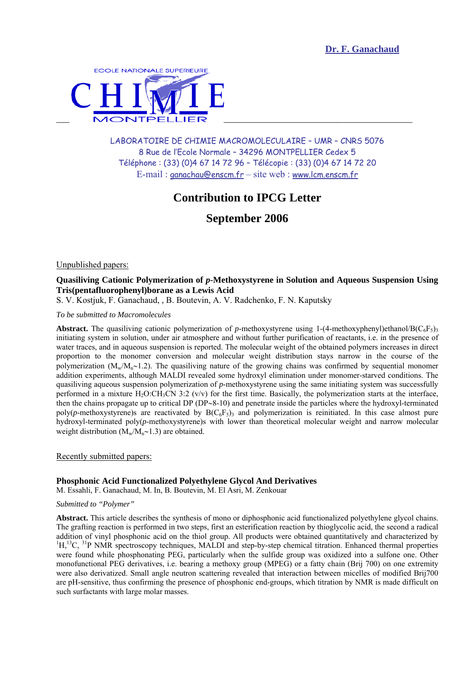

LABORATOIRE DE CHIMIE MACROMOLECULAIRE – UMR – CNRS 5076 8 Rue de l'Ecole Normale – 34296 MONTPELLIER Cedex 5 Téléphone : (33) (0)4 67 14 72 96 – Télécopie : (33) (0)4 67 14 72 20 E-mail : ganachau@enscm.fr – site web : www.lcm.enscm.fr

### **Contribution to IPCG Letter**

**September 2006**

Unpublished papers:

### **Quasiliving Cationic Polymerization of** *p***-Methoxystyrene in Solution and Aqueous Suspension Using Tris(pentafluorophenyl)borane as a Lewis Acid**

S. V. Kostjuk, F. Ganachaud, , B. Boutevin, A. V. Radchenko, F. N. Kaputsky

*To be submitted to Macromolecules* 

**Abstract.** The quasiliving cationic polymerization of *p*-methoxystyrene using 1-(4-methoxyphenyl)ethanol/B( $C_6F_5$ )<sub>3</sub> initiating system in solution, under air atmosphere and without further purification of reactants, i.e. in the presence of water traces, and in aqueous suspension is reported. The molecular weight of the obtained polymers increases in direct proportion to the monomer conversion and molecular weight distribution stays narrow in the course of the polymerization (Mw/M<sub>n</sub>∼1.2). The quasiliving nature of the growing chains was confirmed by sequential monomer addition experiments, although MALDI revealed some hydroxyl elimination under monomer-starved conditions. The quasiliving aqueous suspension polymerization of *p*-methoxystyrene using the same initiating system was successfully performed in a mixture H<sub>2</sub>O:CH<sub>3</sub>CN 3:2 (v/v) for the first time. Basically, the polymerization starts at the interface, then the chains propagate up to critical DP (DP∼8-10) and penetrate inside the particles where the hydroxyl-terminated poly(*p*-methoxystyrene)s are reactivated by  $B(C_6F_5)$  and polymerization is reinitiated. In this case almost pure hydroxyl-terminated poly(*p*-methoxystyrene)s with lower than theoretical molecular weight and narrow molecular weight distribution (M<sub>w</sub>/M<sub>n</sub>∼1.3) are obtained.

Recently submitted papers:

### **Phosphonic Acid Functionalized Polyethylene Glycol And Derivatives**

M. Essahli, F. Ganachaud, M. In, B. Boutevin, M. El Asri, M. Zenkouar

#### *Submitted to "Polymer"*

**Abstract.** This article describes the synthesis of mono or diphosphonic acid functionalized polyethylene glycol chains. The grafting reaction is performed in two steps, first an esterification reaction by thioglycolic acid, the second a radical addition of vinyl phosphonic acid on the thiol group. All products were obtained quantitatively and characterized by 1  ${}^{1}H, {}^{13}C, {}^{31}P$  NMR spectroscopy techniques, MALDI and step-by-step chemical titration. Enhanced thermal properties were found while phosphonating PEG, particularly when the sulfide group was oxidized into a sulfone one. Other monofunctional PEG derivatives, i.e. bearing a methoxy group (MPEG) or a fatty chain (Brij 700) on one extremity were also derivatized. Small angle neutron scattering revealed that interaction between micelles of modified Brij700 are pH-sensitive, thus confirming the presence of phosphonic end-groups, which titration by NMR is made difficult on such surfactants with large molar masses.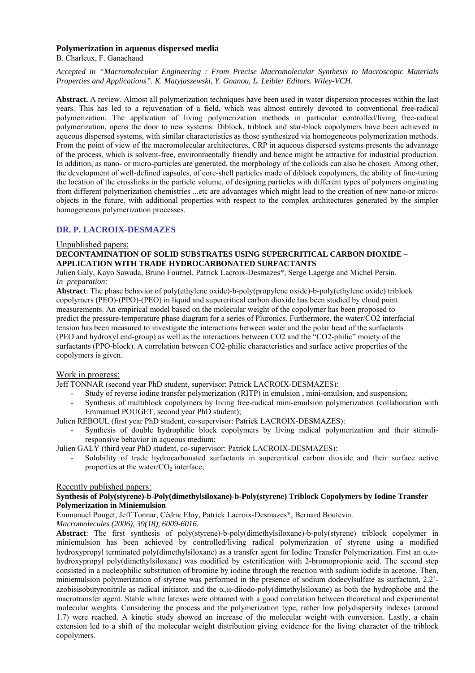#### **Polymerization in aqueous dispersed media**

B. Charleux, F. Ganachaud

*Accepted in "Macromolecular Engineering : From Precise Macromolecular Synthesis to Macroscopic Materials Properties and Applications". K. Matyjaszewski, Y. Gnanou, L. Leibler Editors. Wiley-VCH.* 

**Abstract.** A review. Almost all polymerization techniques have been used in water dispersion processes within the last years. This has led to a rejuvenation of a field, which was almost entirely devoted to conventional free-radical polymerization. The application of living polymerization methods in particular controlled/living free-radical polymerization, opens the door to new systems. Diblock, triblock and star-block copolymers have been achieved in aqueous dispersed systems, with similar characteristics as those synthesized via homogeneous polymerization methods. From the point of view of the macromolecular architectures, CRP in aqueous dispersed systems presents the advantage of the process, which is solvent-free, environmentally friendly and hence might be attractive for industrial production. In addition, as nano- or micro-particles are generated, the morphology of the colloids can also be chosen. Among other, the development of well-defined capsules, of core-shell particles made of diblock copolymers, the ability of fine-tuning the location of the crosslinks in the particle volume, of designing particles with different types of polymers originating from different polymerization chemistries ...etc are advantages which might lead to the creation of new nano-or microobjects in the future, with additional properties with respect to the complex architectures generated by the simpler homogeneous polymerization processes.

### **DR. P. LACROIX-DESMAZES**

#### Unpublished papers:

#### **DECONTAMINATION OF SOLID SUBSTRATES USING SUPERCRITICAL CARBON DIOXIDE – APPLICATION WITH TRADE HYDROCARBONATED SURFACTANTS**

Julien Galy, Kayo Sawada, Bruno Fournel, Patrick Lacroix-Desmazes\*, Serge Lagerge and Michel Persin. *In preparation:* 

**Abstract**: The phase behavior of poly(ethylene oxide)-b-poly(propylene oxide)-b-poly(ethylene oxide) triblock copolymers (PEO)-(PPO)-(PEO) in liquid and supercritical carbon dioxide has been studied by cloud point measurements. An empirical model based on the molecular weight of the copolymer has been proposed to predict the pressure-temperature phase diagram for a series of Pluronics. Furthermore, the water/CO2 interfacial tension has been measured to investigate the interactions between water and the polar head of the surfactants (PEO and hydroxyl end-group) as well as the interactions between CO2 and the "CO2-philic" moiety of the surfactants (PPO-block). A correlation between CO2-philic characteristics and surface active properties of the copolymers is given.

#### Work in progress:

Jeff TONNAR (second year PhD student, supervisor: Patrick LACROIX-DESMAZES):

- Study of reverse iodine transfer polymerization (RITP) in emulsion , mini-emulsion, and suspension;
- Synthesis of multiblock copolymers by living free-radical mini-emulsion polymerization (collaboration with Emmanuel POUGET, second year PhD student);

Julien REBOUL (first year PhD student, co-supervisor: Patrick LACROIX-DESMAZES):

Synthesis of double hydrophilic block copolymers by living radical polymerization and their stimuliresponsive behavior in aqueous medium;

Julien GALY (third year PhD student, co-supervisor: Patrick LACROIX-DESMAZES):

- Solubility of trade hydrocarbonated surfactants in supercritical carbon dioxide and their surface active properties at the water/ $CO<sub>2</sub>$  interface;

#### Recently published papers:

#### **Synthesis of Poly(styrene)-b-Poly(dimethylsiloxane)-b-Poly(styrene) Triblock Copolymers by Iodine Transfer Polymerization in Miniemulsion**

Emmanuel Pouget, Jeff Tonnar, Cédric Eloy, Patrick Lacroix-Desmazes\*, Bernard Boutevin.

*Macromolecules (2006), 39(18), 6009-6016.* 

**Abstract**: The first synthesis of poly(styrene)-b-poly(dimethylsiloxane)-b-poly(styrene) triblock copolymer in miniemulsion has been achieved by controlled/living radical polymerization of styrene using a modified hydroxypropyl terminated poly(dimethylsiloxane) as a transfer agent for Iodine Transfer Polymerization. First an α,ωhydroxypropyl poly(dimethylsiloxane) was modified by esterification with 2-bromopropionic acid. The second step consisted in a nucleophilic substitution of bromine by iodine through the reaction with sodium iodide in acetone. Then, miniemulsion polymerization of styrene was performed in the presence of sodium dodecylsulfate as surfactant, 2,2' azobisisobutyronitrile as radical initiator, and the  $\alpha$ , $\omega$ -diiodo-poly(dimethylsiloxane) as both the hydrophobe and the macrotransfer agent. Stable white latexes were obtained with a good correlation between theoretical and experimental molecular weights. Considering the process and the polymerization type, rather low polydispersity indexes (around 1.7) were reached. A kinetic study showed an increase of the molecular weight with conversion. Lastly, a chain extension led to a shift of the molecular weight distribution giving evidence for the living character of the triblock copolymers.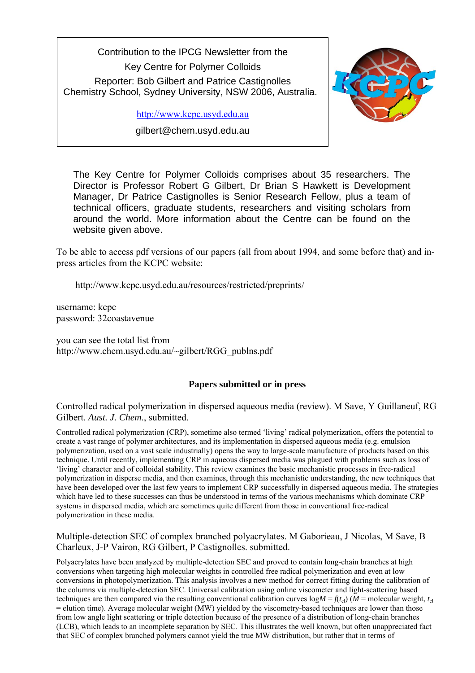Contribution to the IPCG Newsletter from the Key Centre for Polymer Colloids Reporter: Bob Gilbert and Patrice Castignolles Chemistry School, Sydney University, NSW 2006, Australia.

http://www.kcpc.usyd.edu.au

gilbert@chem.usyd.edu.au



The Key Centre for Polymer Colloids comprises about 35 researchers. The Director is Professor Robert G Gilbert, Dr Brian S Hawkett is Development Manager, Dr Patrice Castignolles is Senior Research Fellow, plus a team of technical officers, graduate students, researchers and visiting scholars from around the world. More information about the Centre can be found on the website given above.

To be able to access pdf versions of our papers (all from about 1994, and some before that) and inpress articles from the KCPC website:

http://www.kcpc.usyd.edu.au/resources/restricted/preprints/

username: kcpc password: 32coastavenue

you can see the total list from http://www.chem.usyd.edu.au/~gilbert/RGG\_publns.pdf

### **Papers submitted or in press**

Controlled radical polymerization in dispersed aqueous media (review). M Save, Y Guillaneuf, RG Gilbert. *Aust. J. Chem.*, submitted.

Controlled radical polymerization (CRP), sometime also termed 'living' radical polymerization, offers the potential to create a vast range of polymer architectures, and its implementation in dispersed aqueous media (e.g. emulsion polymerization, used on a vast scale industrially) opens the way to large-scale manufacture of products based on this technique. Until recently, implementing CRP in aqueous dispersed media was plagued with problems such as loss of 'living' character and of colloidal stability. This review examines the basic mechanistic processes in free-radical polymerization in disperse media, and then examines, through this mechanistic understanding, the new techniques that have been developed over the last few years to implement CRP successfully in dispersed aqueous media. The strategies which have led to these successes can thus be understood in terms of the various mechanisms which dominate CRP systems in dispersed media, which are sometimes quite different from those in conventional free-radical polymerization in these media.

Multiple-detection SEC of complex branched polyacrylates. M Gaborieau, J Nicolas, M Save, B Charleux, J-P Vairon, RG Gilbert, P Castignolles. submitted.

Polyacrylates have been analyzed by multiple-detection SEC and proved to contain long-chain branches at high conversions when targeting high molecular weights in controlled free radical polymerization and even at low conversions in photopolymerization. This analysis involves a new method for correct fitting during the calibration of the columns via multiple-detection SEC. Universal calibration using online viscometer and light-scattering based techniques are then compared via the resulting conventional calibration curves  $log M = f(t_{el}) (M = m$  olecular weight,  $t_{el}$ = elution time). Average molecular weight (MW) yielded by the viscometry-based techniques are lower than those from low angle light scattering or triple detection because of the presence of a distribution of long-chain branches (LCB), which leads to an incomplete separation by SEC. This illustrates the well known, but often unappreciated fact that SEC of complex branched polymers cannot yield the true MW distribution, but rather that in terms of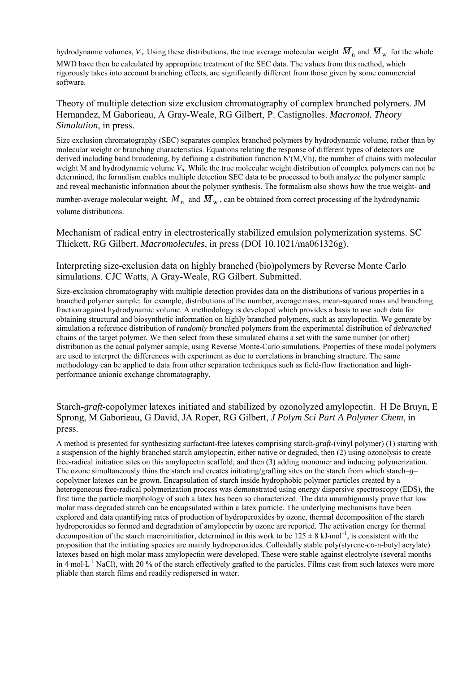hydrodynamic volumes,  $V<sub>h</sub>$ . Using these distributions, the true average molecular weight  $\overline{M}_n$  and  $\overline{M}_w$  for the whole

MWD have then be calculated by appropriate treatment of the SEC data. The values from this method, which rigorously takes into account branching effects, are significantly different from those given by some commercial software.

Theory of multiple detection size exclusion chromatography of complex branched polymers. JM Hernandez, M Gaborieau, A Gray-Weale, RG Gilbert, P. Castignolles. *Macromol. Theory Simulation*, in press.

Size exclusion chromatography (SEC) separates complex branched polymers by hydrodynamic volume, rather than by molecular weight or branching characteristics. Equations relating the response of different types of detectors are derived including band broadening, by defining a distribution function N'(M,Vh), the number of chains with molecular weight M and hydrodynamic volume  $V<sub>h</sub>$ . While the true molecular weight distribution of complex polymers can not be determined, the formalism enables multiple detection SEC data to be processed to both analyze the polymer sample and reveal mechanistic information about the polymer synthesis. The formalism also shows how the true weight- and

number-average molecular weight,  $\overline{M}_n$  and  $\overline{M}_w$ , can be obtained from correct processing of the hydrodynamic volume distributions.

Mechanism of radical entry in electrosterically stabilized emulsion polymerization systems. SC Thickett, RG Gilbert. *Macromolecules*, in press (DOI 10.1021/ma061326g).

Interpreting size-exclusion data on highly branched (bio)polymers by Reverse Monte Carlo simulations. CJC Watts, A Gray-Weale, RG Gilbert. Submitted.

Size-exclusion chromatography with multiple detection provides data on the distributions of various properties in a branched polymer sample: for example, distributions of the number, average mass, mean-squared mass and branching fraction against hydrodynamic volume. A methodology is developed which provides a basis to use such data for obtaining structural and biosynthetic information on highly branched polymers, such as amylopectin. We generate by simulation a reference distribution of *randomly branched* polymers from the experimental distribution of *debranched* chains of the target polymer*.* We then select from these simulated chains a set with the same number (or other) distribution as the actual polymer sample, using Reverse Monte-Carlo simulations. Properties of these model polymers are used to interpret the differences with experiment as due to correlations in branching structure. The same methodology can be applied to data from other separation techniques such as field-flow fractionation and highperformance anionic exchange chromatography.

Starch-*graft*-copolymer latexes initiated and stabilized by ozonolyzed amylopectin. H De Bruyn, E Sprong, M Gaborieau, G David, JA Roper, RG Gilbert, *J Polym Sci Part A Polymer Chem*, in press.

A method is presented for synthesizing surfactant-free latexes comprising starch-*graft*-(vinyl polymer) (1) starting with a suspension of the highly branched starch amylopectin, either native or degraded, then (2) using ozonolysis to create free-radical initiation sites on this amylopectin scaffold, and then (3) adding monomer and inducing polymerization. The ozone simultaneously thins the starch and creates initiating/grafting sites on the starch from which starch–*g*– copolymer latexes can be grown. Encapsulation of starch inside hydrophobic polymer particles created by a heterogeneous free-radical polymerization process was demonstrated using energy dispersive spectroscopy (EDS), the first time the particle morphology of such a latex has been so characterized. The data unambiguously prove that low molar mass degraded starch can be encapsulated within a latex particle. The underlying mechanisms have been explored and data quantifying rates of production of hydroperoxides by ozone, thermal decomposition of the starch hydroperoxides so formed and degradation of amylopectin by ozone are reported. The activation energy for thermal decomposition of the starch macroinitiatior, determined in this work to be  $125 \pm 8$  kJ⋅mol<sup>-1</sup>, is consistent with the proposition that the initiating species are mainly hydroperoxides. Colloidally stable poly(styrene-*co*-n-butyl acrylate) latexes based on high molar mass amylopectin were developed. These were stable against electrolyte (several months in 4 mol⋅L<sup>-1</sup> NaCl), with 20 % of the starch effectively grafted to the particles. Films cast from such latexes were more pliable than starch films and readily redispersed in water.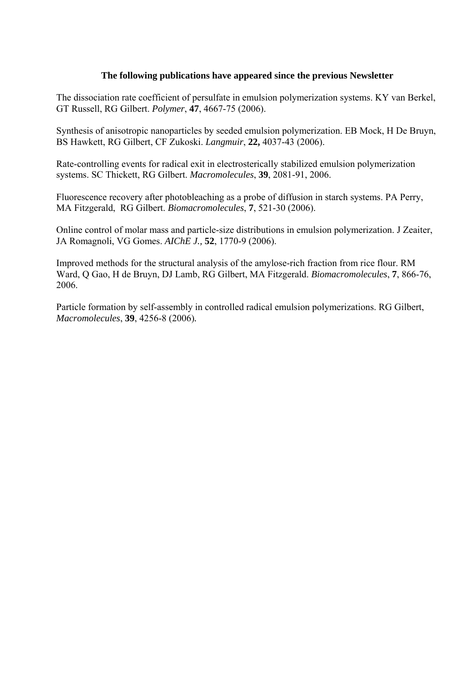### **The following publications have appeared since the previous Newsletter**

The dissociation rate coefficient of persulfate in emulsion polymerization systems. KY van Berkel, GT Russell, RG Gilbert. *Polymer*, **47**, 4667-75 (2006).

Synthesis of anisotropic nanoparticles by seeded emulsion polymerization. EB Mock, H De Bruyn, BS Hawkett, RG Gilbert, CF Zukoski. *Langmuir*, **22,** 4037-43 (2006).

Rate-controlling events for radical exit in electrosterically stabilized emulsion polymerization systems. SC Thickett, RG Gilbert. *Macromolecules*, **39**, 2081-91, 2006.

Fluorescence recovery after photobleaching as a probe of diffusion in starch systems. PA Perry, MA Fitzgerald, RG Gilbert. *Biomacromolecules*, **7**, 521-30 (2006).

Online control of molar mass and particle-size distributions in emulsion polymerization. J Zeaiter, JA Romagnoli, VG Gomes. *AIChE J.,* **52**, 1770-9 (2006).

Improved methods for the structural analysis of the amylose-rich fraction from rice flour. RM Ward, Q Gao, H de Bruyn, DJ Lamb, RG Gilbert, MA Fitzgerald. *Biomacromolecules*, **7**, 866-76, 2006.

Particle formation by self-assembly in controlled radical emulsion polymerizations. RG Gilbert, *Macromolecules*, **39**, 4256-8 (2006)*.*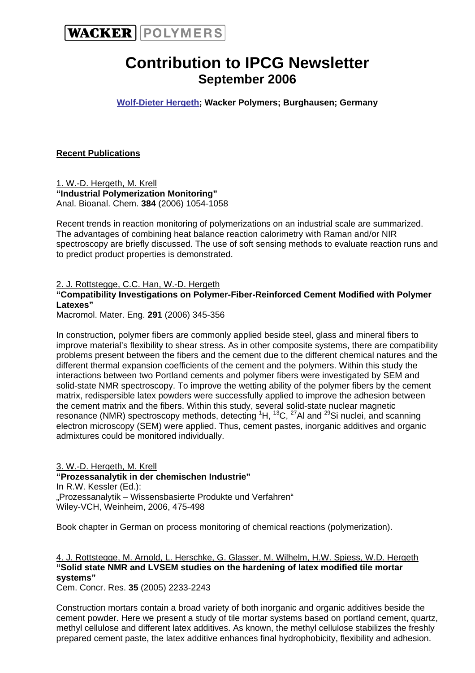

# **Contribution to IPCG Newsletter September 2006**

**Wolf-Dieter Hergeth; Wacker Polymers; Burghausen; Germany** 

### **Recent Publications**

1. W.-D. Hergeth, M. Krell **"Industrial Polymerization Monitoring"**  Anal. Bioanal. Chem. **384** (2006) 1054-1058

Recent trends in reaction monitoring of polymerizations on an industrial scale are summarized. The advantages of combining heat balance reaction calorimetry with Raman and/or NIR spectroscopy are briefly discussed. The use of soft sensing methods to evaluate reaction runs and to predict product properties is demonstrated.

2. J. Rottstegge, C.C. Han, W.-D. Hergeth

### **"Compatibility Investigations on Polymer-Fiber-Reinforced Cement Modified with Polymer Latexes"**

Macromol. Mater. Eng. **291** (2006) 345-356

In construction, polymer fibers are commonly applied beside steel, glass and mineral fibers to improve material's flexibility to shear stress. As in other composite systems, there are compatibility problems present between the fibers and the cement due to the different chemical natures and the different thermal expansion coefficients of the cement and the polymers. Within this study the interactions between two Portland cements and polymer fibers were investigated by SEM and solid-state NMR spectroscopy. To improve the wetting ability of the polymer fibers by the cement matrix, redispersible latex powders were successfully applied to improve the adhesion between the cement matrix and the fibers. Within this study, several solid-state nuclear magnetic resonance (NMR) spectroscopy methods, detecting  ${}^{1}H$ ,  ${}^{13}C$ ,  ${}^{27}$ Al and  ${}^{29}Si$  nuclei, and scanning electron microscopy (SEM) were applied. Thus, cement pastes, inorganic additives and organic admixtures could be monitored individually.

3. W.-D. Hergeth, M. Krell **"Prozessanalytik in der chemischen Industrie"**  In R.W. Kessler (Ed.): "Prozessanalytik – Wissensbasierte Produkte und Verfahren" Wiley-VCH, Weinheim, 2006, 475-498

Book chapter in German on process monitoring of chemical reactions (polymerization).

4. J. Rottstegge, M. Arnold, L. Herschke, G. Glasser, M. Wilhelm, H.W. Spiess, W.D. Hergeth **"Solid state NMR and LVSEM studies on the hardening of latex modified tile mortar systems"** 

Cem. Concr. Res. **35** (2005) 2233-2243

Construction mortars contain a broad variety of both inorganic and organic additives beside the cement powder. Here we present a study of tile mortar systems based on portland cement, quartz, methyl cellulose and different latex additives. As known, the methyl cellulose stabilizes the freshly prepared cement paste, the latex additive enhances final hydrophobicity, flexibility and adhesion.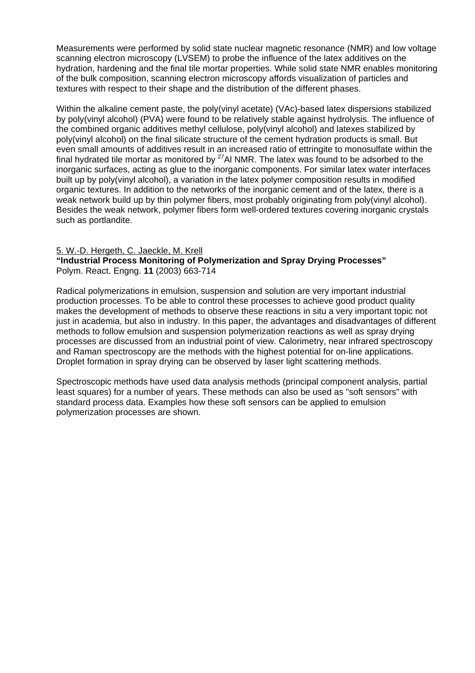Measurements were performed by solid state nuclear magnetic resonance (NMR) and low voltage scanning electron microscopy (LVSEM) to probe the influence of the latex additives on the hydration, hardening and the final tile mortar properties. While solid state NMR enables monitoring of the bulk composition, scanning electron microscopy affords visualization of particles and textures with respect to their shape and the distribution of the different phases.

Within the alkaline cement paste, the poly(vinyl acetate) (VAc)-based latex dispersions stabilized by poly(vinyl alcohol) (PVA) were found to be relatively stable against hydrolysis. The influence of the combined organic additives methyl cellulose, poly(vinyl alcohol) and latexes stabilized by poly(vinyl alcohol) on the final silicate structure of the cement hydration products is small. But even small amounts of additives result in an increased ratio of ettringite to monosulfate within the final hydrated tile mortar as monitored by  $27$ Al NMR. The latex was found to be adsorbed to the inorganic surfaces, acting as glue to the inorganic components. For similar latex water interfaces built up by poly(vinyl alcohol), a variation in the latex polymer composition results in modified organic textures. In addition to the networks of the inorganic cement and of the latex, there is a weak network build up by thin polymer fibers, most probably originating from poly(vinyl alcohol). Besides the weak network, polymer fibers form well-ordered textures covering inorganic crystals such as portlandite.

### 5. W.-D. Hergeth, C. Jaeckle, M. Krell

**"Industrial Process Monitoring of Polymerization and Spray Drying Processes"**  Polym. React. Engng. **11** (2003) 663-714

Radical polymerizations in emulsion, suspension and solution are very important industrial production processes. To be able to control these processes to achieve good product quality makes the development of methods to observe these reactions in situ a very important topic not just in academia, but also in industry. In this paper, the advantages and disadvantages of different methods to follow emulsion and suspension polymerization reactions as well as spray drying processes are discussed from an industrial point of view. Calorimetry, near infrared spectroscopy and Raman spectroscopy are the methods with the highest potential for on-line applications. Droplet formation in spray drying can be observed by laser light scattering methods.

Spectroscopic methods have used data analysis methods (principal component analysis, partial least squares) for a number of years. These methods can also be used as "soft sensors" with standard process data. Examples how these soft sensors can be applied to emulsion polymerization processes are shown.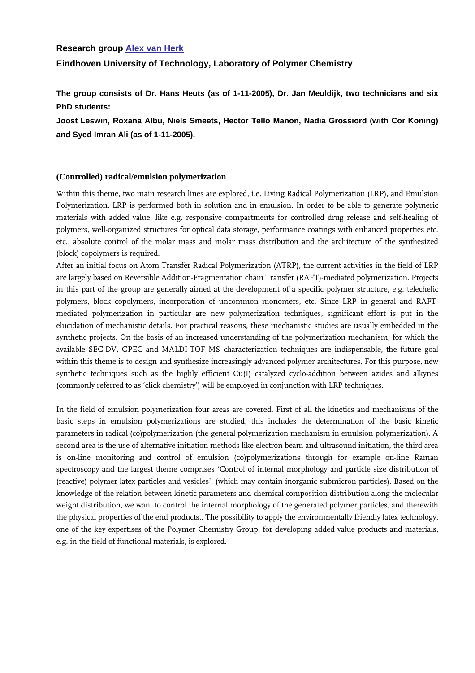### **Research group Alex van Herk**

### **Eindhoven University of Technology, Laboratory of Polymer Chemistry**

**The group consists of Dr. Hans Heuts (as of 1-11-2005), Dr. Jan Meuldijk, two technicians and six PhD students:** 

**Joost Leswin, Roxana Albu, Niels Smeets, Hector Tello Manon, Nadia Grossiord (with Cor Koning) and Syed Imran Ali (as of 1-11-2005).** 

#### **(Controlled) radical/emulsion polymerization**

Within this theme, two main research lines are explored, i.e. Living Radical Polymerization (LRP), and Emulsion Polymerization. LRP is performed both in solution and in emulsion. In order to be able to generate polymeric materials with added value, like e.g. responsive compartments for controlled drug release and self-healing of polymers, well-organized structures for optical data storage, performance coatings with enhanced properties etc. etc., absolute control of the molar mass and molar mass distribution and the architecture of the synthesized (block) copolymers is required.

After an initial focus on Atom Transfer Radical Polymerization (ATRP), the current activities in the field of LRP are largely based on Reversible Addition-Fragmentation chain Transfer (RAFT)-mediated polymerization. Projects in this part of the group are generally aimed at the development of a specific polymer structure, e.g. telechelic polymers, block copolymers, incorporation of uncommon monomers, etc. Since LRP in general and RAFTmediated polymerization in particular are new polymerization techniques, significant effort is put in the elucidation of mechanistic details. For practical reasons, these mechanistic studies are usually embedded in the synthetic projects. On the basis of an increased understanding of the polymerization mechanism, for which the available SEC-DV, GPEC and MALDI-TOF MS characterization techniques are indispensable, the future goal within this theme is to design and synthesize increasingly advanced polymer architectures. For this purpose, new synthetic techniques such as the highly efficient Cu(I) catalyzed cyclo-addition between azides and alkynes (commonly referred to as 'click chemistry') will be employed in conjunction with LRP techniques.

In the field of emulsion polymerization four areas are covered. First of all the kinetics and mechanisms of the basic steps in emulsion polymerizations are studied, this includes the determination of the basic kinetic parameters in radical (co)polymerization (the general polymerization mechanism in emulsion polymerization). A second area is the use of alternative initiation methods like electron beam and ultrasound initiation, the third area is on-line monitoring and control of emulsion (co)polymerizations through for example on-line Raman spectroscopy and the largest theme comprises 'Control of internal morphology and particle size distribution of (reactive) polymer latex particles and vesicles', (which may contain inorganic submicron particles). Based on the knowledge of the relation between kinetic parameters and chemical composition distribution along the molecular weight distribution, we want to control the internal morphology of the generated polymer particles, and therewith the physical properties of the end products.. The possibility to apply the environmentally friendly latex technology, one of the key expertises of the Polymer Chemistry Group, for developing added value products and materials, e.g. in the field of functional materials, is explored.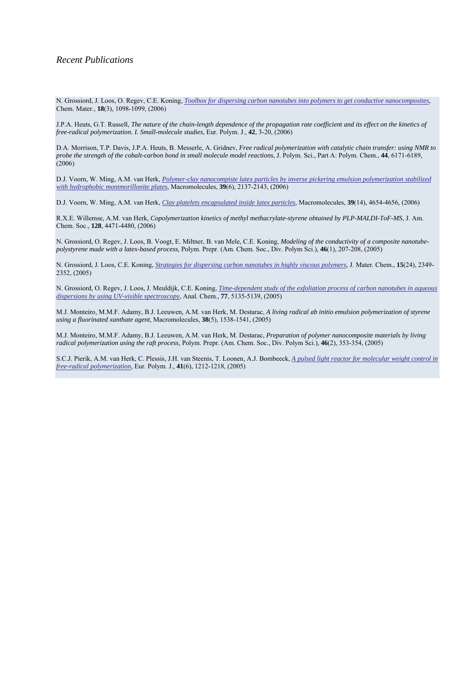N. Grossiord, J. Loos, O. Regev, C.E. Koning, *Toolbox for dispersing carbon nanotubes into polymers to get conductive nanocomposites*, Chem. Mater., **18**(3), 1098-1099, (2006)

J.P.A. Heuts, G.T. Russell, *The nature of the chain-length dependence of the propagation rate coefficient and its effect on the kinetics of free-radical polymerization. I. Small-molecule studies*, Eur. Polym. J., **42**, 3-20, (2006)

D.A. Morrison, T.P. Davis, J.P.A. Heuts, B. Messerle, A. Gridnev, *Free radical polymerization with catalytic chain transfer: using NMR to probe the strength of the cobalt-carbon bond in small molecule model reactions*, J. Polym. Sci., Part A: Polym. Chem., **44**, 6171-6189, (2006)

D.J. Voorn, W. Ming, A.M. van Herk, *Polymer-clay nanocompiste latex particles by inverse pickering emulsion polymerization stabilized with hydrophobic montmorillonite plates*, Macromolecules, **39**(6), 2137-2143, (2006)

D.J. Voorn, W. Ming, A.M. van Herk, *Clay platelets encapsulated inside latex particles*, Macromolecules, **39**(14), 4654-4656, (2006)

R.X.E. Willemse, A.M. van Herk, *Copolymerization kinetics of methyl methacrylate-styrene obtained by PLP-MALDI-ToF-MS*, J. Am. Chem. Soc., **128**, 4471-4480, (2006)

N. Grossiord, O. Regev, J. Loos, B. Voogt, E. Miltner, B. van Mele, C.E. Koning, *Modeling of the conductivity of a composite nanotubepolystyrene made with a latex-based process*, Polym. Prepr. (Am. Chem. Soc., Div. Polym Sci.), **46**(1), 207-208, (2005)

N. Grossiord, J. Loos, C.E. Koning, *Strategies for dispersing carbon nanotubes in highly viscous polymers*, J. Mater. Chem., **15**(24), 2349- 2352, (2005)

N. Grossiord, O. Regev, J. Loos, J. Meuldijk, C.E. Koning, *Time-dependent study of the exfoliation process of carbon nanotubes in aqueous dispersions by using UV-visible spectroscopy*, Anal. Chem., **77**, 5135-5139, (2005)

M.J. Monteiro, M.M.F. Adamy, B.J. Leeuwen, A.M. van Herk, M. Destarac, *A living radical ab initio emulsion polymerization of styrene using a fluorinated xanthate agent*, Macromolecules, **38**(5), 1538-1541, (2005)

M.J. Monteiro, M.M.F. Adamy, B.J. Leeuwen, A.M. van Herk, M. Destarac, *Preparation of polymer nanocomposite materials by living radical polymerization using the raft process*, Polym. Prepr. (Am. Chem. Soc., Div. Polym Sci.), **46**(2), 353-354, (2005)

S.C.J. Pierik, A.M. van Herk, C. Plessis, J.H. van Steenis, T. Loonen, A.J. Bombeeck, *A pulsed light reactor for molecular weight control in free-radical polymerization*, Eur. Polym. J., **41**(6), 1212-1218, (2005)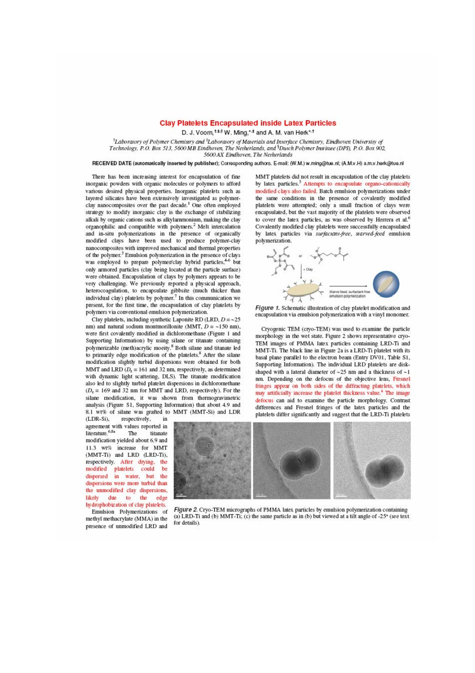#### **Clay Platelets Encapsulated inside Latex Particles**

D. J. Voorn, t. \* W. Ming, \* \* and A. M. van Herk \* \*

<sup>1</sup>Laboratory of Polymer Chemistry and <sup>4</sup>Laboratory of Materials and Interface Chemistry, Eindhoven University of Technology, P.O. Box 513, 5600 MB Eindhoven, The Netherlands, and <sup>§</sup>Dutch Polymer Institute (DPI), P.O. Box 902, 5600 AX Eindhoven, The Netherlands

#### RECEIVED DATE (automatically inserted by publisher); Corresponding authors. E-mail: (W.M.) w.ming@tue.nl; (A.M.v.H) a.m.v.herk@tue.nl

There has been increasing interest for encapsulation of fine inorganic powders with organic molecules or polymers to afford various desired physical properties. Inorganic platelets such as lavered silicates have been extensively investigated as polymerclay nanocomposites over the past decade.<sup>1</sup> One often employed strategy to modify inorganic clay is the exchange of stabilizing alkali by organic cations such as alkylammonium, making the clay organophilic and compatible with polymers.<sup>2</sup> Melt intercalation and in-situ polymerizations in the presence of organically modified clays have been used to produce polymer-clay nanocomposites with improved mechanical and thermal properties of the polymer.<sup>3</sup> Emulsion polymerization in the presence of clays was employed to prepare polymer/clay hybrid particles,<sup>4-6</sup> but only armored particles (clay being located at the particle surface) were obtained. Encapsulation of clavs by polymers appears to be very challenging. We previously reported a physical approach, heterocoagulation, to encapsulate gibbsite (much thicker than individual clay) platelets by polymer.<sup>7</sup> In this communication we present, for the first time, the encapsulation of clay platelets by polymers via conventional emulsion polymerization.

Clay platelets, including synthetic Laponite RD (LRD,  $D = -25$ nm) and natural sodium montmorillonite (MMT,  $D = -150$  nm). were first covalently modified in dichloromethane (Figure 1 and Supporting Information) by using silane or titanate containing polymerizable (meth)acrylic moeity.8 Both silane and titanate led to primarily edge modification of the platelets.<sup>8</sup> After the silane modification slightly turbid dispersions were obtained for both MMT and LRD  $(D_z = 161$  and 32 nm, respectively, as determined with dynamic light scattering, DLS). The titanate modification also led to slightly turbid platelet dispersions in dichloromethane  $(D<sub>x</sub> = 169$  and 32 nm for MMT and LRD, respectively). For the silane modification, it was shown from thermogravimetric analysis (Figure S1, Supporting Information) that about 4.9 and 8.1 wt% of silane was grafted to MMT (MMT-Si) and LDR  $(LDR-Si)$ . in

respectively, agreement with values reported in literature.<sup>6,8a</sup> The titanate modification vielded about 6.9 and 11.3 wt% increase for MMT (MMT-Ti) and LRD (LRD-Ti), respectively. After drying, the modified platelets could be dispersed in water, but the dispersions were more turbid than the unmodified clay dispersions, likely due to the edge hydrophobization of clay platelets. Emulsion Polymerizations of

methyl methacrylate (MMA) in the presence of unmodified LRD and

MMT platelets did not result in encapsulation of the clay platelets by latex particles.<sup>5</sup> Attempts to encapsulate organo-cationically modified clavs also failed. Batch emulsion polymerizations under the same conditions in the presence of covalently modified platelets were attempted; only a small fraction of clays were encapsulated, but the vast majority of the platelets were observed to cover the latex particles, as was observed by Herrera et al.<sup>6</sup> Covalently modified clay platelets were successfully encapsulated by latex particles via surfactant-free, starved-feed emulsion polymerization.



Figure 1. Schematic illustration of clay platelet modification and encapsulation via emulsion polymerization with a vinyl monomer.

Cryogenic TEM (cryo-TEM) was used to examine the particle morphology in the wet state. Figure 2 shows representative cryo-TEM images of PMMA latex particles containing LRD-Ti and MMT-Ti. The black line in Figure 2a is a LRD-Ti platelet with its basal plane parallel to the electron beam (Entry DV01, Table S1, Supporting Information). The individual LRD platelets are diskshaped with a lateral diameter of  $\sim$  25 nm and a thickness of  $\sim$ 1 nm. Depending on the defocus of the objective lens, Fresnel fringes appear on both sides of the diffracting platelets, which may artificially increase the platelet thickness value.<sup>6</sup> The image defocus can aid to examine the particle morphology. Contrast differences and Fresnel fringes of the latex particles and the platelets differ significantly and suggest that the LRD-Ti platelets



Figure 2. Cryo-TEM micrographs of PMMA latex particles by emulsion polymerization containing (a) LRD-Ti and (b) MMT-Ti; (c) the same particle as in (b) but viewed at a tilt angle of -25° (see text for details).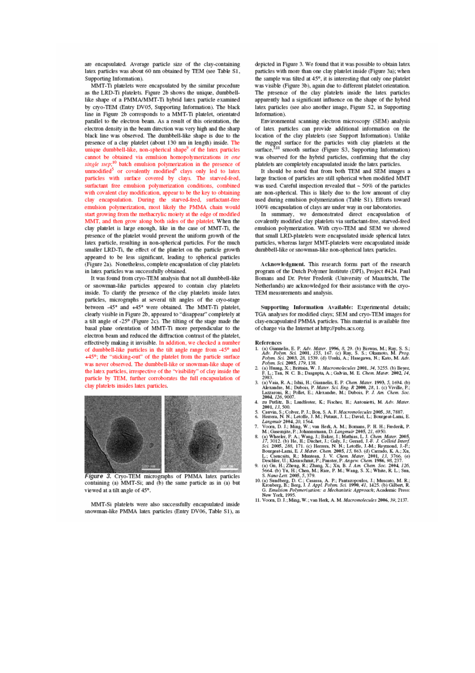are encapsulated. Average particle size of the clay-containing latex particles was about 60 nm obtained by TEM (see Table S1, Supporting Information).

MMT-Ti platelets were encapsulated by the similar procedure as the LRD-Ti platelets. Figure 2b shows the unique, dumbbelllike shape of a PMMA/MMT-Ti hybrid latex particle examined by cryo-TEM (Entry DV05, Supporting Information). The black line in Figure 2b corresponds to a MMT-Ti platelet, orientated parallel to the electron beam. As a result of this orientation, the electron density in the beam direction was very high and the sharp black line was observed. The dumbbell-like shape is due to the presence of a clay platelet (about 130 nm in length) inside. The unique dumbbell-like, non-spherical shape<sup>9</sup> of the latex particles cannot be obtained via emulsion homopolymerizations in one single step;<sup>10</sup> batch emulsion polymerization in the presence of unmodified<sup>5</sup> or covalently modified<sup>6</sup> clays only led to latex particles with surface covered by clays. The starved-feed, surfactant free emulsion polymerization conditions, combined with covalent clay modification, appear to be the key to obtaining clay encapsulation. During the starved-feed, surfactant-free emulsion polymerization, most likely the PMMA chain would start growing from the methacrylic molety at the edge of modified MMT, and then grow along both sides of the platelet. When the clay platelet is large enough, like in the case of MMT-Ti, the presence of the platelet would prevent the uniform growth of the latex particle, resulting in non-spherical particles. For the much smaller LRD-Ti, the effect of the platelet on the particle growth appeared to be less significant, leading to spherical particles (Figure 2a). Nonetheless, complete encapsulation of clay platelets in latex particles was successfully obtained.

It was found from cryo-TEM analysis that not all dumbbell-like or snowman-like particles appeared to contain clay platelets inside. To clarify the presence of the clay platelets inside latex particles, micrographs at several tilt angles of the cryo-stage between -45° and +45° were obtained. The MMT-Ti platelet, clearly visible in Figure 2b, appeared to "disappear" completely at a tilt angle of -25° (Figure 2c). The tilting of the stage made the basal plane orientation of MMT-Ti more perpendicular to the electron beam and reduced the diffraction contrast of the platelet, effectively making it invisible. In addition, we checked a number of dumbbell-like particles in the tilt angle range from -45° and +45°; the "sticking-out" of the platelet from the particle surface was never observed. The dumbbell-like or snowman-like shape of the latex particles, irrespective of the "visibility" of clay inside the particle by TEM, further corroborates the full encapsulation of clay platelets insides latex particles.



Figure 3. Cryo-TEM micrographs of PMMA latex particles containing (a) MMT-Si; and (b) the same particle as in (a) but viewed at a tilt angle of 45°.

MMT-Si platelets were also successfully encapsulated inside snowman-like PMMA latex particles (Entry DV06, Table S1), as depicted in Figure 3. We found that it was possible to obtain latex particles with more than one clay platelet inside (Figure 3a); when the sample was tilted at 45°, it is interesting that only one platelet was visible (Figure 3b), again due to different platelet orientation. The presence of the clay platelets inside the latex particles apparently had a significant influence on the shape of the hybrid latex particles (see also another image, Figure S2, in Supporting Information).

Environmental scanning electron microscopy (SEM) analysis of latex particles can provide additional information on the location of the clay platelets (see Support Information). Unlike the rugged surface for the particles with clay platelets at the surface,  $511$  smooth surface (Figure S3, Supporting Information) was observed for the hybrid particles, confirming that the clay platelets are completely encapsulated inside the latex particles.

It should be noted that from both TEM and SEM images a large fraction of particles are still spherical when modified MMT was used. Careful inspection revealed that  $\sim$  50% of the particles are non-spherical. This is likely due to the low amount of clay used during emulsion polymerization (Table S1). Efforts toward 100% encapsulation of clays are under way in our laboratories.

In summary, we demonstrated direct encapsulation of covalently modified clay platelets via surfactant-free, starved-feed emulsion polymerization. With cryo-TEM and SEM we showed that small LRD-platelets were encapsulated inside spherical latex particles, whereas larger MMT-platelets were encapsulated inside dumbbell-like or snowman-like non-spherical latex particles.

Acknowledgment. This research forms part of the research program of the Dutch Polymer Institute (DPI), Project #424. Paul Bomans and Dr. Peter Frederik (University of Maastricht, The Netherlands) are acknowledged for their assistance with the cryo-TEM measurements and analysis.

Supporting Information Available: Experimental details; TGA analyses for modified clays; SEM and cryo-TEM images for clay-encapsulated PMMA particles. This material is available free of charge via the Internet at http://pubs.acs.org.

#### References

- (a) Giannelis, E. P. *Adv. Mater.* 1996, 8, 29. (b) Biswas, M.; Ray, S. S.; (a) Giannelis, E. P. *Adv. Mater.* 1996, 8, 29. (b) Biswas, M.; Ray, S. S.; *Polym. Sci.* 2003, 28, 1539. (d) Usuki, A.; Hasegawa, N.; Kato, M. *A*  $1.$
- $\overline{2}$
- $2503$ , dia, R. A.; Ishii, H.; Giannelis, E. P. Chem. Mater. 1993, 5, 1694. (b) Alexandre, M.; Dubois, P. Mater. Sci. Eng. R 2000, 28, 1. (c) Viville, P.; Lazzaroni, R.; Pollet, E.; Alexandre, M.; Dubois, P. J. Am. Chem. 3.
- zu Putlitz, B.; Landfester, K.; Fischer, H.; Antonietti, M. Adv. Mater.<br>2001, 13, 500. 4.
- 
- $\mathcal{T}$
- 2001, 13, 500.<br>
Cauvis D., Lancesover, Tar, Theodor, Tar, Theodor, Tar, Tare, Lances<br>
2001, 13, 500.<br>
Cauvis, S.; Colver, P. J.; Bon, S. A. F. M.; Paterson of external, E.<br>
Herera, N. N.; Letoffe, J. M.; Putaux, J. L.; Da 8.
- 9.
- 3. volume Lens, D. C.; Casassa, A. P.; Pantazopoulos, J.; Muscato, M. R.;<br>Kronberg, B.; Berg, J. J. Appl. Polym. Sci. 1990, 41, 1425. (b) Gilbert, R. G. Emulsion Polymerization: a Mechanistic Approach; Academic Press:<br>New New York, 1995
- 11. Voorn, D. J.; Ming, W.; van Herk, A. M. Macromolecules 2006, 39, 2137.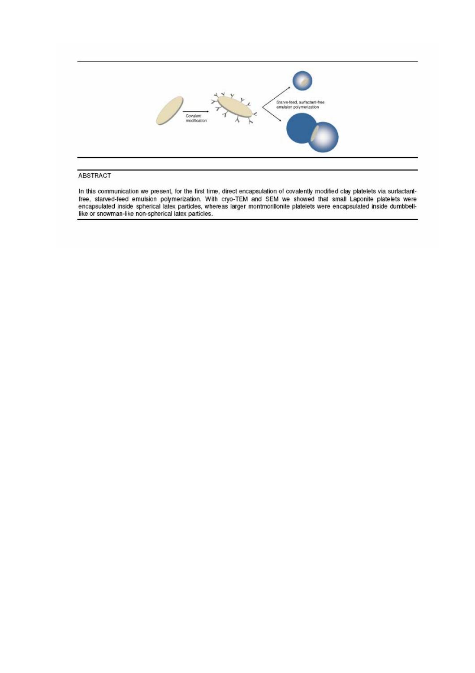

#### ABSTRACT

In this communication we present, for the first time, direct encapsulation of covalently modified clay platelets via surfactant-<br>free, starved-feed emulsion polymerization. With cryo-TEM and SEM we showed that small Laponi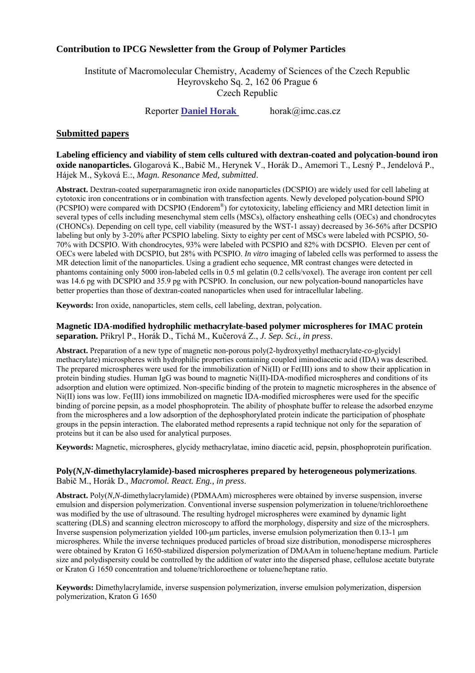### **Contribution to IPCG Newsletter from the Group of Polymer Particles**

Institute of Macromolecular Chemistry, Academy of Sciences of the Czech Republic Heyrovskeho Sq. 2, 162 06 Prague 6 Czech Republic

Reporter **Daniel Horak** horak@imc.cas.cz

### **Submitted papers**

**Labeling efficiency and viability of stem cells cultured with dextran-coated and polycation-bound iron oxide nanoparticles.** Glogarová K.,Babič M., Herynek V., Horák D., Amemori T., Lesný P., Jendelová P., Hájek M., Syková E.:, *Magn. Resonance Med, submitted*.

**Abstract.** Dextran-coated superparamagnetic iron oxide nanoparticles (DCSPIO) are widely used for cell labeling at cytotoxic iron concentrations or in combination with transfection agents. Newly developed polycation-bound SPIO (PCSPIO) were compared with DCSPIO (Endorem®) for cytotoxicity, labeling efficiency and MRI detection limit in several types of cells including mesenchymal stem cells (MSCs), olfactory ensheathing cells (OECs) and chondrocytes (CHONCs). Depending on cell type, cell viability (measured by the WST-1 assay) decreased by 36-56% after DCSPIO labeling but only by 3-20% after PCSPIO labeling. Sixty to eighty per cent of MSCs were labeled with PCSPIO, 50- 70% with DCSPIO. With chondrocytes, 93% were labeled with PCSPIO and 82% with DCSPIO. Eleven per cent of OECs were labeled with DCSPIO, but 28% with PCSPIO. *In vitro* imaging of labeled cells was performed to assess the MR detection limit of the nanoparticles. Using a gradient echo sequence, MR contrast changes were detected in phantoms containing only 5000 iron-labeled cells in 0.5 ml gelatin (0.2 cells/voxel). The average iron content per cell was 14.6 pg with DCSPIO and 35.9 pg with PCSPIO. In conclusion, our new polycation-bound nanoparticles have better properties than those of dextran-coated nanoparticles when used for intracellular labeling.

**Keywords:** Iron oxide, nanoparticles, stem cells, cell labeling, dextran, polycation.

### **Magnetic IDA-modified hydrophilic methacrylate-based polymer microspheres for IMAC protein separation.** Přikryl P., Horák D., Tichá M., Kučerová Z., *J. Sep. Sci., in press*.

**Abstract.** Preparation of a new type of magnetic non-porous poly(2-hydroxyethyl methacrylate-*co*-glycidyl methacrylate) microspheres with hydrophilic properties containing coupled iminodiacetic acid (IDA) was described. The prepared microspheres were used for the immobilization of Ni(II) or Fe(III) ions and to show their application in protein binding studies. Human IgG was bound to magnetic Ni(II)-IDA-modified microspheres and conditions of its adsorption and elution were optimized. Non-specific binding of the protein to magnetic microspheres in the absence of Ni(II) ions was low. Fe(III) ions immobilized on magnetic IDA-modified microspheres were used for the specific binding of porcine pepsin, as a model phosphoprotein. The ability of phosphate buffer to release the adsorbed enzyme from the microspheres and a low adsorption of the dephosphorylated protein indicate the participation of phosphate groups in the pepsin interaction. The elaborated method represents a rapid technique not only for the separation of proteins but it can be also used for analytical purposes.

**Keywords:** Magnetic, microspheres, glycidy methacrylatae, imino diacetic acid, pepsin, phosphoprotein purification.

## **Poly(***N***,***N***-dimethylacrylamide)-based microspheres prepared by heterogeneous polymerizations**.

Babič M., Horák D., *Macromol. React. Eng., in press*.

**Abstract.** Poly(*N,N*-dimethylacrylamide) (PDMAAm) microspheres were obtained by inverse suspension, inverse emulsion and dispersion polymerization. Conventional inverse suspension polymerization in toluene/trichloroethene was modified by the use of ultrasound. The resulting hydrogel microspheres were examined by dynamic light scattering (DLS) and scanning electron microscopy to afford the morphology, dispersity and size of the microsphers. Inverse suspension polymerization yielded 100-µm particles, inverse emulsion polymerization then 0.13-1 µm microspheres. While the inverse techniques produced particles of broad size distribution, monodisperse microspheres were obtained by Kraton G 1650-stabilized dispersion polymerization of DMAAm in toluene/heptane medium. Particle size and polydispersity could be controlled by the addition of water into the dispersed phase, cellulose acetate butyrate or Kraton G 1650 concentration and toluene/trichloroethene or toluene/heptane ratio.

**Keywords:** Dimethylacrylamide, inverse suspension polymerization, inverse emulsion polymerization, dispersion polymerization, Kraton G 1650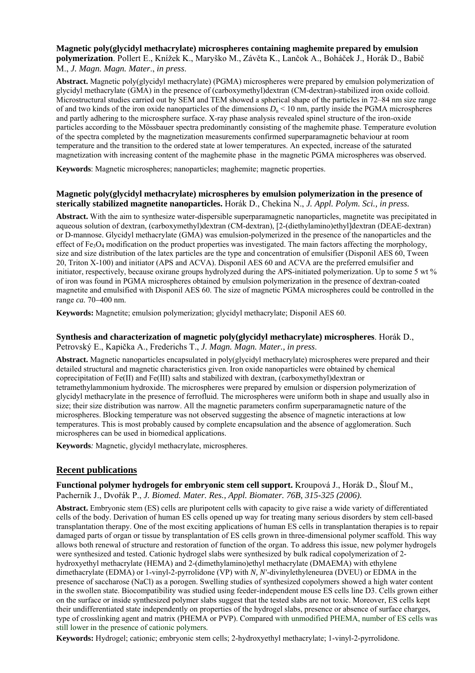**Magnetic poly(glycidyl methacrylate) microspheres containing maghemite prepared by emulsion polymerization**. Pollert E., Knížek K., Maryško M., Závěta K., Lančok A., Boháček J., Horák D., Babič M., *J. Magn. Magn. Mater*., *in press*.

**Abstract.** Magnetic poly(glycidyl methacrylate) (PGMA) microspheres were prepared by emulsion polymerization of glycidyl methacrylate (GMA) in the presence of (carboxymethyl)dextran (CM-dextran)-stabilized iron oxide colloid. Microstructural studies carried out by SEM and TEM showed a spherical shape of the particles in 72–84 nm size range of and two kinds of the iron oxide nanoparticles of the dimensions  $D_n < 10$  nm, partly inside the PGMA microspheres and partly adhering to the microsphere surface. X-ray phase analysis revealed spinel structure of the iron-oxide particles according to the Mössbauer spectra predominantly consisting of the maghemite phase. Temperature evolution of the spectra completed by the magnetization measurements confirmed superparamagnetic behaviour at room temperature and the transition to the ordered state at lower temperatures. An expected, increase of the saturated magnetization with increasing content of the maghemite phase in the magnetic PGMA microspheres was observed.

**Keywords**: Magnetic microspheres; nanoparticles; maghemite; magnetic properties.

### **Magnetic poly(glycidyl methacrylate) microspheres by emulsion polymerization in the presence of sterically stabilized magnetite nanoparticles.** Horák D., Chekina N., *J. Appl. Polym. Sci., in press.*

**Abstract.** With the aim to synthesize water-dispersible superparamagnetic nanoparticles, magnetite was precipitated in aqueous solution of dextran, (carboxymethyl)dextran (CM-dextran), [2-(diethylamino)ethyl]dextran (DEAE-dextran) or D-mannose. Glycidyl methacrylate (GMA) was emulsion-polymerized in the presence of the nanoparticles and the effect of  $Fe<sub>3</sub>O<sub>4</sub>$  modification on the product properties was investigated. The main factors affecting the morphology, size and size distribution of the latex particles are the type and concentration of emulsifier (Disponil AES 60, Tween 20, Triton X-100) and initiator (APS and ACVA). Disponil AES 60 and ACVA are the preferred emulsifier and initiator, respectively, because oxirane groups hydrolyzed during the APS-initiated polymerization. Up to some 5 wt % of iron was found in PGMA microspheres obtained by emulsion polymerization in the presence of dextran-coated magnetite and emulsified with Disponil AES 60. The size of magnetic PGMA microspheres could be controlled in the range *ca.* 70−400 nm.

**Keywords:** Magnetite; emulsion polymerization; glycidyl methacrylate; Disponil AES 60.

### **Synthesis and characterization of magnetic poly(glycidyl methacrylate) microspheres**. Horák D.,

Petrovský E., Kapička A., Frederichs T., *J. Magn. Magn. Mater., in press*.

**Abstract.** Magnetic nanoparticles encapsulated in poly(glycidyl methacrylate) microspheres were prepared and their detailed structural and magnetic characteristics given. Iron oxide nanoparticles were obtained by chemical coprecipitation of Fe(II) and Fe(III) salts and stabilized with dextran, (carboxymethyl)dextran or tetramethylammonium hydroxide. The microspheres were prepared by emulsion or dispersion polymerization of glycidyl methacrylate in the presence of ferrofluid. The microspheres were uniform both in shape and usually also in size; their size distribution was narrow. All the magnetic parameters confirm superparamagnetic nature of the microspheres. Blocking temperature was not observed suggesting the absence of magnetic interactions at low temperatures. This is most probably caused by complete encapsulation and the absence of agglomeration. Such microspheres can be used in biomedical applications.

**Keywords***:* Magnetic, glycidyl methacrylate, microspheres.

### **Recent publications**

### **Functional polymer hydrogels for embryonic stem cell support.** Kroupová J., Horák D., Šlouf M., Pacherník J., Dvořák P., *J. Biomed. Mater. Res., Appl. Biomater. 76B, 315-325 (2006).*

**Abstract.** Embryonic stem (ES) cells are pluripotent cells with capacity to give raise a wide variety of differentiated cells of the body. Derivation of human ES cells opened up way for treating many serious disorders by stem cell-based transplantation therapy. One of the most exciting applications of human ES cells in transplantation therapies is to repair damaged parts of organ or tissue by transplantation of ES cells grown in three-dimensional polymer scaffold. This way allows both renewal of structure and restoration of function of the organ. To address this issue, new polymer hydrogels were synthesized and tested. Cationic hydrogel slabs were synthesized by bulk radical copolymerization of 2 hydroxyethyl methacrylate (HEMA) and 2-(dimethylamino)ethyl methacrylate (DMAEMA) with ethylene dimethacrylate (EDMA) or 1-vinyl-2-pyrrolidone (VP) with *N, N'*-divinylethyleneurea (DVEU) or EDMA in the presence of saccharose (NaCl) as a porogen. Swelling studies of synthesized copolymers showed a high water content in the swollen state. Biocompatibility was studied using feeder-independent mouse ES cells line D3. Cells grown either on the surface or inside synthesized polymer slabs suggest that the tested slabs are not toxic. Moreover, ES cells kept their undifferentiated state independently on properties of the hydrogel slabs, presence or absence of surface charges, type of crosslinking agent and matrix (PHEMA or PVP). Compared with unmodified PHEMA, number of ES cells was still lower in the presence of cationic polymers.

**Keywords:** Hydrogel; cationic; embryonic stem cells; 2-hydroxyethyl methacrylate; 1-vinyl-2-pyrrolidone.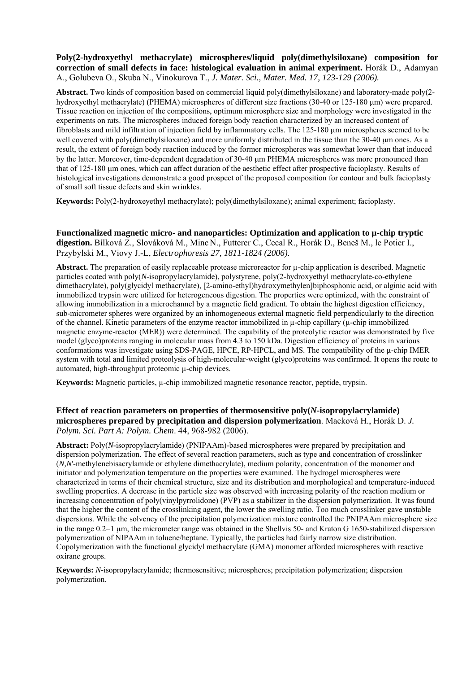### **Poly(2-hydroxyethyl methacrylate) microspheres/liquid poly(dimethylsiloxane) composition for correction of small defects in face: histological evaluation in animal experiment.** Horák D., Adamyan A., Golubeva O., Skuba N., Vinokurova T., *J. Mater. Sci., Mater. Med. 17, 123-129 (2006).*

**Abstract.** Two kinds of composition based on commercial liquid poly(dimethylsiloxane) and laboratory-made poly(2 hydroxyethyl methacrylate) (PHEMA) microspheres of different size fractions (30-40 or 125-180 µm) were prepared. Tissue reaction on injection of the compositions, optimum microsphere size and morphology were investigated in the experiments on rats. The microspheres induced foreign body reaction characterized by an increased content of fibroblasts and mild infiltration of injection field by inflammatory cells. The 125-180 µm microspheres seemed to be well covered with poly(dimethylsiloxane) and more uniformly distributed in the tissue than the 30-40 µm ones. As a result, the extent of foreign body reaction induced by the former microspheres was somewhat lower than that induced by the latter. Moreover, time-dependent degradation of 30-40 µm PHEMA microspheres was more pronounced than that of 125-180 µm ones, which can affect duration of the aesthetic effect after prospective facioplasty. Results of histological investigations demonstrate a good prospect of the proposed composition for contour and bulk facioplasty of small soft tissue defects and skin wrinkles.

**Keywords:** Poly(2-hydroxeyethyl methacrylate); poly(dimethylsiloxane); animal experiment; facioplasty.

**Functionalized magnetic micro- and nanoparticles: Optimization and application to µ-chip tryptic digestion.** Bílková Z., Slováková M., Minc N., Futterer C., Cecal R., Horák D., Beneš M., le Potier I., Przybylski M., Viovy J.-L, *Electrophoresis 27, 1811-1824 (2006).*

**Abstract.** The preparation of easily replaceable protease microreactor for µ-chip application is described. Magnetic particles coated with poly(*N*-isopropylacrylamide), polystyrene, poly(2-hydroxyethyl methacrylate-co-ethylene dimethacrylate), poly(glycidyl methacrylate), [2-amino-ethyl)hydroxymethylen]biphosphonic acid, or alginic acid with immobilized trypsin were utilized for heterogeneous digestion. The properties were optimized, with the constraint of allowing immobilization in a microchannel by a magnetic field gradient. To obtain the highest digestion efficiency, sub-micrometer spheres were organized by an inhomogeneous external magnetic field perpendicularly to the direction of the channel. Kinetic parameters of the enzyme reactor immobilized in  $\mu$ -chip capillary ( $\mu$ -chip immobilized magnetic enzyme-reactor (MER)) were determined. The capability of the proteolytic reactor was demonstrated by five model (glyco)proteins ranging in molecular mass from 4.3 to 150 kDa. Digestion efficiency of proteins in various conformations was investigate using SDS-PAGE, HPCE, RP-HPCL, and MS. The compatibility of the µ-chip IMER system with total and limited proteolysis of high-molecular-weight (glyco)proteins was confirmed. It opens the route to automated, high-throughput proteomic µ-chip devices.

**Keywords:** Magnetic particles, µ-chip immobilized magnetic resonance reactor, peptide, trypsin.

### **Effect of reaction parameters on properties of thermosensitive poly(***N***-isopropylacrylamide) microspheres prepared by precipitation and dispersion polymerization**. Macková H., Horák D. *J. Polym. Sci. Part A: Polym. Chem*. 44, 968-982 (2006).

**Abstract:** Poly(*N*-isopropylacrylamide) (PNIPAAm)-based microspheres were prepared by precipitation and dispersion polymerization. The effect of several reaction parameters, such as type and concentration of crosslinker (*N,N*'-methylenebisacrylamide or ethylene dimethacrylate), medium polarity, concentration of the monomer and initiator and polymerization temperature on the properties were examined. The hydrogel microspheres were characterized in terms of their chemical structure, size and its distribution and morphological and temperature-induced swelling properties. A decrease in the particle size was observed with increasing polarity of the reaction medium or increasing concentration of poly(vinylpyrrolidone) (PVP) as a stabilizer in the dispersion polymerization. It was found that the higher the content of the crosslinking agent, the lower the swelling ratio. Too much crosslinker gave unstable dispersions. While the solvency of the precipitation polymerization mixture controlled the PNIPAAm microsphere size in the range 0.2−1 µm, the micrometer range was obtained in the Shellvis 50- and Kraton G 1650-stabilized dispersion polymerization of NIPAAm in toluene/heptane. Typically, the particles had fairly narrow size distribution. Copolymerization with the functional glycidyl methacrylate (GMA) monomer afforded microspheres with reactive oxirane groups.

**Keywords:** *N-*isopropylacrylamide; thermosensitive; microspheres; precipitation polymerization; dispersion polymerization.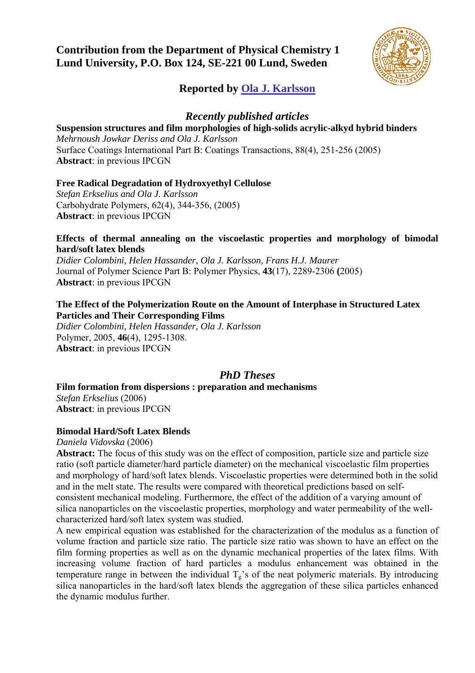### **Contribution from the Department of Physical Chemistry 1 Lund University, P.O. Box 124, SE-221 00 Lund, Sweden**



### **Reported by Ola J. Karlsson**

### *Recently published articles*

### **Suspension structures and film morphologies of high-solids acrylic-alkyd hybrid binders**

*Mehrnoush Jowkar Deriss and Ola J. Karlsson*  Surface Coatings International Part B: Coatings Transactions, 88(4), 251-256 (2005) **Abstract**: in previous IPCGN

### **Free Radical Degradation of Hydroxyethyl Cellulose**

*Stefan Erkselius and Ola J. Karlsson*  Carbohydrate Polymers, 62(4), 344-356, (2005) **Abstract**: in previous IPCGN

### **Effects of thermal annealing on the viscoelastic properties and morphology of bimodal hard/soft latex blends**

*Didier Colombini, Helen Hassander*, *Ola J. Karlsson, Frans H.J. Maurer*  Journal of Polymer Science Part B: Polymer Physics, **43**(17), 2289-2306 **(**2005) **Abstract**: in previous IPCGN

### **The Effect of the Polymerization Route on the Amount of Interphase in Structured Latex Particles and Their Corresponding Films**

*Didier Colombini, Helen Hassander, Ola J. Karlsson*  Polymer, 2005, **46**(4), 1295-1308. **Abstract**: in previous IPCGN

### *PhD Theses*

**Film formation from dispersions : preparation and mechanisms** 

*Stefan Erkselius* (2006) **Abstract**: in previous IPCGN

### **Bimodal Hard/Soft Latex Blends**

*Daniela Vidovska* (2006)

**Abstract:** The focus of this study was on the effect of composition, particle size and particle size ratio (soft particle diameter/hard particle diameter) on the mechanical viscoelastic film properties and morphology of hard/soft latex blends. Viscoelastic properties were determined both in the solid and in the melt state. The results were compared with theoretical predictions based on selfconsistent mechanical modeling. Furthermore, the effect of the addition of a varying amount of silica nanoparticles on the viscoelastic properties, morphology and water permeability of the wellcharacterized hard/soft latex system was studied.

A new empirical equation was established for the characterization of the modulus as a function of volume fraction and particle size ratio. The particle size ratio was shown to have an effect on the film forming properties as well as on the dynamic mechanical properties of the latex films. With increasing volume fraction of hard particles a modulus enhancement was obtained in the temperature range in between the individual  $T_g$ 's of the neat polymeric materials. By introducing silica nanoparticles in the hard/soft latex blends the aggregation of these silica particles enhanced the dynamic modulus further.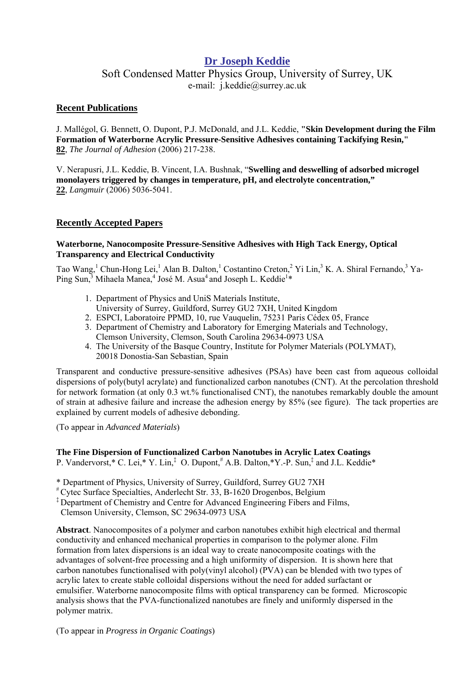### **Dr Joseph Keddie**

Soft Condensed Matter Physics Group, University of Surrey, UK e-mail: j.keddie@surrey.ac.uk

### **Recent Publications**

J. Mallégol, G. Bennett, O. Dupont, P.J. McDonald, and J.L. Keddie, **"Skin Development during the Film Formation of Waterborne Acrylic Pressure-Sensitive Adhesives containing Tackifying Resin," 82**, *The Journal of Adhesion* (2006) 217-238.

V. Nerapusri, J.L. Keddie, B. Vincent, I.A. Bushnak, "**Swelling and deswelling of adsorbed microgel monolayers triggered by changes in temperature, pH, and electrolyte concentration," 22**, *Langmuir* (2006) 5036-5041.

### **Recently Accepted Papers**

### **Waterborne, Nanocomposite Pressure-Sensitive Adhesives with High Tack Energy, Optical Transparency and Electrical Conductivity**

Tao Wang,<sup>1</sup> Chun-Hong Lei,<sup>1</sup> Alan B. Dalton,<sup>1</sup> Costantino Creton,<sup>2</sup> Yi Lin,<sup>3</sup> K. A. Shiral Fernando,<sup>3</sup> Ya-Ping Sun,<sup>3</sup> Mihaela Manea,<sup>4</sup> José M. Asua<sup>4</sup> and Joseph L. Keddie<sup>1</sup>\*

- 1. Department of Physics and UniS Materials Institute,
- University of Surrey, Guildford, Surrey GU2 7XH, United Kingdom
- 2. ESPCI, Laboratoire PPMD, 10, rue Vauquelin, 75231 Paris Cédex 05, France
- 3. Department of Chemistry and Laboratory for Emerging Materials and Technology, Clemson University, Clemson, South Carolina 29634-0973 USA
- 4. The University of the Basque Country, Institute for Polymer Materials (POLYMAT), 20018 Donostia-San Sebastian, Spain

Transparent and conductive pressure-sensitive adhesives (PSAs) have been cast from aqueous colloidal dispersions of poly(butyl acrylate) and functionalized carbon nanotubes (CNT). At the percolation threshold for network formation (at only 0.3 wt.% functionalised CNT), the nanotubes remarkably double the amount of strain at adhesive failure and increase the adhesion energy by 85% (see figure). The tack properties are explained by current models of adhesive debonding.

(To appear in *Advanced Materials*)

### **The Fine Dispersion of Functionalized Carbon Nanotubes in Acrylic Latex Coatings**

P. Vandervorst,\* C. Lei,\* Y. Lin,<sup>‡</sup> O. Dupont,<sup>#</sup> A.B. Dalton,\*Y.-P. Sun,<sup>‡</sup> and J.L. Keddie\*

\* Department of Physics, University of Surrey, Guildford, Surrey GU2 7XH

# Cytec Surface Specialties, Anderlecht Str. 33, B-1620 Drogenbos, Belgium

‡ Department of Chemistry and Centre for Advanced Engineering Fibers and Films,

Clemson University, Clemson, SC 29634-0973 USA

**Abstract**. Nanocomposites of a polymer and carbon nanotubes exhibit high electrical and thermal conductivity and enhanced mechanical properties in comparison to the polymer alone. Film formation from latex dispersions is an ideal way to create nanocomposite coatings with the advantages of solvent-free processing and a high uniformity of dispersion. It is shown here that carbon nanotubes functionalised with poly(vinyl alcohol) (PVA) can be blended with two types of acrylic latex to create stable colloidal dispersions without the need for added surfactant or emulsifier. Waterborne nanocomposite films with optical transparency can be formed. Microscopic analysis shows that the PVA-functionalized nanotubes are finely and uniformly dispersed in the polymer matrix.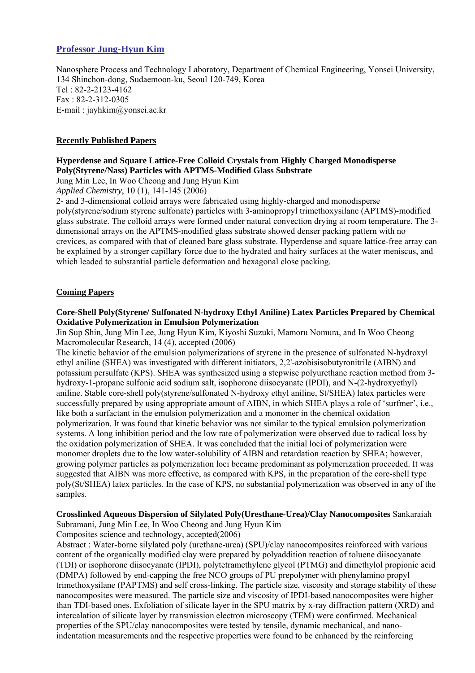### **Professor Jung-Hyun Kim**

Nanosphere Process and Technology Laboratory, Department of Chemical Engineering, Yonsei University, 134 Shinchon-dong, Sudaemoon-ku, Seoul 120-749, Korea Tel : 82-2-2123-4162 Fax : 82-2-312-0305 E-mail : jayhkim@yonsei.ac.kr

### **Recently Published Papers**

### **Hyperdense and Square Lattice-Free Colloid Crystals from Highly Charged Monodisperse Poly(Styrene/Nass) Particles with APTMS-Modified Glass Substrate**

Jung Min Lee, In Woo Cheong and Jung Hyun Kim

*Applied Chemistry*, 10 (1), 141-145 (2006)

2- and 3-dimensional colloid arrays were fabricated using highly-charged and monodisperse

poly(styrene/sodium styrene sulfonate) particles with 3-aminopropyl trimethoxysilane (APTMS)-modified glass substrate. The colloid arrays were formed under natural convection drying at room temperature. The 3 dimensional arrays on the APTMS-modified glass substrate showed denser packing pattern with no crevices, as compared with that of cleaned bare glass substrate. Hyperdense and square lattice-free array can be explained by a stronger capillary force due to the hydrated and hairy surfaces at the water meniscus, and which leaded to substantial particle deformation and hexagonal close packing.

### **Coming Papers**

### **Core-Shell Poly(Styrene/ Sulfonated N-hydroxy Ethyl Aniline) Latex Particles Prepared by Chemical Oxidative Polymerization in Emulsion Polymerization**

Jin Sup Shin, Jung Min Lee, Jung Hyun Kim, Kiyoshi Suzuki, Mamoru Nomura, and In Woo Cheong Macromolecular Research, 14 (4), accepted (2006)

The kinetic behavior of the emulsion polymerizations of styrene in the presence of sulfonated N-hydroxyl ethyl aniline (SHEA) was investigated with different initiators, 2,2'-azobisisobutyronitrile (AIBN) and potassium persulfate (KPS). SHEA was synthesized using a stepwise polyurethane reaction method from 3 hydroxy-1-propane sulfonic acid sodium salt, isophorone diisocyanate (IPDI), and N-(2-hydroxyethyl) aniline. Stable core-shell poly(styrene/sulfonated N-hydroxy ethyl aniline, St/SHEA) latex particles were successfully prepared by using appropriate amount of AIBN, in which SHEA plays a role of 'surfmer', i.e., like both a surfactant in the emulsion polymerization and a monomer in the chemical oxidation polymerization. It was found that kinetic behavior was not similar to the typical emulsion polymerization systems. A long inhibition period and the low rate of polymerization were observed due to radical loss by the oxidation polymerization of SHEA. It was concluded that the initial loci of polymerization were monomer droplets due to the low water-solubility of AIBN and retardation reaction by SHEA; however, growing polymer particles as polymerization loci became predominant as polymerization proceeded. It was suggested that AIBN was more effective, as compared with KPS, in the preparation of the core-shell type poly(St/SHEA) latex particles. In the case of KPS, no substantial polymerization was observed in any of the samples.

#### **Crosslinked Aqueous Dispersion of Silylated Poly(Uresthane-Urea)/Clay Nanocomposites** Sankaraiah Subramani, Jung Min Lee, In Woo Cheong and Jung Hyun Kim

Composites science and technology, accepted(2006)

Abstract : Water-borne silylated poly (urethane-urea) (SPU)/clay nanocomposites reinforced with various content of the organically modified clay were prepared by polyaddition reaction of toluene diisocyanate (TDI) or isophorone diisocyanate (IPDI), polytetramethylene glycol (PTMG) and dimethylol propionic acid (DMPA) followed by end-capping the free NCO groups of PU prepolymer with phenylamino propyl trimethoxysilane (PAPTMS) and self cross-linking. The particle size, viscosity and storage stability of these nanocomposites were measured. The particle size and viscosity of IPDI-based nanocomposites were higher than TDI-based ones. Exfoliation of silicate layer in the SPU matrix by x-ray diffraction pattern (XRD) and intercalation of silicate layer by transmission electron microscopy (TEM) were confirmed. Mechanical properties of the SPU/clay nanocomposites were tested by tensile, dynamic mechanical, and nanoindentation measurements and the respective properties were found to be enhanced by the reinforcing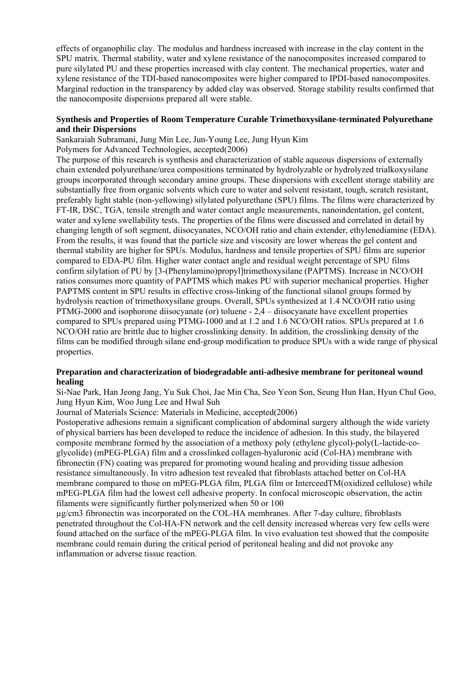effects of organophilic clay. The modulus and hardness increased with increase in the clay content in the SPU matrix. Thermal stability, water and xylene resistance of the nanocomposites increased compared to pure silylated PU and these properties increased with clay content. The mechanical properties, water and xylene resistance of the TDI-based nanocomposites were higher compared to IPDI-based nanocomposites. Marginal reduction in the transparency by added clay was observed. Storage stability results confirmed that the nanocomposite dispersions prepared all were stable.

### **Synthesis and Properties of Room Temperature Curable Trimethoxysilane-terminated Polyurethane and their Dispersions**

Sankaraiah Subramani, Jung Min Lee, Jun-Young Lee, Jung Hyun Kim

Polymers for Advanced Technologies, accepted(2006)

The purpose of this research is synthesis and characterization of stable aqueous dispersions of externally chain extended polyurethane/urea compositions terminated by hydrolyzable or hydrolyzed trialkoxysilane groups incorporated through secondary amino groups. These dispersions with excellent storage stability are substantially free from organic solvents which cure to water and solvent resistant, tough, scratch resistant, preferably light stable (non-yellowing) silylated polyurethane (SPU) films. The films were characterized by FT-IR, DSC, TGA, tensile strength and water contact angle measurements, nanoindentation, gel content, water and xylene swellability tests. The properties of the films were discussed and correlated in detail by changing length of soft segment, diisocyanates, NCO/OH ratio and chain extender, ethylenediamine (EDA). From the results, it was found that the particle size and viscosity are lower whereas the gel content and thermal stability are higher for SPUs. Modulus, hardness and tensile properties of SPU films are superior compared to EDA-PU film. Higher water contact angle and residual weight percentage of SPU films confirm silylation of PU by [3-(Phenylamino)propyl]trimethoxysilane (PAPTMS). Increase in NCO/OH ratios consumes more quantity of PAPTMS which makes PU with superior mechanical properties. Higher PAPTMS content in SPU results in effective cross-linking of the functional silanol groups formed by hydrolysis reaction of trimethoxysilane groups. Overall, SPUs synthesized at 1.4 NCO/OH ratio using PTMG-2000 and isophorone diisocyanate (or) toluene - 2,4 – diisocyanate have excellent properties compared to SPUs prepared using PTMG-1000 and at 1.2 and 1.6 NCO/OH ratios. SPUs prepared at 1.6 NCO/OH ratio are brittle due to higher crosslinking density. In addition, the crosslinking density of the films can be modified through silane end-group modification to produce SPUs with a wide range of physical properties.

### **Preparation and characterization of biodegradable anti-adhesive membrane for peritoneal wound healing**

Si-Nae Park, Han Jeong Jang, Yu Suk Choi, Jae Min Cha, Seo Yeon Son, Seung Hun Han, Hyun Chul Goo, Jung Hyun Kim, Woo Jung Lee and Hwal Suh

Journal of Materials Science: Materials in Medicine, accepted(2006)

Postoperative adhesions remain a significant complication of abdominal surgery although the wide variety of physical barriers has been developed to reduce the incidence of adhesion. In this study, the bilayered composite membrane formed by the association of a methoxy poly (ethylene glycol)-poly(L-lactide-coglycolide) (mPEG-PLGA) film and a crosslinked collagen-hyaluronic acid (Col-HA) membrane with fibronectin (FN) coating was prepared for promoting wound healing and providing tissue adhesion resistance simultaneously. In vitro adhesion test revealed that fibroblasts attached better on Col-HA membrane compared to those on mPEG-PLGA film, PLGA film or InterceedTM(oxidized cellulose) while mPEG-PLGA film had the lowest cell adhesive property. In confocal microscopic observation, the actin filaments were significantly further polymerized when 50 or 100

µg/cm3 fibronectin was incorporated on the COL-HA membranes. After 7-day culture, fibroblasts penetrated throughout the Col-HA-FN network and the cell density increased whereas very few cells were found attached on the surface of the mPEG-PLGA film. In vivo evaluation test showed that the composite membrane could remain during the critical period of peritoneal healing and did not provoke any inflammation or adverse tissue reaction.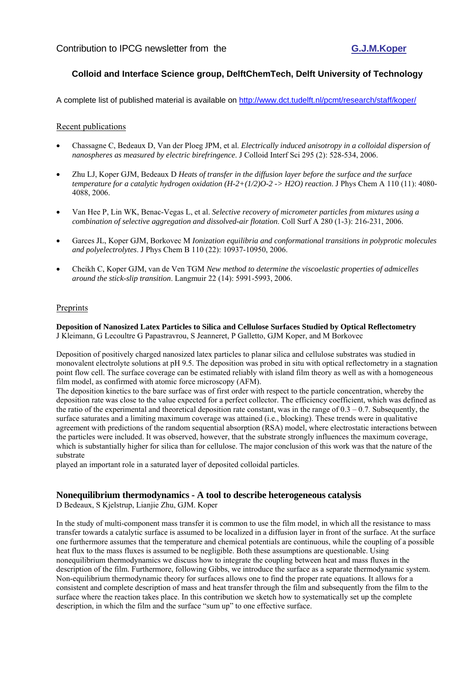### **Colloid and Interface Science group, DelftChemTech, Delft University of Technology**

A complete list of published material is available on http://www.dct.tudelft.nl/pcmt/research/staff/koper/

#### Recent publications

- Chassagne C, Bedeaux D, Van der Ploeg JPM, et al. *Electrically induced anisotropy in a colloidal dispersion of nanospheres as measured by electric birefringence*. J Colloid Interf Sci 295 (2): 528-534, 2006.
- Zhu LJ, Koper GJM, Bedeaux D *Heats of transfer in the diffusion layer before the surface and the surface temperature for a catalytic hydrogen oxidation (H-2+(1/2)O-2 -> H2O) reaction*. J Phys Chem A 110 (11): 4080- 4088, 2006.
- Van Hee P, Lin WK, Benac-Vegas L, et al. *Selective recovery of micrometer particles from mixtures using a combination of selective aggregation and dissolved-air flotation*. Coll Surf A 280 (1-3): 216-231, 2006.
- Garces JL, Koper GJM, Borkovec M *Ionization equilibria and conformational transitions in polyprotic molecules and polyelectrolytes*. J Phys Chem B 110 (22): 10937-10950, 2006.
- Cheikh C, Koper GJM, van de Ven TGM *New method to determine the viscoelastic properties of admicelles around the stick-slip transition*. Langmuir 22 (14): 5991-5993, 2006.

#### Preprints

**Deposition of Nanosized Latex Particles to Silica and Cellulose Surfaces Studied by Optical Reflectometry**  J Kleimann, G Lecoultre G Papastravrou, S Jeanneret, P Galletto, GJM Koper, and M Borkovec

Deposition of positively charged nanosized latex particles to planar silica and cellulose substrates was studied in monovalent electrolyte solutions at pH 9.5. The deposition was probed in situ with optical reflectometry in a stagnation point flow cell. The surface coverage can be estimated reliably with island film theory as well as with a homogeneous film model, as confirmed with atomic force microscopy (AFM).

The deposition kinetics to the bare surface was of first order with respect to the particle concentration, whereby the deposition rate was close to the value expected for a perfect collector. The efficiency coefficient, which was defined as the ratio of the experimental and theoretical deposition rate constant, was in the range of  $0.3 - 0.7$ . Subsequently, the surface saturates and a limiting maximum coverage was attained (i.e., blocking). These trends were in qualitative agreement with predictions of the random sequential absorption (RSA) model, where electrostatic interactions between the particles were included. It was observed, however, that the substrate strongly influences the maximum coverage, which is substantially higher for silica than for cellulose. The major conclusion of this work was that the nature of the substrate

played an important role in a saturated layer of deposited colloidal particles.

### **Nonequilibrium thermodynamics - A tool to describe heterogeneous catalysis**

D Bedeaux, S Kjelstrup, Lianjie Zhu, GJM. Koper

In the study of multi-component mass transfer it is common to use the film model, in which all the resistance to mass transfer towards a catalytic surface is assumed to be localized in a diffusion layer in front of the surface. At the surface one furthermore assumes that the temperature and chemical potentials are continuous, while the coupling of a possible heat flux to the mass fluxes is assumed to be negligible. Both these assumptions are questionable. Using nonequilibrium thermodynamics we discuss how to integrate the coupling between heat and mass fluxes in the description of the film. Furthermore, following Gibbs, we introduce the surface as a separate thermodynamic system. Non-equilibrium thermodynamic theory for surfaces allows one to find the proper rate equations. It allows for a consistent and complete description of mass and heat transfer through the film and subsequently from the film to the surface where the reaction takes place. In this contribution we sketch how to systematically set up the complete description, in which the film and the surface "sum up" to one effective surface.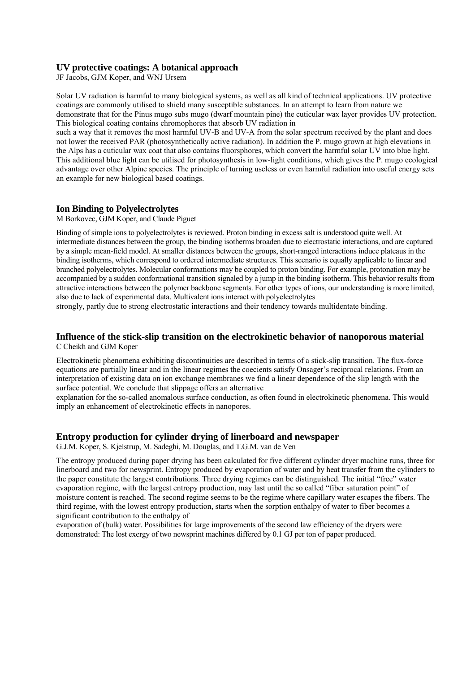#### **UV protective coatings: A botanical approach**

JF Jacobs, GJM Koper, and WNJ Ursem

Solar UV radiation is harmful to many biological systems, as well as all kind of technical applications. UV protective coatings are commonly utilised to shield many susceptible substances. In an attempt to learn from nature we demonstrate that for the Pinus mugo subs mugo (dwarf mountain pine) the cuticular wax layer provides UV protection. This biological coating contains chromophores that absorb UV radiation in

such a way that it removes the most harmful UV-B and UV-A from the solar spectrum received by the plant and does not lower the received PAR (photosynthetically active radiation). In addition the P. mugo grown at high elevations in the Alps has a cuticular wax coat that also contains fluorsphores, which convert the harmful solar UV into blue light. This additional blue light can be utilised for photosynthesis in low-light conditions, which gives the P. mugo ecological advantage over other Alpine species. The principle of turning useless or even harmful radiation into useful energy sets an example for new biological based coatings.

### **Ion Binding to Polyelectrolytes**

M Borkovec, GJM Koper, and Claude Piguet

Binding of simple ions to polyelectrolytes is reviewed. Proton binding in excess salt is understood quite well. At intermediate distances between the group, the binding isotherms broaden due to electrostatic interactions, and are captured by a simple mean-field model. At smaller distances between the groups, short-ranged interactions induce plateaus in the binding isotherms, which correspond to ordered intermediate structures. This scenario is equally applicable to linear and branched polyelectrolytes. Molecular conformations may be coupled to proton binding. For example, protonation may be accompanied by a sudden conformational transition signaled by a jump in the binding isotherm. This behavior results from attractive interactions between the polymer backbone segments. For other types of ions, our understanding is more limited, also due to lack of experimental data. Multivalent ions interact with polyelectrolytes

strongly, partly due to strong electrostatic interactions and their tendency towards multidentate binding.

### **Influence of the stick-slip transition on the electrokinetic behavior of nanoporous material**  C Cheikh and GJM Koper

Electrokinetic phenomena exhibiting discontinuities are described in terms of a stick-slip transition. The flux-force equations are partially linear and in the linear regimes the coecients satisfy Onsager's reciprocal relations. From an interpretation of existing data on ion exchange membranes we find a linear dependence of the slip length with the surface potential. We conclude that slippage offers an alternative

explanation for the so-called anomalous surface conduction, as often found in electrokinetic phenomena. This would imply an enhancement of electrokinetic effects in nanopores.

### **Entropy production for cylinder drying of linerboard and newspaper**

G.J.M. Koper, S. Kjelstrup, M. Sadeghi, M. Douglas, and T.G.M. van de Ven

The entropy produced during paper drying has been calculated for five different cylinder dryer machine runs, three for linerboard and two for newsprint. Entropy produced by evaporation of water and by heat transfer from the cylinders to the paper constitute the largest contributions. Three drying regimes can be distinguished. The initial "free" water evaporation regime, with the largest entropy production, may last until the so called "fiber saturation point" of moisture content is reached. The second regime seems to be the regime where capillary water escapes the fibers. The third regime, with the lowest entropy production, starts when the sorption enthalpy of water to fiber becomes a significant contribution to the enthalpy of

evaporation of (bulk) water. Possibilities for large improvements of the second law efficiency of the dryers were demonstrated: The lost exergy of two newsprint machines differed by 0.1 GJ per ton of paper produced.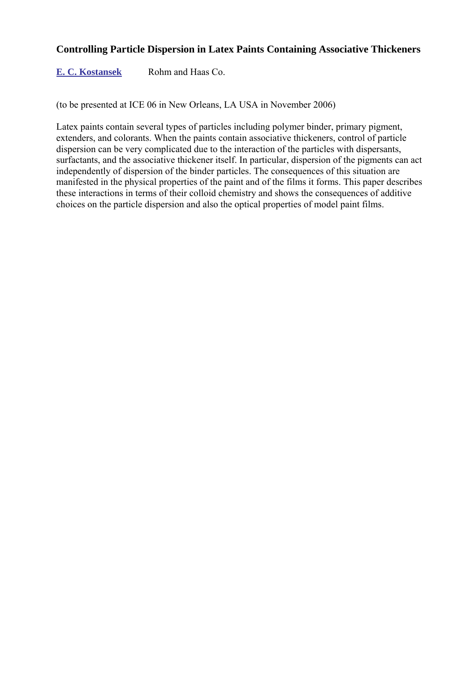### **Controlling Particle Dispersion in Latex Paints Containing Associative Thickeners**

**E. C. Kostansek** Rohm and Haas Co.

(to be presented at ICE 06 in New Orleans, LA USA in November 2006)

Latex paints contain several types of particles including polymer binder, primary pigment, extenders, and colorants. When the paints contain associative thickeners, control of particle dispersion can be very complicated due to the interaction of the particles with dispersants, surfactants, and the associative thickener itself. In particular, dispersion of the pigments can act independently of dispersion of the binder particles. The consequences of this situation are manifested in the physical properties of the paint and of the films it forms. This paper describes these interactions in terms of their colloid chemistry and shows the consequences of additive choices on the particle dispersion and also the optical properties of model paint films.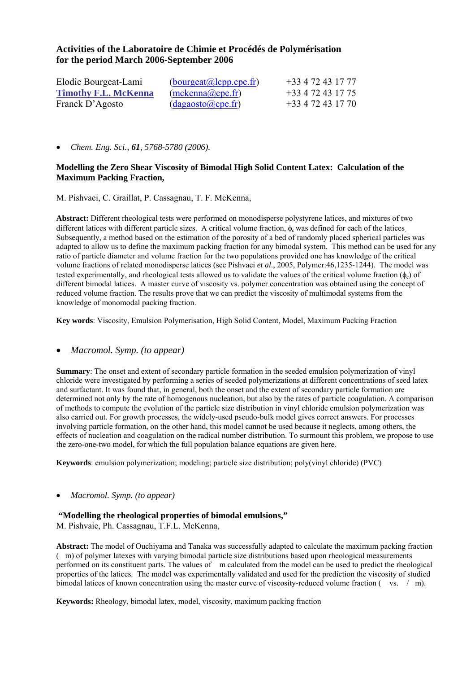### **Activities of the Laboratoire de Chimie et Procédés de Polymérisation for the period March 2006-September 2006**

| Elodie Bourgeat-Lami        | (bourgeat@lcpp.cpe.fr) | +33 4 72 43 17 77   |
|-----------------------------|------------------------|---------------------|
| <b>Timothy F.L. McKenna</b> | (mckenna@cpe.fr)       | +33 4 72 43 17 75   |
| Franck D'Agosto             | (dagaosto@cpe.fr)      | $+33$ 4 72 43 17 70 |

• *Chem. Eng. Sci., 61, 5768-5780 (2006).* 

### **Modelling the Zero Shear Viscosity of Bimodal High Solid Content Latex: Calculation of the Maximum Packing Fraction,**

M. Pishvaei, C. Graillat, P. Cassagnau, T. F. McKenna,

**Abstract:** Different rheological tests were performed on monodisperse polystyrene latices, and mixtures of two different latices with different particle sizes. A critical volume fraction,  $\phi_c$  was defined for each of the latices Subsequently, a method based on the estimation of the porosity of a bed of randomly placed spherical particles was adapted to allow us to define the maximum packing fraction for any bimodal system. This method can be used for any ratio of particle diameter and volume fraction for the two populations provided one has knowledge of the critical volume fractions of related monodisperse latices (see Pishvaei *et al*., 2005, Polymer:46,1235-1244). The model was tested experimentally, and rheological tests allowed us to validate the values of the critical volume fraction  $(\phi_c)$  of different bimodal latices. A master curve of viscosity vs. polymer concentration was obtained using the concept of reduced volume fraction. The results prove that we can predict the viscosity of multimodal systems from the knowledge of monomodal packing fraction.

**Key words**: Viscosity, Emulsion Polymerisation, High Solid Content, Model, Maximum Packing Fraction

### • *Macromol. Symp. (to appear)*

**Summary**: The onset and extent of secondary particle formation in the seeded emulsion polymerization of vinyl chloride were investigated by performing a series of seeded polymerizations at different concentrations of seed latex and surfactant. It was found that, in general, both the onset and the extent of secondary particle formation are determined not only by the rate of homogenous nucleation, but also by the rates of particle coagulation. A comparison of methods to compute the evolution of the particle size distribution in vinyl chloride emulsion polymerization was also carried out. For growth processes, the widely-used pseudo-bulk model gives correct answers. For processes involving particle formation, on the other hand, this model cannot be used because it neglects, among others, the effects of nucleation and coagulation on the radical number distribution. To surmount this problem, we propose to use the zero-one-two model, for which the full population balance equations are given here.

**Keywords**: emulsion polymerization; modeling; particle size distribution; poly(vinyl chloride) (PVC)

#### • *Macromol. Symp. (to appear)*

### **"Modelling the rheological properties of bimodal emulsions,"**

M. Pishvaie, Ph. Cassagnau, T.F.L. McKenna,

**Abstract:** The model of Ouchiyama and Tanaka was successfully adapted to calculate the maximum packing fraction (m) of polymer latexes with varying bimodal particle size distributions based upon rheological measurements performed on its constituent parts. The values of m calculated from the model can be used to predict the rheological properties of the latices. The model was experimentally validated and used for the prediction the viscosity of studied bimodal latices of known concentration using the master curve of viscosity-reduced volume fraction ( vs. / m).

**Keywords:** Rheology, bimodal latex, model, viscosity, maximum packing fraction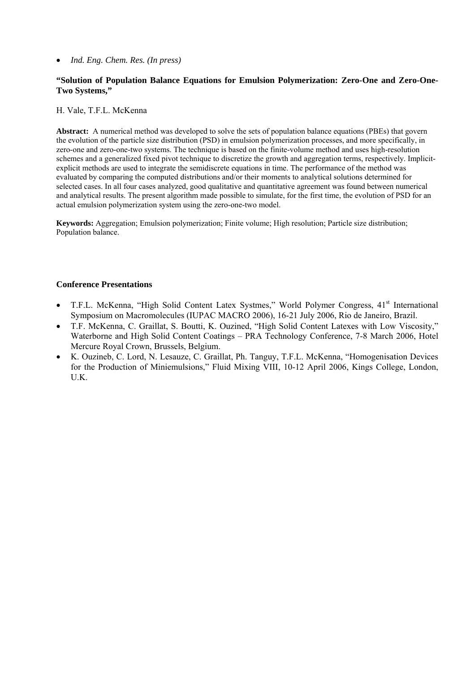• *Ind. Eng. Chem. Res. (In press)* 

### **"Solution of Population Balance Equations for Emulsion Polymerization: Zero-One and Zero-One-Two Systems,"**

H. Vale, T.F.L. McKenna

**Abstract:** A numerical method was developed to solve the sets of population balance equations (PBEs) that govern the evolution of the particle size distribution (PSD) in emulsion polymerization processes, and more specifically, in zero-one and zero-one-two systems. The technique is based on the finite-volume method and uses high-resolution schemes and a generalized fixed pivot technique to discretize the growth and aggregation terms, respectively. Implicitexplicit methods are used to integrate the semidiscrete equations in time. The performance of the method was evaluated by comparing the computed distributions and/or their moments to analytical solutions determined for selected cases. In all four cases analyzed, good qualitative and quantitative agreement was found between numerical and analytical results. The present algorithm made possible to simulate, for the first time, the evolution of PSD for an actual emulsion polymerization system using the zero-one-two model.

**Keywords:** Aggregation; Emulsion polymerization; Finite volume; High resolution; Particle size distribution; Population balance.

### **Conference Presentations**

- T.F.L. McKenna, "High Solid Content Latex Systmes," World Polymer Congress, 41<sup>st</sup> International Symposium on Macromolecules (IUPAC MACRO 2006), 16-21 July 2006, Rio de Janeiro, Brazil.
- T.F. McKenna, C. Graillat, S. Boutti, K. Ouzined, "High Solid Content Latexes with Low Viscosity," Waterborne and High Solid Content Coatings – PRA Technology Conference, 7-8 March 2006, Hotel Mercure Royal Crown, Brussels, Belgium.
- K. Ouzineb, C. Lord, N. Lesauze, C. Graillat, Ph. Tanguy, T.F.L. McKenna, "Homogenisation Devices for the Production of Miniemulsions," Fluid Mixing VIII, 10-12 April 2006, Kings College, London, U.K.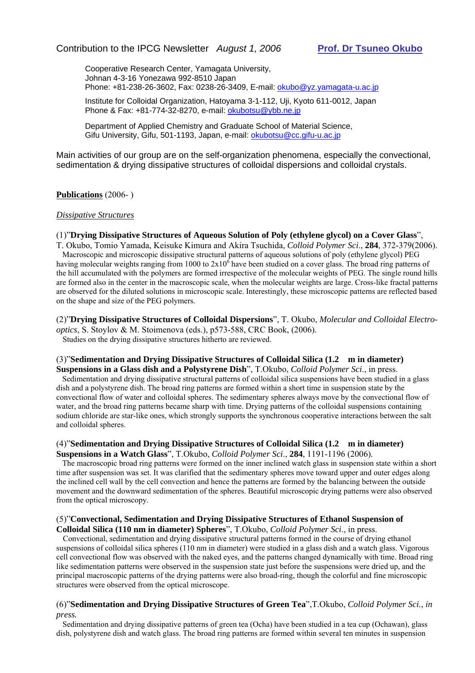Cooperative Research Center, Yamagata University, Johnan 4-3-16 Yonezawa 992-8510 Japan Phone: +81-238-26-3602, Fax: 0238-26-3409, E-mail: okubo@yz.yamagata-u.ac.jp

Institute for Colloidal Organization, Hatoyama 3-1-112, Uji, Kyoto 611-0012, Japan Phone & Fax: +81-774-32-8270, e-mail: okubotsu@ybb.ne.jp

Department of Applied Chemistry and Graduate School of Material Science, Gifu University, Gifu, 501-1193, Japan, e-mail: okubotsu@cc.gifu-u.ac.jp

Main activities of our group are on the self-organization phenomena, especially the convectional, sedimentation & drying dissipative structures of colloidal dispersions and colloidal crystals.

#### **Publications** (2006- )

#### *Dissipative Structures*

#### (1)"**Drying Dissipative Structures of Aqueous Solution of Poly (ethylene glycol) on a Cover Glass**",

T. Okubo, Tomio Yamada, Keisuke Kimura and Akira Tsuchida, *Colloid Polymer Sci*., **284**, 372-379(2006). Macroscopic and microscopic dissipative structural patterns of aqueous solutions of poly (ethylene glycol) PEG having molecular weights ranging from 1000 to  $2x10^6$  have been studied on a cover glass. The broad ring patterns of the hill accumulated with the polymers are formed irrespective of the molecular weights of PEG. The single round hills are formed also in the center in the macroscopic scale, when the molecular weights are large. Cross-like fractal patterns are observed for the diluted solutions in microscopic scale. Interestingly, these microscopic patterns are reflected based on the shape and size of the PEG polymers.

(2)"**Drying Dissipative Structures of Colloidal Dispersions**", T. Okubo, *Molecular and Colloidal Electrooptics*, S. Stoylov & M. Stoimenova (eds.), p573-588, CRC Book, (2006). Studies on the drying dissipative structures hitherto are reviewed.

### (3)"**Sedimentation and Drying Dissipative Structures of Colloidal Silica (1.2 m in diameter)**

**Suspensions in a Glass dish and a Polystyrene Dish**", T.Okubo, *Colloid Polymer Sci*., in press. Sedimentation and drying dissipative structural patterns of colloidal silica suspensions have been studied in a glass dish and a polystyrene dish. The broad ring patterns are formed within a short time in suspension state by the convectional flow of water and colloidal spheres. The sedimentary spheres always move by the convectional flow of water, and the broad ring patterns became sharp with time. Drying patterns of the colloidal suspensions containing sodium chloride are star-like ones, which strongly supports the synchronous cooperative interactions between the salt and colloidal spheres.

#### (4)"**Sedimentation and Drying Dissipative Structures of Colloidal Silica (1.2 m in diameter) Suspensions in a Watch Glass**", T.Okubo, *Colloid Polymer Sci*., **284**, 1191-1196 (2006).

 The macroscopic broad ring patterns were formed on the inner inclined watch glass in suspension state within a short time after suspension was set. It was clarified that the sedimentary spheres move toward upper and outer edges along the inclined cell wall by the cell convection and hence the patterns are formed by the balancing between the outside movement and the downward sedimentation of the spheres. Beautiful microscopic drying patterns were also observed from the optical microscopy.

#### (5)"**Convectional, Sedimentation and Drying Dissipative Structures of Ethanol Suspension of Colloidal Silica (110 nm in diameter) Spheres**", T.Okubo, *Colloid Polymer Sci*., in press.

 Convectional, sedimentation and drying dissipative structural patterns formed in the course of drying ethanol suspensions of colloidal silica spheres (110 nm in diameter) were studied in a glass dish and a watch glass. Vigorous cell convectional flow was observed with the naked eyes, and the patterns changed dynamically with time. Broad ring like sedimentation patterns were observed in the suspension state just before the suspensions were dried up, and the principal macroscopic patterns of the drying patterns were also broad-ring, though the colorful and fine microscopic structures were observed from the optical microscope.

#### (6)"**Sedimentation and Drying Dissipative Structures of Green Tea**",T.Okubo, *Colloid Polymer Sci.*, *in press.*

 Sedimentation and drying dissipative patterns of green tea (Ocha) have been studied in a tea cup (Ochawan), glass dish, polystyrene dish and watch glass. The broad ring patterns are formed within several ten minutes in suspension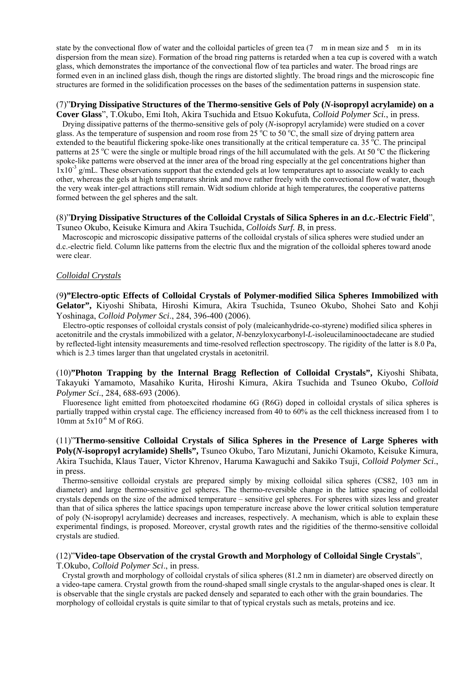state by the convectional flow of water and the colloidal particles of green tea  $(7 \text{ m})$  in mean size and  $5 \text{ m}$  in its dispersion from the mean size). Formation of the broad ring patterns is retarded when a tea cup is covered with a watch glass, which demonstrates the importance of the convectional flow of tea particles and water. The broad rings are formed even in an inclined glass dish, though the rings are distorted slightly. The broad rings and the microscopic fine structures are formed in the solidification processes on the bases of the sedimentation patterns in suspension state.

### (7)"**Drying Dissipative Structures of the Thermo-sensitive Gels of Poly (***N***-isopropyl acrylamide) on a**

**Cover Glass**", T.Okubo, Emi Itoh, Akira Tsuchida and Etsuo Kokufuta, *Colloid Polymer Sci.*, in press. Drying dissipative patterns of the thermo-sensitive gels of poly (*N*-isopropyl acrylamide) were studied on a cover glass. As the temperature of suspension and room rose from 25  $\rm{^6C}$  to 50  $\rm{^6C}$ , the small size of drying pattern area extended to the beautiful flickering spoke-like ones transitionally at the critical temperature ca. 35 °C. The principal patterns at 25 °C were the single or multiple broad rings of the hill accumulated with the gels. At 50 °C the flickering spoke-like patterns were observed at the inner area of the broad ring especially at the gel concentrations higher than  $1x10^{-3}$  g/mL. These observations support that the extended gels at low temperatures apt to associate weakly to each other, whereas the gels at high temperatures shrink and move rather freely with the convectional flow of water, though the very weak inter-gel attractions still remain. Widt sodium chloride at high temperatures, the cooperative patterns formed between the gel spheres and the salt.

#### (8)"**Drying Dissipative Structures of the Colloidal Crystals of Silica Spheres in an d.c.-Electric Field**", Tsuneo Okubo, Keisuke Kimura and Akira Tsuchida, *Colloids Surf. B*, in press.

 Macroscopic and microscopic dissipative patterns of the colloidal crystals of silica spheres were studied under an d.c.-electric field. Column like patterns from the electric flux and the migration of the colloidal spheres toward anode were clear.

#### *Colloidal Crystals*

(9**)"Electro-optic Effects of Colloidal Crystals of Polymer-modified Silica Spheres Immobilized with Gelator",** Kiyoshi Shibata, Hiroshi Kimura, Akira Tsuchida, Tsuneo Okubo, Shohei Sato and Kohji Yoshinaga, *Colloid Polymer Sci*., 284, 396-400 (2006).

 Electro-optic responses of colloidal crystals consist of poly (maleicanhydride-co-styrene) modified silica spheres in acetonitrile and the crystals immobilized with a gelator, *N*-benzyloxycarbonyl-*L*-isoleucilaminooctadecane are studied by reflected-light intensity measurements and time-resolved reflection spectroscopy. The rigidity of the latter is 8.0 Pa, which is 2.3 times larger than that ungelated crystals in acetonitril.

(10)**"Photon Trapping by the Internal Bragg Reflection of Colloidal Crystals",** Kiyoshi Shibata, Takayuki Yamamoto, Masahiko Kurita, Hiroshi Kimura, Akira Tsuchida and Tsuneo Okubo, *Colloid Polymer Sci*., 284, 688-693 (2006).

 Fluoresence light emitted from photoexcited rhodamine 6G (R6G) doped in colloidal crystals of silica spheres is partially trapped within crystal cage. The efficiency increased from 40 to 60% as the cell thickness increased from 1 to 10mm at  $5x10^{-6}$  M of R6G.

(11)"**Thermo-sensitive Colloidal Crystals of Silica Spheres in the Presence of Large Spheres with Poly(***N***-isopropyl acrylamide) Shells",** Tsuneo Okubo, Taro Mizutani, Junichi Okamoto, Keisuke Kimura, Akira Tsuchida, Klaus Tauer, Victor Khrenov, Haruma Kawaguchi and Sakiko Tsuji, *Colloid Polymer Sci*., in press.

 Thermo-sensitive colloidal crystals are prepared simply by mixing colloidal silica spheres (CS82, 103 nm in diameter) and large thermo-sensitive gel spheres. The thermo-reversible change in the lattice spacing of colloidal crystals depends on the size of the admixed temperature – sensitive gel spheres. For spheres with sizes less and greater than that of silica spheres the lattice spacings upon temperature increase above the lower critical solution temperature of poly (N-isopropyl acrylamide) decreases and increases, respectively. A mechanism, which is able to explain these experimental findings, is proposed. Moreover, crystal growth rates and the rigidities of the thermo-sensitive colloidal crystals are studied.

#### (12)"**Video-tape Observation of the crystal Growth and Morphology of Colloidal Single Crystals**",

T.Okubo, *Colloid Polymer Sci*., in press.

 Crystal growth and morphology of colloidal crystals of silica spheres (81.2 nm in diameter) are observed directly on a video-tape camera. Crystal growth from the round-shaped small single crystals to the angular-shaped ones is clear. It is observable that the single crystals are packed densely and separated to each other with the grain boundaries. The morphology of colloidal crystals is quite similar to that of typical crystals such as metals, proteins and ice.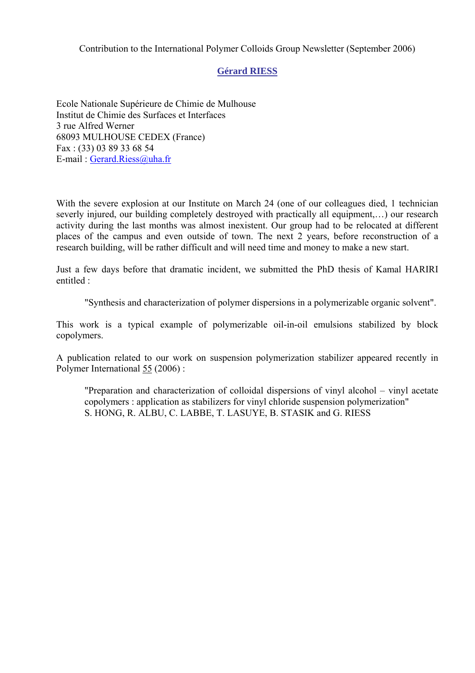Contribution to the International Polymer Colloids Group Newsletter (September 2006)

### **Gérard RIESS**

Ecole Nationale Supérieure de Chimie de Mulhouse Institut de Chimie des Surfaces et Interfaces 3 rue Alfred Werner 68093 MULHOUSE CEDEX (France) Fax : (33) 03 89 33 68 54 E-mail : Gerard.Riess@uha.fr

With the severe explosion at our Institute on March 24 (one of our colleagues died, 1 technician severly injured, our building completely destroyed with practically all equipment,…) our research activity during the last months was almost inexistent. Our group had to be relocated at different places of the campus and even outside of town. The next 2 years, before reconstruction of a research building, will be rather difficult and will need time and money to make a new start.

Just a few days before that dramatic incident, we submitted the PhD thesis of Kamal HARIRI entitled :

"Synthesis and characterization of polymer dispersions in a polymerizable organic solvent".

This work is a typical example of polymerizable oil-in-oil emulsions stabilized by block copolymers.

A publication related to our work on suspension polymerization stabilizer appeared recently in Polymer International 55 (2006) :

"Preparation and characterization of colloidal dispersions of vinyl alcohol – vinyl acetate copolymers : application as stabilizers for vinyl chloride suspension polymerization" S. HONG, R. ALBU, C. LABBE, T. LASUYE, B. STASIK and G. RIESS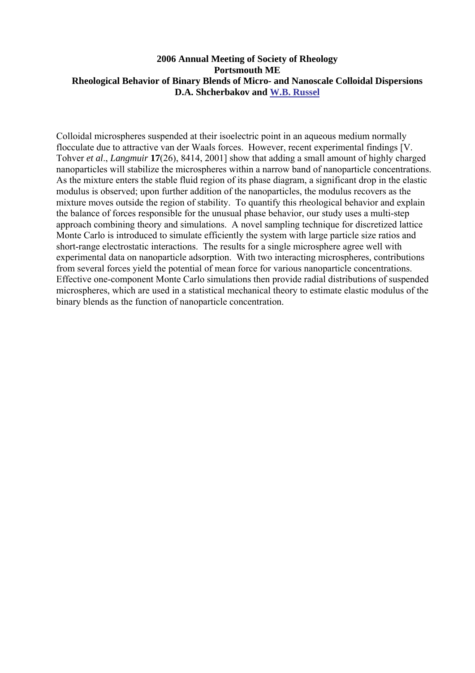### **2006 Annual Meeting of Society of Rheology Portsmouth ME Rheological Behavior of Binary Blends of Micro- and Nanoscale Colloidal Dispersions D.A. Shcherbakov and W.B. Russel**

Colloidal microspheres suspended at their isoelectric point in an aqueous medium normally flocculate due to attractive van der Waals forces. However, recent experimental findings [V. Tohver *et al*., *Langmuir* **17**(26), 8414, 2001] show that adding a small amount of highly charged nanoparticles will stabilize the microspheres within a narrow band of nanoparticle concentrations. As the mixture enters the stable fluid region of its phase diagram, a significant drop in the elastic modulus is observed; upon further addition of the nanoparticles, the modulus recovers as the mixture moves outside the region of stability. To quantify this rheological behavior and explain the balance of forces responsible for the unusual phase behavior, our study uses a multi-step approach combining theory and simulations. A novel sampling technique for discretized lattice Monte Carlo is introduced to simulate efficiently the system with large particle size ratios and short-range electrostatic interactions. The results for a single microsphere agree well with experimental data on nanoparticle adsorption. With two interacting microspheres, contributions from several forces yield the potential of mean force for various nanoparticle concentrations. Effective one-component Monte Carlo simulations then provide radial distributions of suspended microspheres, which are used in a statistical mechanical theory to estimate elastic modulus of the binary blends as the function of nanoparticle concentration.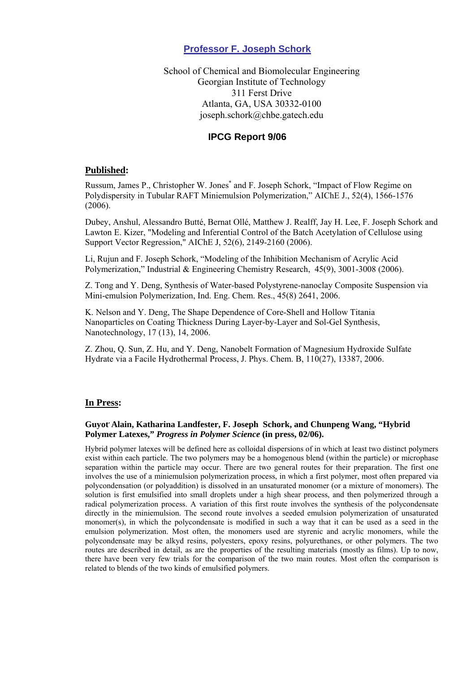### **Professor F. Joseph Schork**

School of Chemical and Biomolecular Engineering Georgian Institute of Technology 311 Ferst Drive Atlanta, GA, USA 30332-0100 joseph.schork@chbe.gatech.edu

### **IPCG Report 9/06**

### **Published:**

Russum, James P., Christopher W. Jones\* and F. Joseph Schork, "Impact of Flow Regime on Polydispersity in Tubular RAFT Miniemulsion Polymerization," AIChE J., 52(4), 1566-1576 (2006).

Dubey, Anshul, Alessandro Butté, Bernat Ollé, Matthew J. Realff, Jay H. Lee, F. Joseph Schork and Lawton E. Kizer, "Modeling and Inferential Control of the Batch Acetylation of Cellulose using Support Vector Regression," AIChE J, 52(6), 2149-2160 (2006).

Li, Rujun and F. Joseph Schork, "Modeling of the Inhibition Mechanism of Acrylic Acid Polymerization," Industrial & Engineering Chemistry Research, 45(9), 3001-3008 (2006).

Z. Tong and Y. Deng, Synthesis of Water-based Polystyrene-nanoclay Composite Suspension via Mini-emulsion Polymerization, Ind. Eng. Chem. Res., 45(8) 2641, 2006.

K. Nelson and Y. Deng, The Shape Dependence of Core-Shell and Hollow Titania Nanoparticles on Coating Thickness During Layer-by-Layer and Sol-Gel Synthesis, Nanotechnology, 17 (13), 14, 2006.

Z. Zhou, Q. Sun, Z. Hu, and Y. Deng, Nanobelt Formation of Magnesium Hydroxide Sulfate Hydrate via a Facile Hydrothermal Process, J. Phys. Chem. B, 110(27), 13387, 2006.

### **In Press:**

### **Guyot, Alain, Katharina Landfester, F. Joseph Schork, and Chunpeng Wang, "Hybrid Polymer Latexes,"** *Progress in Polymer Science* **(in press, 02/06).**

Hybrid polymer latexes will be defined here as colloidal dispersions of in which at least two distinct polymers exist within each particle. The two polymers may be a homogenous blend (within the particle) or microphase separation within the particle may occur. There are two general routes for their preparation. The first one involves the use of a miniemulsion polymerization process, in which a first polymer, most often prepared via polycondensation (or polyaddition) is dissolved in an unsaturated monomer (or a mixture of monomers). The solution is first emulsified into small droplets under a high shear process, and then polymerized through a radical polymerization process. A variation of this first route involves the synthesis of the polycondensate directly in the miniemulsion. The second route involves a seeded emulsion polymerization of unsaturated monomer(s), in which the polycondensate is modified in such a way that it can be used as a seed in the emulsion polymerization. Most often, the monomers used are styrenic and acrylic monomers, while the polycondensate may be alkyd resins, polyesters, epoxy resins, polyurethanes, or other polymers. The two routes are described in detail, as are the properties of the resulting materials (mostly as films). Up to now, there have been very few trials for the comparison of the two main routes. Most often the comparison is related to blends of the two kinds of emulsified polymers.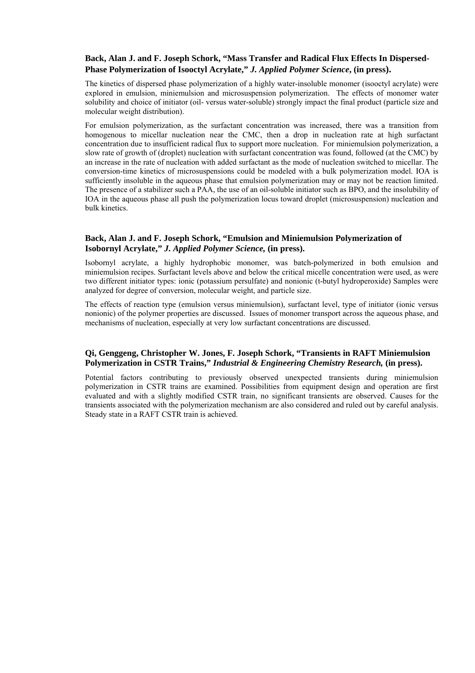### **Back, Alan J. and F. Joseph Schork, "Mass Transfer and Radical Flux Effects In Dispersed-Phase Polymerization of Isooctyl Acrylate,"** *J. Applied Polymer Science***, (in press).**

The kinetics of dispersed phase polymerization of a highly water-insoluble monomer (isooctyl acrylate) were explored in emulsion, miniemulsion and microsuspension polymerization. The effects of monomer water solubility and choice of initiator (oil- versus water-soluble) strongly impact the final product (particle size and molecular weight distribution).

For emulsion polymerization, as the surfactant concentration was increased, there was a transition from homogenous to micellar nucleation near the CMC, then a drop in nucleation rate at high surfactant concentration due to insufficient radical flux to support more nucleation. For miniemulsion polymerization, a slow rate of growth of (droplet) nucleation with surfactant concentration was found, followed (at the CMC) by an increase in the rate of nucleation with added surfactant as the mode of nucleation switched to micellar. The conversion-time kinetics of microsuspensions could be modeled with a bulk polymerization model. IOA is sufficiently insoluble in the aqueous phase that emulsion polymerization may or may not be reaction limited. The presence of a stabilizer such a PAA, the use of an oil-soluble initiator such as BPO, and the insolubility of IOA in the aqueous phase all push the polymerization locus toward droplet (microsuspension) nucleation and bulk kinetics.

### **Back, Alan J. and F. Joseph Schork, "Emulsion and Miniemulsion Polymerization of Isobornyl Acrylate,"** *J. Applied Polymer Science,* **(in press).**

Isobornyl acrylate, a highly hydrophobic monomer, was batch-polymerized in both emulsion and miniemulsion recipes. Surfactant levels above and below the critical micelle concentration were used, as were two different initiator types: ionic (potassium persulfate) and nonionic (t-butyl hydroperoxide) Samples were analyzed for degree of conversion, molecular weight, and particle size.

The effects of reaction type (emulsion versus miniemulsion), surfactant level, type of initiator (ionic versus nonionic) of the polymer properties are discussed. Issues of monomer transport across the aqueous phase, and mechanisms of nucleation, especially at very low surfactant concentrations are discussed.

### **Qi, Genggeng, Christopher W. Jones, F. Joseph Schork, "Transients in RAFT Miniemulsion Polymerization in CSTR Trains,"** *Industrial & Engineering Chemistry Research,* **(in press).**

Potential factors contributing to previously observed unexpected transients during miniemulsion polymerization in CSTR trains are examined. Possibilities from equipment design and operation are first evaluated and with a slightly modified CSTR train, no significant transients are observed. Causes for the transients associated with the polymerization mechanism are also considered and ruled out by careful analysis. Steady state in a RAFT CSTR train is achieved.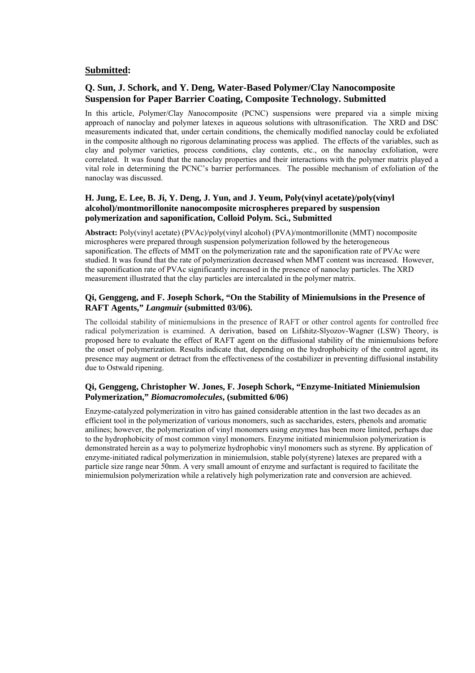### **Submitted:**

### **Q. Sun, J. Schork, and Y. Deng, Water-Based Polymer/Clay Nanocomposite Suspension for Paper Barrier Coating, Composite Technology. Submitted**

In this article, *P*olymer/*C*lay *N*anocomposite (PCNC) suspensions were prepared via a simple mixing approach of nanoclay and polymer latexes in aqueous solutions with ultrasonification. The XRD and DSC measurements indicated that, under certain conditions, the chemically modified nanoclay could be exfoliated in the composite although no rigorous delaminating process was applied. The effects of the variables, such as clay and polymer varieties, process conditions, clay contents, etc., on the nanoclay exfoliation, were correlated. It was found that the nanoclay properties and their interactions with the polymer matrix played a vital role in determining the PCNC's barrier performances. The possible mechanism of exfoliation of the nanoclay was discussed.

### **H. Jung, E. Lee, B. Ji, Y. Deng, J. Yun, and J. Yeum, Poly(vinyl acetate)/poly(vinyl alcohol)/montmorillonite nanocomposite microspheres prepared by suspension polymerization and saponification, Colloid Polym. Sci., Submitted**

**Abstract:** Poly(vinyl acetate) (PVAc)/poly(vinyl alcohol) (PVA)/montmorillonite (MMT) nocomposite microspheres were prepared through suspension polymerization followed by the heterogeneous saponification. The effects of MMT on the polymerization rate and the saponification rate of PVAc were studied. It was found that the rate of polymerization decreased when MMT content was increased. However, the saponification rate of PVAc significantly increased in the presence of nanoclay particles. The XRD measurement illustrated that the clay particles are intercalated in the polymer matrix.

### **Qi, Genggeng, and F. Joseph Schork, "On the Stability of Miniemulsions in the Presence of RAFT Agents,"** *Langmuir* **(submitted 03/06).**

The colloidal stability of miniemulsions in the presence of RAFT or other control agents for controlled free radical polymerization is examined. A derivation, based on Lifshitz-Slyozov-Wagner (LSW) Theory, is proposed here to evaluate the effect of RAFT agent on the diffusional stability of the miniemulsions before the onset of polymerization. Results indicate that, depending on the hydrophobicity of the control agent, its presence may augment or detract from the effectiveness of the costabilizer in preventing diffusional instability due to Ostwald ripening.

### **Qi, Genggeng, Christopher W. Jones, F. Joseph Schork, "Enzyme-Initiated Miniemulsion Polymerization,"** *Biomacromolecules***, (submitted 6/06)**

Enzyme-catalyzed polymerization in vitro has gained considerable attention in the last two decades as an efficient tool in the polymerization of various monomers, such as saccharides, esters, phenols and aromatic anilines; however, the polymerization of vinyl monomers using enzymes has been more limited, perhaps due to the hydrophobicity of most common vinyl monomers. Enzyme initiated miniemulsion polymerization is demonstrated herein as a way to polymerize hydrophobic vinyl monomers such as styrene. By application of enzyme-initiated radical polymerization in miniemulsion, stable poly(styrene) latexes are prepared with a particle size range near 50nm. A very small amount of enzyme and surfactant is required to facilitate the miniemulsion polymerization while a relatively high polymerization rate and conversion are achieved.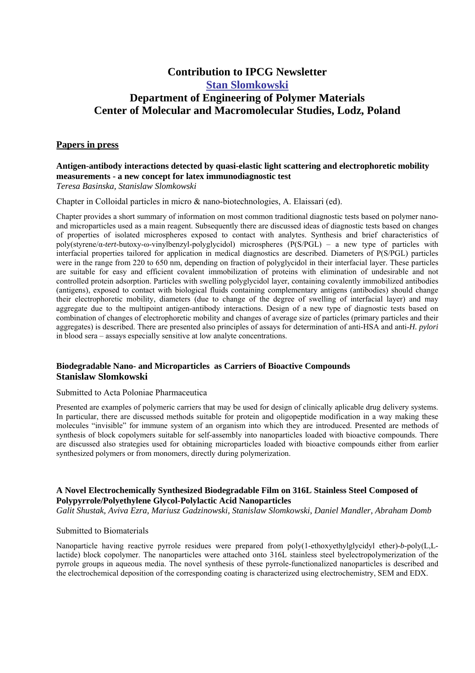### **Contribution to IPCG Newsletter Stan Slomkowski Department of Engineering of Polymer Materials Center of Molecular and Macromolecular Studies, Lodz, Poland**

### **Papers in press**

#### **Antigen-antibody interactions detected by quasi-elastic light scattering and electrophoretic mobility measurements - a new concept for latex immunodiagnostic test**  *Teresa Basinska, Stanislaw Slomkowski*

Chapter in Colloidal particles in micro & nano-biotechnologies, A. Elaissari (ed).

Chapter provides a short summary of information on most common traditional diagnostic tests based on polymer nanoand microparticles used as a main reagent. Subsequently there are discussed ideas of diagnostic tests based on changes of properties of isolated microspheres exposed to contact with analytes. Synthesis and brief characteristics of poly(styrene/α-*tert*-butoxy-ω-vinylbenzyl-polyglycidol) microspheres (P(S/PGL) – a new type of particles with interfacial properties tailored for application in medical diagnostics are described. Diameters of P(S/PGL) particles were in the range from 220 to 650 nm, depending on fraction of polyglycidol in their interfacial layer. These particles are suitable for easy and efficient covalent immobilization of proteins with elimination of undesirable and not controlled protein adsorption. Particles with swelling polyglycidol layer, containing covalently immobilized antibodies (antigens), exposed to contact with biological fluids containing complementary antigens (antibodies) should change their electrophoretic mobility, diameters (due to change of the degree of swelling of interfacial layer) and may aggregate due to the multipoint antigen-antibody interactions. Design of a new type of diagnostic tests based on combination of changes of electrophoretic mobility and changes of average size of particles (primary particles and their aggregates) is described. There are presented also principles of assays for determination of anti-HSA and anti-*H. pylori* in blood sera – assays especially sensitive at low analyte concentrations.

### **Biodegradable Nano- and Microparticles as Carriers of Bioactive Compounds Stanislaw Slomkowski**

#### Submitted to Acta Poloniae Pharmaceutica

Presented are examples of polymeric carriers that may be used for design of clinically aplicable drug delivery systems. In particular, there are discussed methods suitable for protein and oligopeptide modification in a way making these molecules "invisible" for immune system of an organism into which they are introduced. Presented are methods of synthesis of block copolymers suitable for self-assembly into nanoparticles loaded with bioactive compounds. There are discussed also strategies used for obtaining microparticles loaded with bioactive compounds either from earlier synthesized polymers or from monomers, directly during polymerization.

### **A Novel Electrochemically Synthesized Biodegradable Film on 316L Stainless Steel Composed of Polypyrrole/Polyethylene Glycol-Polylactic Acid Nanoparticles**

*Galit Shustak, Aviva Ezra, Mariusz Gadzinowski, Stanislaw Slomkowski, Daniel Mandler, Abraham Domb* 

#### Submitted to Biomaterials

Nanoparticle having reactive pyrrole residues were prepared from poly(1-ethoxyethylglycidyl ether)-*b*-poly(L,Llactide) block copolymer. The nanoparticles were attached onto 316L stainless steel byelectropolymerization of the pyrrole groups in aqueous media. The novel synthesis of these pyrrole-functionalized nanoparticles is described and the electrochemical deposition of the corresponding coating is characterized using electrochemistry, SEM and EDX.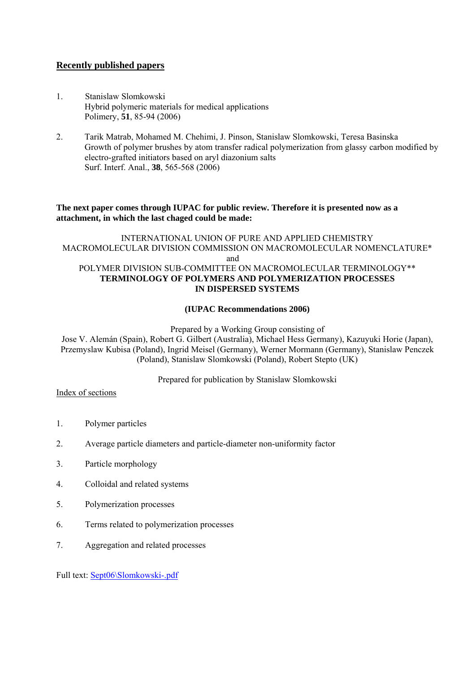### **Recently published papers**

- 1. Stanislaw Slomkowski Hybrid polymeric materials for medical applications Polimery, **51**, 85-94 (2006)
- 2. Tarik Matrab, Mohamed M. Chehimi, J. Pinson, Stanislaw Slomkowski, Teresa Basinska Growth of polymer brushes by atom transfer radical polymerization from glassy carbon modified by electro-grafted initiators based on aryl diazonium salts Surf. Interf. Anal., **38**, 565-568 (2006)

### **The next paper comes through IUPAC for public review. Therefore it is presented now as a attachment, in which the last chaged could be made:**

### INTERNATIONAL UNION OF PURE AND APPLIED CHEMISTRY MACROMOLECULAR DIVISION COMMISSION ON MACROMOLECULAR NOMENCLATURE\* and POLYMER DIVISION SUB-COMMITTEE ON MACROMOLECULAR TERMINOLOGY\*\* **TERMINOLOGY OF POLYMERS AND POLYMERIZATION PROCESSES IN DISPERSED SYSTEMS**

### **(IUPAC Recommendations 2006)**

Prepared by a Working Group consisting of

Jose V. Alemán (Spain), Robert G. Gilbert (Australia), Michael Hess Germany), Kazuyuki Horie (Japan), Przemyslaw Kubisa (Poland), Ingrid Meisel (Germany), Werner Mormann (Germany), Stanislaw Penczek (Poland), Stanislaw Slomkowski (Poland), Robert Stepto (UK)

Prepared for publication by Stanislaw Slomkowski

Index of sections

- 1. Polymer particles
- 2. Average particle diameters and particle-diameter non-uniformity factor
- 3. Particle morphology
- 4. Colloidal and related systems
- 5. Polymerization processes
- 6. Terms related to polymerization processes
- 7. Aggregation and related processes

Full text: Sept06\Slomkowski-.pdf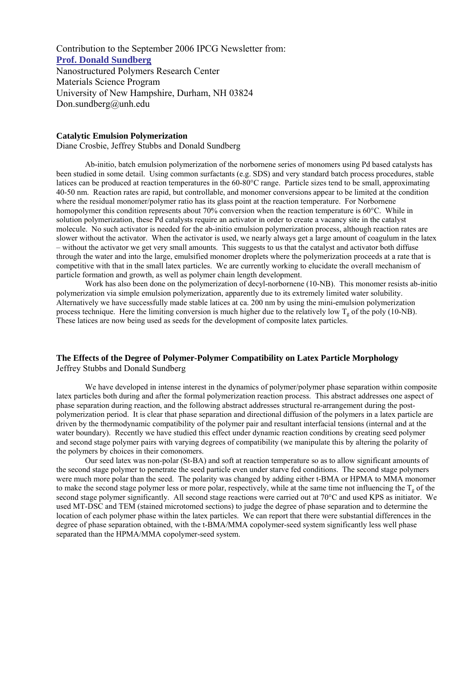Contribution to the September 2006 IPCG Newsletter from: **Prof. Donald Sundberg** Nanostructured Polymers Research Center Materials Science Program University of New Hampshire, Durham, NH 03824 Don.sundberg@unh.edu

#### **Catalytic Emulsion Polymerization**

Diane Crosbie, Jeffrey Stubbs and Donald Sundberg

Ab-initio, batch emulsion polymerization of the norbornene series of monomers using Pd based catalysts has been studied in some detail. Using common surfactants (e.g. SDS) and very standard batch process procedures, stable latices can be produced at reaction temperatures in the 60-80°C range. Particle sizes tend to be small, approximating 40-50 nm. Reaction rates are rapid, but controllable, and monomer conversions appear to be limited at the condition where the residual monomer/polymer ratio has its glass point at the reaction temperature. For Norbornene homopolymer this condition represents about 70% conversion when the reaction temperature is 60°C. While in solution polymerization, these Pd catalysts require an activator in order to create a vacancy site in the catalyst molecule. No such activator is needed for the ab-initio emulsion polymerization process, although reaction rates are slower without the activator. When the activator is used, we nearly always get a large amount of coagulum in the latex – without the activator we get very small amounts. This suggests to us that the catalyst and activator both diffuse through the water and into the large, emulsified monomer droplets where the polymerization proceeds at a rate that is competitive with that in the small latex particles. We are currently working to elucidate the overall mechanism of particle formation and growth, as well as polymer chain length development.

 Work has also been done on the polymerization of decyl-norbornene (10-NB). This monomer resists ab-initio polymerization via simple emulsion polymerization, apparently due to its extremely limited water solubility. Alternatively we have successfully made stable latices at ca. 200 nm by using the mini-emulsion polymerization process technique. Here the limiting conversion is much higher due to the relatively low  $T_g$  of the poly (10-NB). These latices are now being used as seeds for the development of composite latex particles.

#### **The Effects of the Degree of Polymer-Polymer Compatibility on Latex Particle Morphology**  Jeffrey Stubbs and Donald Sundberg

We have developed in intense interest in the dynamics of polymer/polymer phase separation within composite latex particles both during and after the formal polymerization reaction process. This abstract addresses one aspect of phase separation during reaction, and the following abstract addresses structural re-arrangement during the postpolymerization period. It is clear that phase separation and directional diffusion of the polymers in a latex particle are driven by the thermodynamic compatibility of the polymer pair and resultant interfacial tensions (internal and at the water boundary). Recently we have studied this effect under dynamic reaction conditions by creating seed polymer and second stage polymer pairs with varying degrees of compatibility (we manipulate this by altering the polarity of the polymers by choices in their comonomers.

 Our seed latex was non-polar (St-BA) and soft at reaction temperature so as to allow significant amounts of the second stage polymer to penetrate the seed particle even under starve fed conditions. The second stage polymers were much more polar than the seed. The polarity was changed by adding either t-BMA or HPMA to MMA monomer to make the second stage polymer less or more polar, respectively, while at the same time not influencing the  $T<sub>g</sub>$  of the second stage polymer significantly. All second stage reactions were carried out at 70°C and used KPS as initiator. We used MT-DSC and TEM (stained microtomed sections) to judge the degree of phase separation and to determine the location of each polymer phase within the latex particles. We can report that there were substantial differences in the degree of phase separation obtained, with the t-BMA/MMA copolymer-seed system significantly less well phase separated than the HPMA/MMA copolymer-seed system.